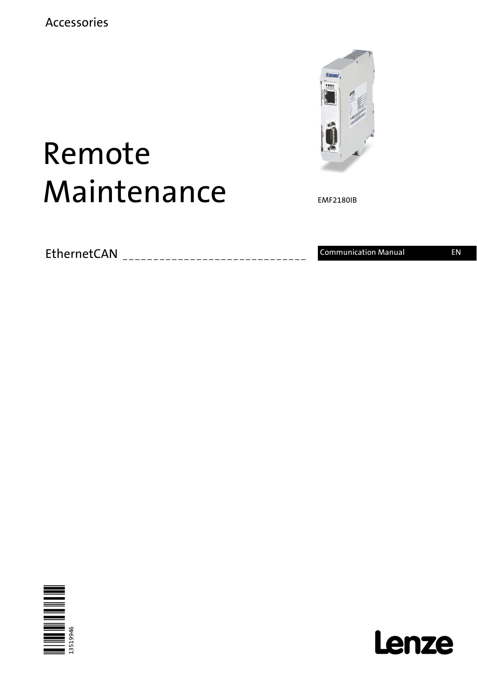

# Remote Maintenance

EMF2180IB

EthernetCAN \_\_\_\_\_\_\_\_\_\_\_\_\_\_\_\_\_\_\_\_\_\_\_\_\_\_\_\_\_\_ Communication Manual EN



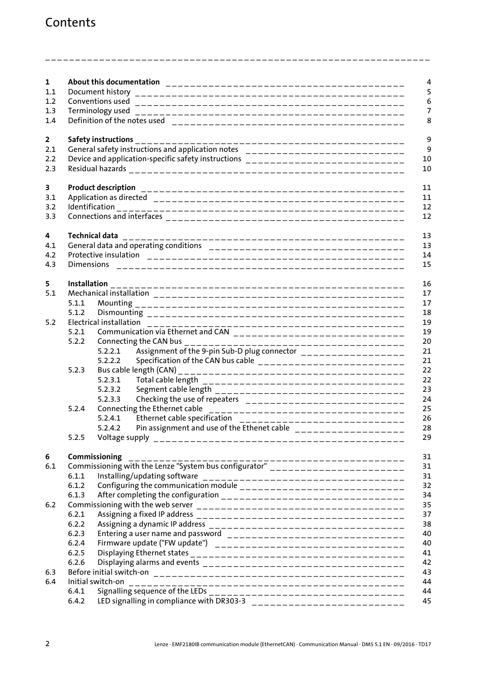### Contents

| $\mathbf{1}$ |       |                                                                                                             |  |  |
|--------------|-------|-------------------------------------------------------------------------------------------------------------|--|--|
| 1.1          |       |                                                                                                             |  |  |
| 1.2          |       |                                                                                                             |  |  |
| 1.3          |       |                                                                                                             |  |  |
| 1.4          |       |                                                                                                             |  |  |
| $\mathbf{2}$ |       | Safety instructions                                                                                         |  |  |
| 2.1          |       |                                                                                                             |  |  |
| 2.2          |       | Device and application-specific safety instructions ____________________________                            |  |  |
| 2.3          |       |                                                                                                             |  |  |
| 3            |       |                                                                                                             |  |  |
| 3.1          |       |                                                                                                             |  |  |
| 3.2          |       |                                                                                                             |  |  |
| 3.3          |       |                                                                                                             |  |  |
| 4            |       | <b>Technical data</b>                                                                                       |  |  |
| 4.1          |       |                                                                                                             |  |  |
| 4.2          |       |                                                                                                             |  |  |
| 4.3          |       |                                                                                                             |  |  |
| 5            |       |                                                                                                             |  |  |
| 5.1          |       |                                                                                                             |  |  |
|              | 5.1.1 |                                                                                                             |  |  |
|              | 5.1.2 |                                                                                                             |  |  |
| 5.2          |       | Electrical installation                                                                                     |  |  |
|              | 5.2.1 |                                                                                                             |  |  |
|              | 5.2.2 |                                                                                                             |  |  |
|              |       |                                                                                                             |  |  |
|              |       | Specification of the CAN bus cable ____________________________<br>5.2.2.2                                  |  |  |
|              | 5.2.3 |                                                                                                             |  |  |
|              |       | 5.2.3.1                                                                                                     |  |  |
|              |       | 5.2.3.2<br>5.2.3.3                                                                                          |  |  |
|              | 5.2.4 | Checking the use of repeaters ______________________________<br>Connecting the Ethernet cable               |  |  |
|              |       | _________________________________<br>Ethernet cable specification<br>5.2.4.1                                |  |  |
|              |       | ____________________________<br>Pin assignment and use of the Ethenet cable ____________________<br>5.2.4.2 |  |  |
|              | 5.2.5 |                                                                                                             |  |  |
| 6            |       | Commissioning                                                                                               |  |  |
| 6.1          |       |                                                                                                             |  |  |
|              | 6.1.1 | Installing/updating software<br>---------------------------------                                           |  |  |
|              | 6.1.2 |                                                                                                             |  |  |
|              | 6.1.3 |                                                                                                             |  |  |
| 6.2          |       |                                                                                                             |  |  |
|              | 6.2.1 |                                                                                                             |  |  |
|              | 6.2.2 |                                                                                                             |  |  |
|              | 6.2.3 |                                                                                                             |  |  |
|              | 6.2.4 |                                                                                                             |  |  |
|              | 6.2.5 |                                                                                                             |  |  |
|              | 6.2.6 |                                                                                                             |  |  |
| 6.3          |       |                                                                                                             |  |  |
| 6.4          |       | Initial switch-on                                                                                           |  |  |
|              | 6.4.1 |                                                                                                             |  |  |
|              | 6.4.2 |                                                                                                             |  |  |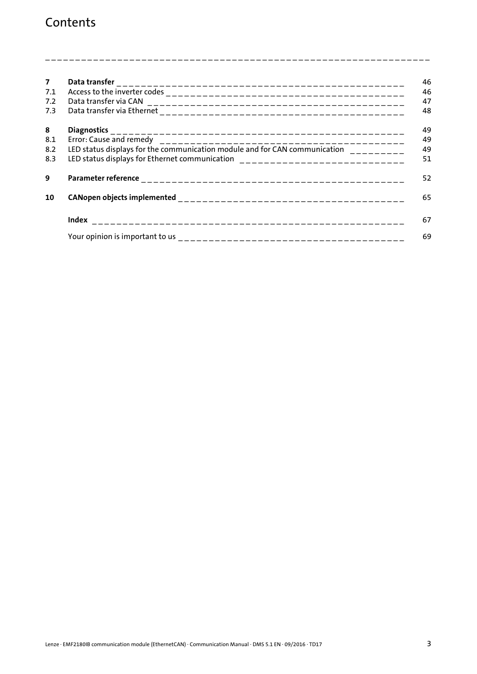### Contents

|                                                                                   | 46 |
|-----------------------------------------------------------------------------------|----|
|                                                                                   | 46 |
|                                                                                   | 47 |
|                                                                                   | 48 |
| <b>Diagnostics</b>                                                                | 49 |
|                                                                                   | 49 |
| LED status displays for the communication module and for CAN communication $\Box$ | 49 |
| LED status displays for Ethernet communication ________________________________   | 51 |
|                                                                                   | 52 |
|                                                                                   | 65 |
|                                                                                   | 67 |
|                                                                                   | 69 |
|                                                                                   |    |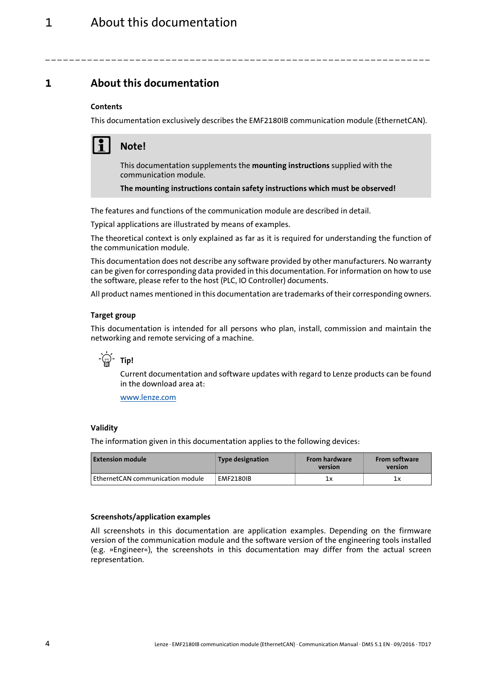<span id="page-3-0"></span>**1 About this documentation**

### **Contents**

This documentation exclusively describes the EMF2180IB communication module (EthernetCAN).

\_ \_ \_ \_ \_ \_ \_ \_ \_ \_ \_ \_ \_ \_ \_ \_ \_ \_ \_ \_ \_ \_ \_ \_ \_ \_ \_ \_ \_ \_ \_ \_ \_ \_ \_ \_ \_ \_ \_ \_ \_ \_ \_ \_ \_ \_ \_ \_ \_ \_ \_ \_ \_ \_ \_ \_ \_ \_ \_ \_ \_ \_ \_ \_



### **Note!**

This documentation supplements the **mounting instructions** supplied with the communication module.

**The mounting instructions contain safety instructions which must be observed!**

The features and functions of the communication module are described in detail.

Typical applications are illustrated by means of examples.

The theoretical context is only explained as far as it is required for understanding the function of the communication module.

This documentation does not describe any software provided by other manufacturers. No warranty can be given for corresponding data provided in this documentation. For information on how to use the software, please refer to the host (PLC, IO Controller) documents.

All product names mentioned in this documentation are trademarks of their corresponding owners.

### <span id="page-3-2"></span>**Target group**

This documentation is intended for all persons who plan, install, commission and maintain the networking and remote servicing of a machine.



Current documentation and software updates with regard to Lenze products can be found in the download area at:

[www.lenze.com](http://www.lenze.com)

### <span id="page-3-3"></span>**Validity**

The information given in this documentation applies to the following devices:

| <b>Extension module</b>          | Type designation | <b>From hardware</b><br>version | <b>From software</b><br>version |
|----------------------------------|------------------|---------------------------------|---------------------------------|
| EthernetCAN communication module | <b>EMF2180IB</b> | 1x                              | lх                              |

### <span id="page-3-1"></span>**Screenshots/application examples**

All screenshots in this documentation are application examples. Depending on the firmware version of the communication module and the software version of the engineering tools installed (e.g. »Engineer«), the screenshots in this documentation may differ from the actual screen representation.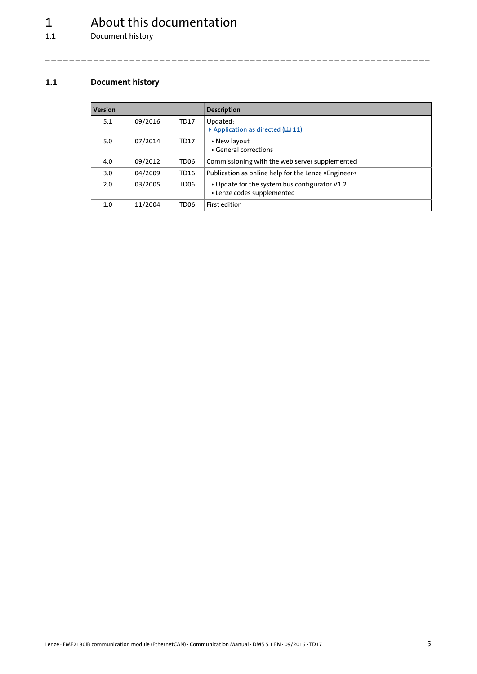# 1 About this documentation<br>1.1 Document history

Document history

### <span id="page-4-0"></span>**1.1 Document history**

<span id="page-4-1"></span>

| <b>Version</b> |         |                  | <b>Description</b>                                                          |
|----------------|---------|------------------|-----------------------------------------------------------------------------|
| 5.1            | 09/2016 | TD17             | Updated:<br>Application as directed $(111)$                                 |
| 5.0            | 07/2014 | TD17             | • New layout<br>• General corrections                                       |
| 4.0            | 09/2012 | TD <sub>06</sub> | Commissioning with the web server supplemented                              |
| 3.0            | 04/2009 | TD16             | Publication as online help for the Lenze »Engineer«                         |
| 2.0            | 03/2005 | TD <sub>06</sub> | • Update for the system bus configurator V1.2<br>• Lenze codes supplemented |
| $1.0\,$        | 11/2004 | TD <sub>06</sub> | First edition                                                               |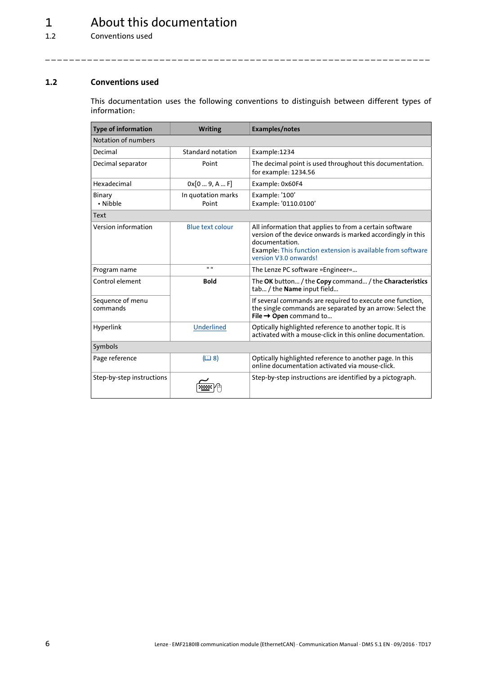## 1 About this documentation

1.2 Conventions used

### <span id="page-5-0"></span>**1.2 Conventions used**

<span id="page-5-3"></span><span id="page-5-2"></span>This documentation uses the following conventions to distinguish between different types of information:

<span id="page-5-1"></span>

| <b>Type of information</b>   | <b>Writing</b>              | Examples/notes                                                                                                                                                                                                                   |  |  |  |
|------------------------------|-----------------------------|----------------------------------------------------------------------------------------------------------------------------------------------------------------------------------------------------------------------------------|--|--|--|
| Notation of numbers          |                             |                                                                                                                                                                                                                                  |  |  |  |
| Decimal                      | Standard notation           | Example:1234                                                                                                                                                                                                                     |  |  |  |
| Decimal separator            | Point                       | The decimal point is used throughout this documentation.<br>for example: 1234.56                                                                                                                                                 |  |  |  |
| Hexadecimal                  | 0x[09, AF]                  | Example: 0x60F4                                                                                                                                                                                                                  |  |  |  |
| <b>Binary</b><br>• Nibble    | In quotation marks<br>Point | Example: '100'<br>Example: '0110.0100'                                                                                                                                                                                           |  |  |  |
| Text                         |                             |                                                                                                                                                                                                                                  |  |  |  |
| Version information          | <b>Blue text colour</b>     | All information that applies to from a certain software<br>version of the device onwards is marked accordingly in this<br>documentation.<br>Example: This function extension is available from software<br>version V3.0 onwards! |  |  |  |
| Program name                 | $\mathbf{u}$                | The Lenze PC software »Engineer«                                                                                                                                                                                                 |  |  |  |
| Control element              | <b>Bold</b>                 | The OK button / the Copy command / the Characteristics<br>tab / the Name input field                                                                                                                                             |  |  |  |
| Sequence of menu<br>commands |                             | If several commands are required to execute one function,<br>the single commands are separated by an arrow: Select the<br>File $\rightarrow$ Open command to                                                                     |  |  |  |
| Hyperlink                    | Underlined                  | Optically highlighted reference to another topic. It is<br>activated with a mouse-click in this online documentation.                                                                                                            |  |  |  |
| Symbols                      |                             |                                                                                                                                                                                                                                  |  |  |  |
| Page reference               | (D)                         | Optically highlighted reference to another page. In this<br>online documentation activated via mouse-click.                                                                                                                      |  |  |  |
| Step-by-step instructions    |                             | Step-by-step instructions are identified by a pictograph.                                                                                                                                                                        |  |  |  |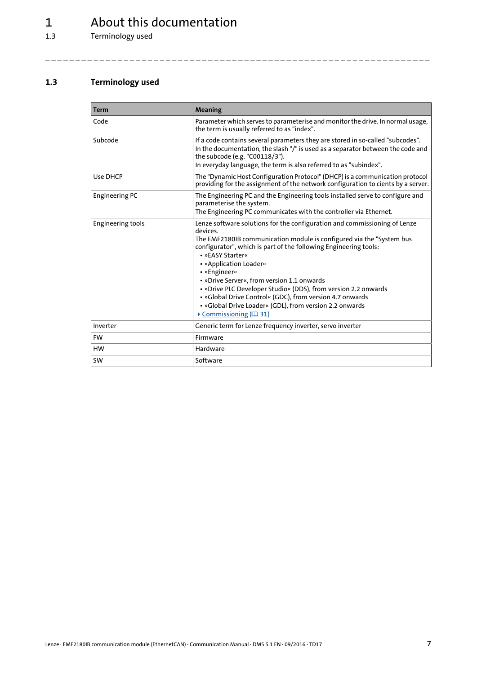# 1  $\frac{1}{1.3}$  About this documentation

Terminology used

### <span id="page-6-0"></span>**1.3 Terminology used**

<span id="page-6-1"></span>

| <b>Term</b>           | Meaning                                                                                                                                                                                                                                                                                                                                                                                                                                                                                                                                                                                   |
|-----------------------|-------------------------------------------------------------------------------------------------------------------------------------------------------------------------------------------------------------------------------------------------------------------------------------------------------------------------------------------------------------------------------------------------------------------------------------------------------------------------------------------------------------------------------------------------------------------------------------------|
| Code                  | Parameter which serves to parameterise and monitor the drive. In normal usage,<br>the term is usually referred to as "index".                                                                                                                                                                                                                                                                                                                                                                                                                                                             |
| Subcode               | If a code contains several parameters they are stored in so-called "subcodes".<br>In the documentation, the slash "/" is used as a separator between the code and<br>the subcode (e.g. "C00118/3").<br>In everyday language, the term is also referred to as "subindex".                                                                                                                                                                                                                                                                                                                  |
| Use DHCP              | The "Dynamic Host Configuration Protocol" (DHCP) is a communication protocol<br>providing for the assignment of the network configuration to cients by a server.                                                                                                                                                                                                                                                                                                                                                                                                                          |
| <b>Engineering PC</b> | The Engineering PC and the Engineering tools installed serve to configure and<br>parameterise the system.<br>The Engineering PC communicates with the controller via Ethernet.                                                                                                                                                                                                                                                                                                                                                                                                            |
| Engineering tools     | Lenze software solutions for the configuration and commissioning of Lenze<br>devices.<br>The EMF2180IB communication module is configured via the "System bus<br>configurator", which is part of the following Engineering tools:<br>• »FASY Starter«<br>• »Application Loader«<br>• »Engineer«<br>• »Drive Server«, from version 1.1 onwards<br>• »Drive PLC Developer Studio« (DDS), from version 2.2 onwards<br>• »Global Drive Control« (GDC), from version 4.7 onwards<br>• »Global Drive Loader« (GDL), from version 2.2 onwards<br>$\triangleright$ Commissioning ( $\boxplus$ 31) |
| Inverter              | Generic term for Lenze frequency inverter, servo inverter                                                                                                                                                                                                                                                                                                                                                                                                                                                                                                                                 |
| <b>FW</b>             | Firmware                                                                                                                                                                                                                                                                                                                                                                                                                                                                                                                                                                                  |
| <b>HW</b>             | Hardware                                                                                                                                                                                                                                                                                                                                                                                                                                                                                                                                                                                  |
| <b>SW</b>             | Software                                                                                                                                                                                                                                                                                                                                                                                                                                                                                                                                                                                  |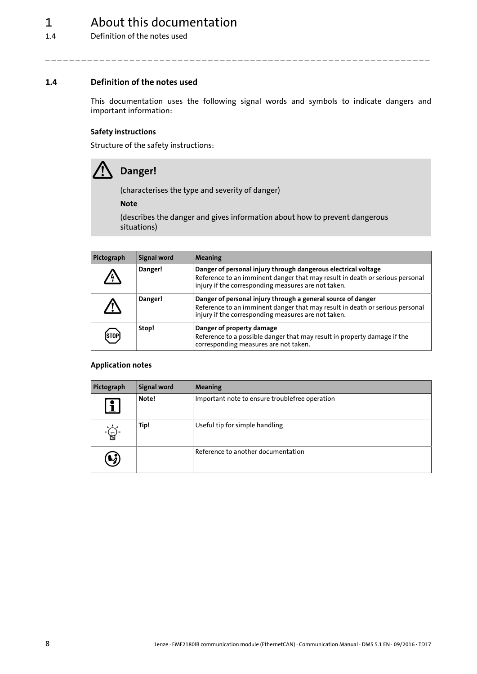### 1 About this documentation

1.4 Definition of the notes used

### <span id="page-7-0"></span>**1.4 Definition of the notes used**

<span id="page-7-2"></span>This documentation uses the following signal words and symbols to indicate dangers and important information:

\_ \_ \_ \_ \_ \_ \_ \_ \_ \_ \_ \_ \_ \_ \_ \_ \_ \_ \_ \_ \_ \_ \_ \_ \_ \_ \_ \_ \_ \_ \_ \_ \_ \_ \_ \_ \_ \_ \_ \_ \_ \_ \_ \_ \_ \_ \_ \_ \_ \_ \_ \_ \_ \_ \_ \_ \_ \_ \_ \_ \_ \_ \_ \_

### <span id="page-7-3"></span>**Safety instructions**

<span id="page-7-4"></span>Structure of the safety instructions:



### **Danger!**

(characterises the type and severity of danger)

**Note**

(describes the danger and gives information about how to prevent dangerous situations)

| Pictograph | Signal word | Meaning                                                                                                                                                                                               |
|------------|-------------|-------------------------------------------------------------------------------------------------------------------------------------------------------------------------------------------------------|
|            | Danger!     | Danger of personal injury through dangerous electrical voltage<br>Reference to an imminent danger that may result in death or serious personal<br>injury if the corresponding measures are not taken. |
|            | Danger!     | Danger of personal injury through a general source of danger<br>Reference to an imminent danger that may result in death or serious personal<br>injury if the corresponding measures are not taken.   |
| ISTOI      | Stop!       | Danger of property damage<br>Reference to a possible danger that may result in property damage if the<br>corresponding measures are not taken.                                                        |

### <span id="page-7-1"></span>**Application notes**

| Pictograph              | Signal word | Meaning                                        |
|-------------------------|-------------|------------------------------------------------|
| $\overline{\mathbf{1}}$ | Note!       | Important note to ensure troublefree operation |
| -( <sub>)</sub> .       | Tip!        | Useful tip for simple handling                 |
| $\boldsymbol{\kappa}$   |             | Reference to another documentation             |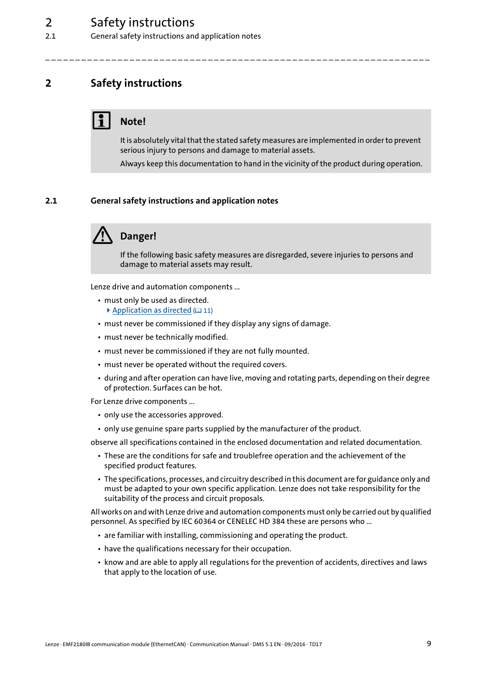2.1 General safety instructions and application notes

### <span id="page-8-3"></span><span id="page-8-0"></span>**2 Safety instructions**

### **Note!**

It is absolutely vital that the stated safety measures are implemented in order to prevent serious injury to persons and damage to material assets.

\_ \_ \_ \_ \_ \_ \_ \_ \_ \_ \_ \_ \_ \_ \_ \_ \_ \_ \_ \_ \_ \_ \_ \_ \_ \_ \_ \_ \_ \_ \_ \_ \_ \_ \_ \_ \_ \_ \_ \_ \_ \_ \_ \_ \_ \_ \_ \_ \_ \_ \_ \_ \_ \_ \_ \_ \_ \_ \_ \_ \_ \_ \_ \_

Always keep this documentation to hand in the vicinity of the product during operation.

### <span id="page-8-1"></span>**2.1 General safety instructions and application notes**

<span id="page-8-2"></span>

### **Danger!**

If the following basic safety measures are disregarded, severe injuries to persons and damage to material assets may result.

Lenze drive and automation components ...

- must only be used as directed. [Application as directed](#page-10-2)  $(11)$  $(11)$
- must never be commissioned if they display any signs of damage.
- must never be technically modified.
- must never be commissioned if they are not fully mounted.
- must never be operated without the required covers.
- during and after operation can have live, moving and rotating parts, depending on their degree of protection. Surfaces can be hot.

For Lenze drive components ...

- only use the accessories approved.
- only use genuine spare parts supplied by the manufacturer of the product.

observe all specifications contained in the enclosed documentation and related documentation.

- These are the conditions for safe and troublefree operation and the achievement of the specified product features.
- The specifications, processes, and circuitry described in this document are for guidance only and must be adapted to your own specific application. Lenze does not take responsibility for the suitability of the process and circuit proposals.

All works on and with Lenze drive and automation components must only be carried out by qualified personnel. As specified by IEC 60364 or CENELEC HD 384 these are persons who ...

- are familiar with installing, commissioning and operating the product.
- have the qualifications necessary for their occupation.
- know and are able to apply all regulations for the prevention of accidents, directives and laws that apply to the location of use.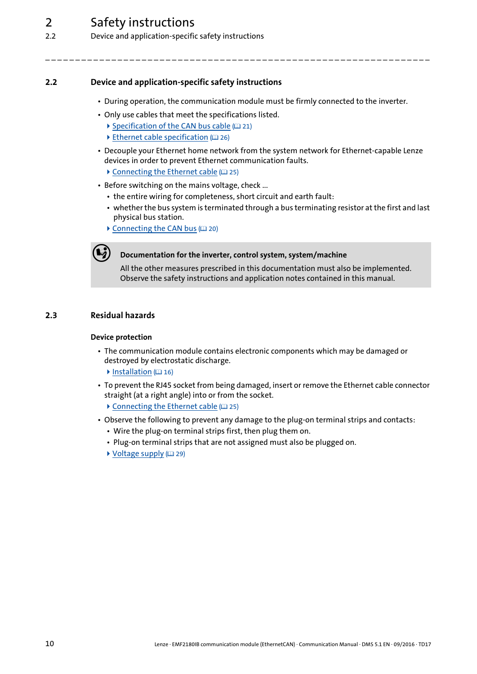### 2 Safety instructions

2.2 Device and application-specific safety instructions

### <span id="page-9-0"></span>**2.2 Device and application-specific safety instructions**

<span id="page-9-2"></span>• During operation, the communication module must be firmly connected to the inverter.

\_ \_ \_ \_ \_ \_ \_ \_ \_ \_ \_ \_ \_ \_ \_ \_ \_ \_ \_ \_ \_ \_ \_ \_ \_ \_ \_ \_ \_ \_ \_ \_ \_ \_ \_ \_ \_ \_ \_ \_ \_ \_ \_ \_ \_ \_ \_ \_ \_ \_ \_ \_ \_ \_ \_ \_ \_ \_ \_ \_ \_ \_ \_ \_

- Only use cables that meet the specifications listed.
	- [Specification of the CAN bus cable](#page-20-2)  $(21)$  $(21)$
	- $\triangleright$  [Ethernet cable specification](#page-25-1) ( $\triangleright$  [26\)](#page-25-1)
- Decouple your Ethernet home network from the system network for Ethernet-capable Lenze devices in order to prevent Ethernet communication faults.
	- $\triangleright$  [Connecting the Ethernet cable](#page-24-1) ( $\Box$  [25\)](#page-24-1)
- Before switching on the mains voltage, check ...
	- the entire wiring for completeness, short circuit and earth fault:
	- whether the bus system is terminated through a bus terminating resistor at the first and last physical bus station.
	- $\triangleright$  [Connecting the CAN bus](#page-19-1) ( $\Box$  [20\)](#page-19-1)



### **Documentation for the inverter, control system, system/machine**

All the other measures prescribed in this documentation must also be implemented. Observe the safety instructions and application notes contained in this manual.

### <span id="page-9-1"></span>**2.3 Residual hazards**

### <span id="page-9-4"></span><span id="page-9-3"></span>**Device protection**

- The communication module contains electronic components which may be damaged or destroyed by electrostatic discharge.
	- $\blacktriangleright$  [Installation](#page-15-1) ( $\textcircled{\scriptsize{1}}$  [16\)](#page-15-1)
- To prevent the RJ45 socket from being damaged, insert or remove the Ethernet cable connector straight (at a right angle) into or from the socket.
	- $\triangleright$  [Connecting the Ethernet cable](#page-24-1) ( $\Box$  [25\)](#page-24-1)
- Observe the following to prevent any damage to the plug-on terminal strips and contacts:
	- Wire the plug-on terminal strips first, then plug them on.
	- Plug-on terminal strips that are not assigned must also be plugged on.
	- $\blacktriangleright$  [Voltage supply](#page-28-1) ( $\boxplus$  [29\)](#page-28-1)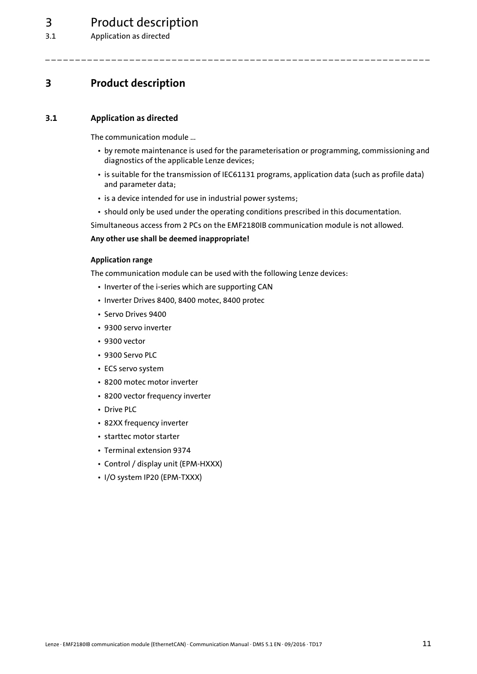### 3 Product description

3.1 Application as directed

### <span id="page-10-4"></span><span id="page-10-0"></span>**3 Product description**

### <span id="page-10-1"></span>**3.1 Application as directed**

<span id="page-10-2"></span>The communication module ...

- by remote maintenance is used for the parameterisation or programming, commissioning and diagnostics of the applicable Lenze devices;
- is suitable for the transmission of IEC61131 programs, application data (such as profile data) and parameter data;
- is a device intended for use in industrial power systems;
- should only be used under the operating conditions prescribed in this documentation.

\_\_\_\_\_\_\_\_\_\_\_\_\_\_\_\_\_\_\_\_\_\_\_\_\_\_

Simultaneous access from 2 PCs on the EMF2180IB communication module is not allowed.

### **Any other use shall be deemed inappropriate!**

### <span id="page-10-3"></span>**Application range**

The communication module can be used with the following Lenze devices:

- Inverter of the i-series which are supporting CAN
- Inverter Drives 8400, 8400 motec, 8400 protec
- Servo Drives 9400
- 9300 servo inverter
- 9300 vector
- 9300 Servo PLC
- ECS servo system
- 8200 motec motor inverter
- 8200 vector frequency inverter
- Drive PLC
- 82XX frequency inverter
- starttec motor starter
- Terminal extension 9374
- Control / display unit (EPM-HXXX)
- I/O system IP20 (EPM-TXXX)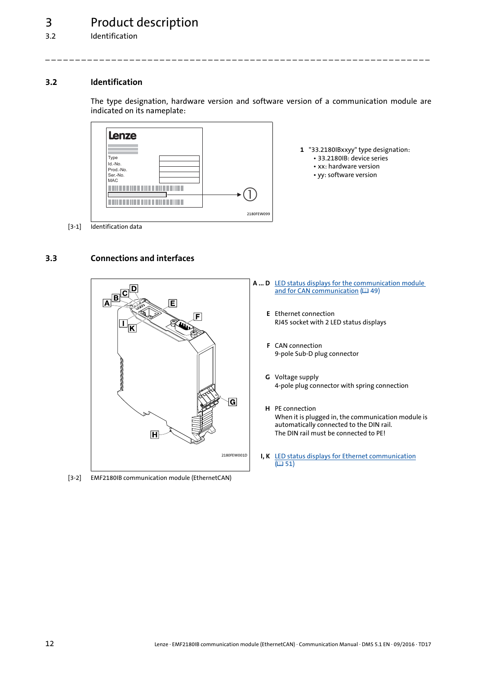### <span id="page-11-0"></span>**3.2 Identification**

<span id="page-11-5"></span><span id="page-11-3"></span>The type designation, hardware version and software version of a communication module are indicated on its nameplate:

\_ \_ \_ \_ \_ \_ \_ \_ \_ \_ \_ \_ \_ \_ \_ \_ \_ \_ \_ \_ \_ \_ \_ \_ \_ \_ \_ \_ \_ \_ \_ \_ \_ \_ \_ \_ \_ \_ \_ \_ \_ \_ \_ \_ \_ \_ \_ \_ \_ \_ \_ \_ \_ \_ \_ \_ \_ \_ \_ \_ \_ \_ \_ \_



- **1** "33.2180IBxxyy" type designation:
	- 33.2180IB: device series
	- xx: hardware version
	- yy: software version

[3-1] Identification data

### <span id="page-11-1"></span>**3.3 Connections and interfaces**

<span id="page-11-4"></span><span id="page-11-2"></span>

[3-2] EMF2180IB communication module (EthernetCAN)

- **A ... D** [LED status displays for the communication module](#page-48-3)  [and for CAN communication](#page-48-3) (ലി [49\)](#page-48-3)
	- **E** Ethernet connection RJ45 socket with 2 LED status displays
	- **F** CAN connection 9-pole Sub-D plug connector
	- **G** Voltage supply 4-pole plug connector with spring connection
	- **H** PE connection When it is plugged in, the communication module is automatically connected to the DIN rail. The DIN rail must be connected to PE!
	- **I, K** [LED status displays for Ethernet communication](#page-50-1)  $(D 51)$  $(D 51)$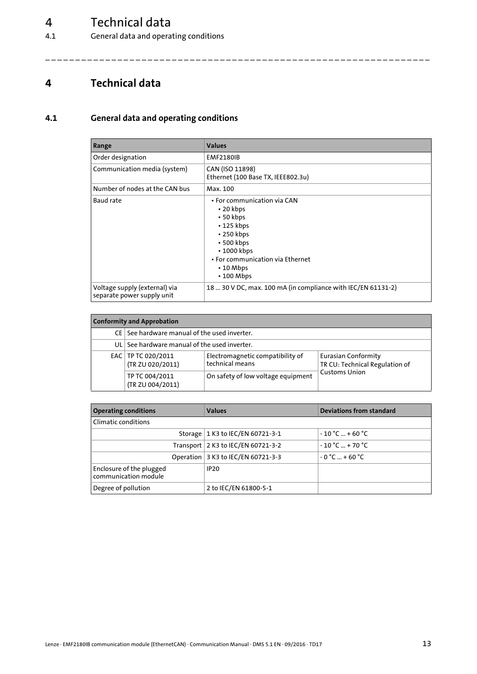# 4 Technical data<br>4.1 General data and opera

General data and operating conditions

### <span id="page-12-7"></span><span id="page-12-0"></span>**4 Technical data**

### <span id="page-12-1"></span>**4.1 General data and operating conditions**

<span id="page-12-6"></span><span id="page-12-5"></span><span id="page-12-4"></span><span id="page-12-3"></span><span id="page-12-2"></span>

| Range                                                       | <b>Values</b>                                                                                                                                                                                                                 |
|-------------------------------------------------------------|-------------------------------------------------------------------------------------------------------------------------------------------------------------------------------------------------------------------------------|
| Order designation                                           | <b>EMF2180IB</b>                                                                                                                                                                                                              |
| Communication media (system)                                | CAN (ISO 11898)<br>Ethernet (100 Base TX, IEEE802.3u)                                                                                                                                                                         |
| Number of nodes at the CAN bus                              | Max. 100                                                                                                                                                                                                                      |
| Baud rate                                                   | • For communication via CAN<br>$\cdot$ 20 kbps<br>$\cdot$ 50 kbps<br>$\cdot$ 125 kbps<br>$\cdot$ 250 kbps<br>$\cdot$ 500 kbps<br>$\cdot$ 1000 kbps<br>• For communication via Ethernet<br>$\cdot$ 10 Mbps<br>$\cdot$ 100 Mbps |
| Voltage supply (external) via<br>separate power supply unit | 18  30 V DC, max. 100 mA (in compliance with IEC/EN 61131-2)                                                                                                                                                                  |

<span id="page-12-8"></span>

| <b>Conformity and Approbation</b> |                                                |                                                     |                                                              |  |
|-----------------------------------|------------------------------------------------|-----------------------------------------------------|--------------------------------------------------------------|--|
|                                   | $CE$ See hardware manual of the used inverter. |                                                     |                                                              |  |
|                                   | UL See hardware manual of the used inverter.   |                                                     |                                                              |  |
|                                   | EAC   TP TC 020/2011<br>(TR ZU 020/2011)       | Electromagnetic compatibility of<br>technical means | <b>Eurasian Conformity</b><br>TR CU: Technical Regulation of |  |
|                                   | TP TC 004/2011<br>(TR ZU 004/2011)             | On safety of low voltage equipment                  | <b>Customs Union</b>                                         |  |

| <b>Operating conditions</b>                      | <b>Values</b>                        | Deviations from standard |  |  |
|--------------------------------------------------|--------------------------------------|--------------------------|--|--|
| Climatic conditions                              |                                      |                          |  |  |
|                                                  | Storage   1 K3 to IEC/EN 60721-3-1   | $-10 °C  + 60 °C$        |  |  |
|                                                  | Transport   2 K3 to IEC/EN 60721-3-2 | $-10 °C  + 70 °C$        |  |  |
|                                                  | Operation 3 K3 to IEC/EN 60721-3-3   | $-0$ °C $-+60$ °C        |  |  |
| Enclosure of the plugged<br>communication module | <b>IP20</b>                          |                          |  |  |
| Degree of pollution                              | 2 to IEC/EN 61800-5-1                |                          |  |  |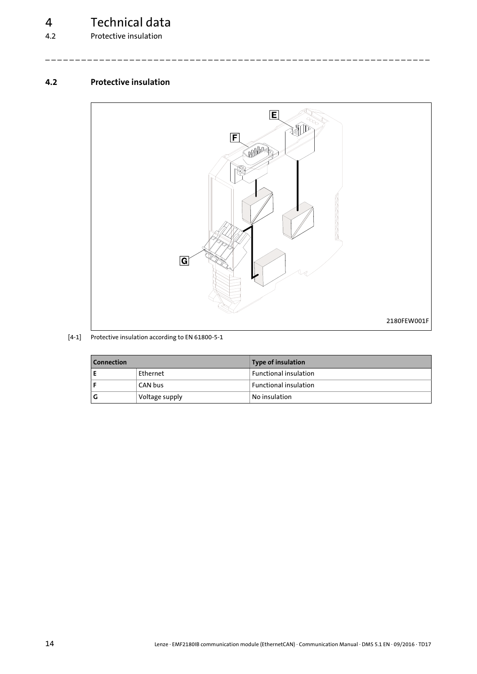# 4 Technical data<br>
<sup>4.2</sup> Protective insulation

Protective insulation

### <span id="page-13-0"></span>**4.2 Protective insulation**

<span id="page-13-1"></span>

\_ \_ \_ \_ \_ \_ \_ \_ \_ \_ \_ \_ \_ \_ \_ \_ \_ \_ \_ \_ \_ \_ \_ \_ \_ \_ \_ \_ \_ \_ \_ \_ \_ \_ \_ \_ \_ \_ \_ \_ \_ \_ \_ \_ \_ \_ \_ \_ \_ \_ \_ \_ \_ \_ \_ \_ \_ \_ \_ \_ \_ \_ \_ \_

#### [4-1] Protective insulation according to EN 61800-5-1

| <b>Connection</b> |                | Type of insulation           |
|-------------------|----------------|------------------------------|
|                   | Ethernet       | <b>Functional insulation</b> |
|                   | CAN bus        | <b>Functional insulation</b> |
| l G               | Voltage supply | No insulation                |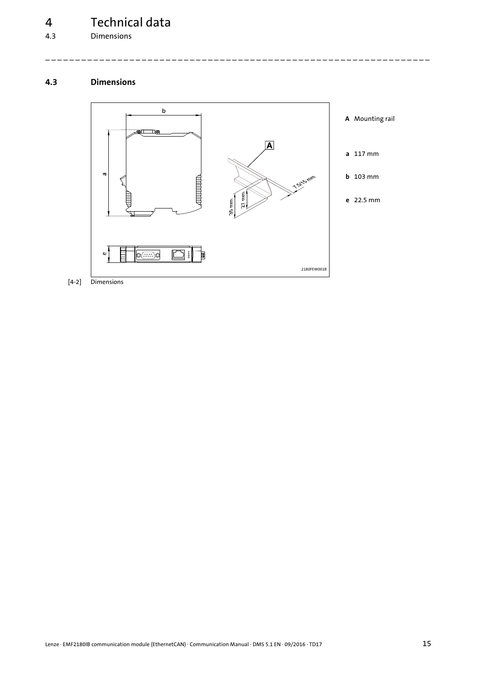**Dimensions** 

### <span id="page-14-0"></span>**4.3 Dimensions**

<span id="page-14-1"></span>

[4-2] Dimensions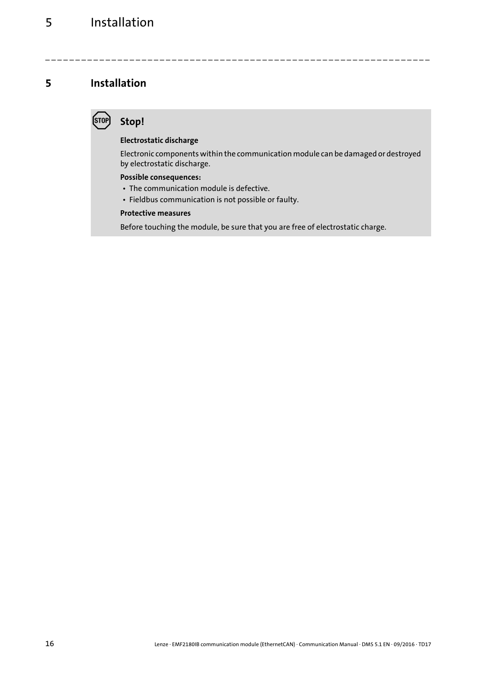### <span id="page-15-1"></span><span id="page-15-0"></span>**Stop!**

### **Electrostatic discharge**

Electronic components within the communication module can be damaged or destroyed by electrostatic discharge.

\_ \_ \_ \_ \_ \_ \_ \_ \_ \_ \_ \_ \_ \_ \_ \_ \_ \_ \_ \_ \_ \_ \_ \_ \_ \_ \_ \_ \_ \_ \_ \_ \_ \_ \_ \_ \_ \_ \_ \_ \_ \_ \_ \_ \_ \_ \_ \_ \_ \_ \_ \_ \_ \_ \_ \_ \_ \_ \_ \_ \_ \_ \_ \_

### **Possible consequences:**

- The communication module is defective.
- Fieldbus communication is not possible or faulty.

### **Protective measures**

Before touching the module, be sure that you are free of electrostatic charge.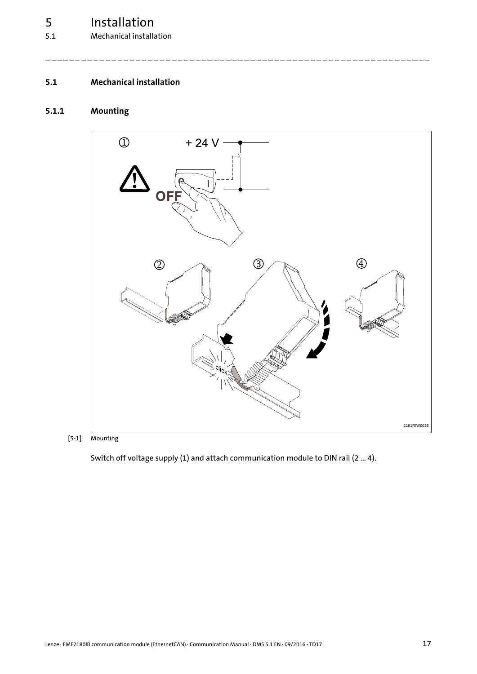5.1 Mechanical installation

### <span id="page-16-2"></span><span id="page-16-0"></span>**5.1 Mechanical installation**

### <span id="page-16-1"></span>**5.1.1 Mounting**



\_ \_ \_ \_ \_ \_ \_ \_ \_ \_ \_ \_ \_ \_ \_ \_ \_ \_ \_ \_ \_ \_ \_ \_ \_ \_ \_ \_ \_ \_ \_ \_ \_ \_ \_ \_ \_ \_ \_ \_ \_ \_ \_ \_ \_ \_ \_ \_ \_ \_ \_ \_ \_ \_ \_ \_ \_ \_ \_ \_ \_ \_ \_ \_

[5-1] Mounting

Switch off voltage supply (1) and attach communication module to DIN rail (2 ... 4).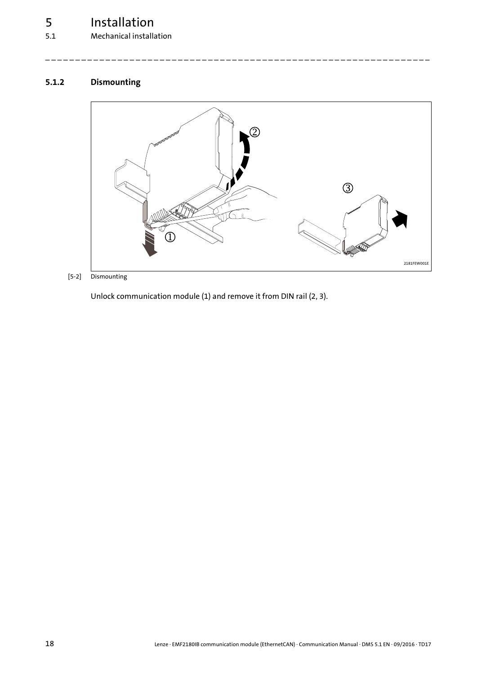### 5.1 Mechanical installation

### <span id="page-17-0"></span>**5.1.2 Dismounting**

<span id="page-17-1"></span>

\_ \_ \_ \_ \_ \_ \_ \_ \_ \_ \_ \_ \_ \_ \_ \_ \_ \_ \_ \_ \_ \_ \_ \_ \_ \_ \_ \_ \_ \_ \_ \_ \_ \_ \_ \_ \_ \_ \_ \_ \_ \_ \_ \_ \_ \_ \_ \_ \_ \_ \_ \_ \_ \_ \_ \_ \_ \_ \_ \_ \_ \_ \_ \_

[5-2] Dismounting

Unlock communication module (1) and remove it from DIN rail (2, 3).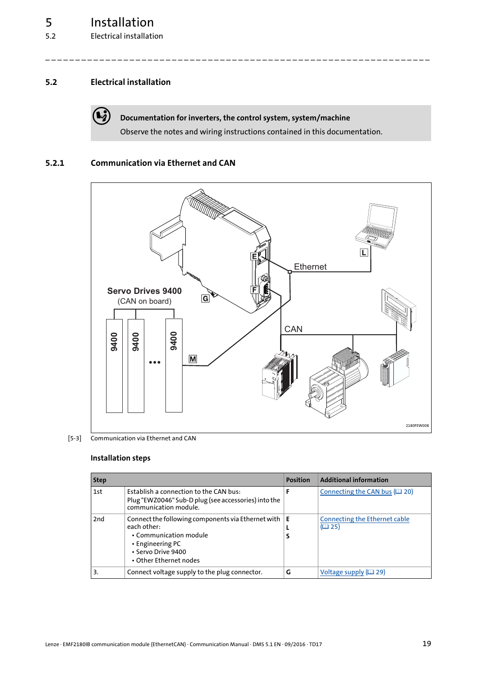### <span id="page-18-0"></span>**5.2 Electrical installation**

<span id="page-18-2"></span>

**Documentation for inverters, the control system, system/machine**

\_ \_ \_ \_ \_ \_ \_ \_ \_ \_ \_ \_ \_ \_ \_ \_ \_ \_ \_ \_ \_ \_ \_ \_ \_ \_ \_ \_ \_ \_ \_ \_ \_ \_ \_ \_ \_ \_ \_ \_ \_ \_ \_ \_ \_ \_ \_ \_ \_ \_ \_ \_ \_ \_ \_ \_ \_ \_ \_ \_ \_ \_ \_ \_

Observe the notes and wiring instructions contained in this documentation.

### <span id="page-18-1"></span>**5.2.1 Communication via Ethernet and CAN**



<sup>[5-3]</sup> Communication via Ethernet and CAN

#### **Installation steps**

| <b>Step</b> |                                                                                                                                                                 | <b>Position</b> | <b>Additional information</b>          |
|-------------|-----------------------------------------------------------------------------------------------------------------------------------------------------------------|-----------------|----------------------------------------|
| 1st         | Establish a connection to the CAN bus:<br>Plug "EWZ0046" Sub-D plug (see accessories) into the<br>communication module.                                         |                 | Connecting the CAN bus $(220)$         |
| 2nd         | Connect the following components via Ethernet with<br>each other:<br>• Communication module<br>• Engineering PC<br>• Servo Drive 9400<br>• Other Ethernet nodes | E               | Connecting the Ethernet cable<br>(D25) |
| 3.          | Connect voltage supply to the plug connector.                                                                                                                   | G               | Voltage supply $(229)$                 |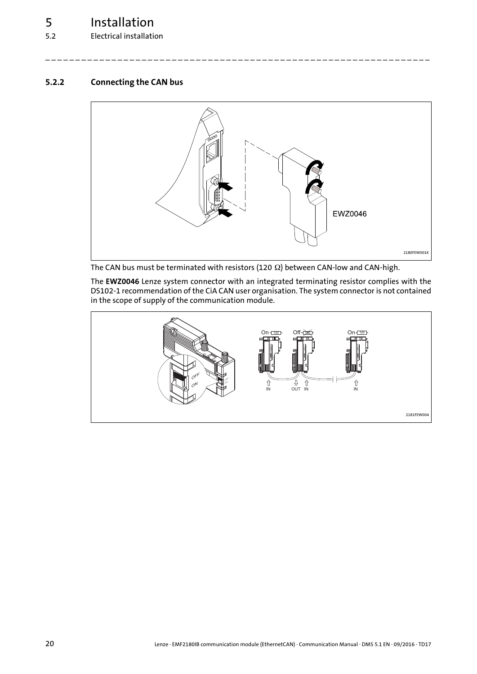5.2 Electrical installation

### <span id="page-19-0"></span>**5.2.2 Connecting the CAN bus**

<span id="page-19-1"></span>

\_ \_ \_ \_ \_ \_ \_ \_ \_ \_ \_ \_ \_ \_ \_ \_ \_ \_ \_ \_ \_ \_ \_ \_ \_ \_ \_ \_ \_ \_ \_ \_ \_ \_ \_ \_ \_ \_ \_ \_ \_ \_ \_ \_ \_ \_ \_ \_ \_ \_ \_ \_ \_ \_ \_ \_ \_ \_ \_ \_ \_ \_ \_ \_

The CAN bus must be terminated with resistors (120  $\Omega$ ) between CAN-low and CAN-high.

The **EWZ0046** Lenze system connector with an integrated terminating resistor complies with the DS102-1 recommendation of the CiA CAN user organisation. The system connector is not contained in the scope of supply of the communication module.

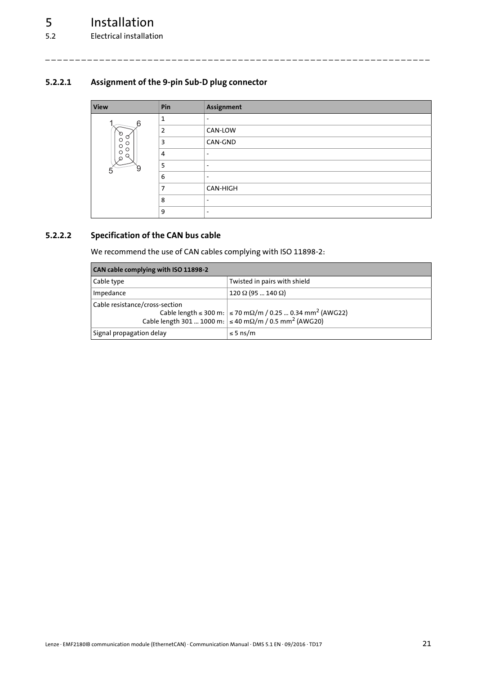### <span id="page-20-0"></span>**5.2.2.1 Assignment of the 9-pin Sub-D plug connector**

<span id="page-20-3"></span>

| <b>View</b>                        | Pin            | Assignment               |
|------------------------------------|----------------|--------------------------|
| 6                                  | 1              | $\overline{\phantom{a}}$ |
| Ø                                  | $\overline{2}$ | CAN-LOW                  |
| Ø<br>$\circ$<br>О<br>$\circ$       | 3              | CAN-GND                  |
| O<br>$\circ$<br>U<br>$\varnothing$ | 4              | $\overline{\phantom{a}}$ |
| У<br>5                             | 5              | $\overline{\phantom{a}}$ |
|                                    | 6              | $\overline{\phantom{a}}$ |
|                                    | 7              | CAN-HIGH                 |
|                                    | 8              | $\overline{\phantom{a}}$ |
|                                    | 9              | $\overline{\phantom{a}}$ |

\_ \_ \_ \_ \_ \_ \_ \_ \_ \_ \_ \_ \_ \_ \_ \_ \_ \_ \_ \_ \_ \_ \_ \_ \_ \_ \_ \_ \_ \_ \_ \_ \_ \_ \_ \_ \_ \_ \_ \_ \_ \_ \_ \_ \_ \_ \_ \_ \_ \_ \_ \_ \_ \_ \_ \_ \_ \_ \_ \_ \_ \_ \_ \_

### <span id="page-20-1"></span>**5.2.2.2 Specification of the CAN bus cable**

<span id="page-20-2"></span>We recommend the use of CAN cables complying with ISO 11898-2:

| CAN cable complying with ISO 11898-2 |                                                                                                                                                    |  |  |
|--------------------------------------|----------------------------------------------------------------------------------------------------------------------------------------------------|--|--|
| Cable type                           | Twisted in pairs with shield                                                                                                                       |  |  |
| Impedance                            | $120 \Omega (95  140 \Omega)$                                                                                                                      |  |  |
| Cable resistance/cross-section       | Cable length ≤ 300 m: $ $ ≤ 70 mΩ/m / 0.25  0.34 mm <sup>2</sup> (AWG22)<br>Cable length 301  1000 m: $\leq$ 40 mΩ/m / 0.5 mm <sup>2</sup> (AWG20) |  |  |
| Signal propagation delay             | $\leq$ 5 ns/m                                                                                                                                      |  |  |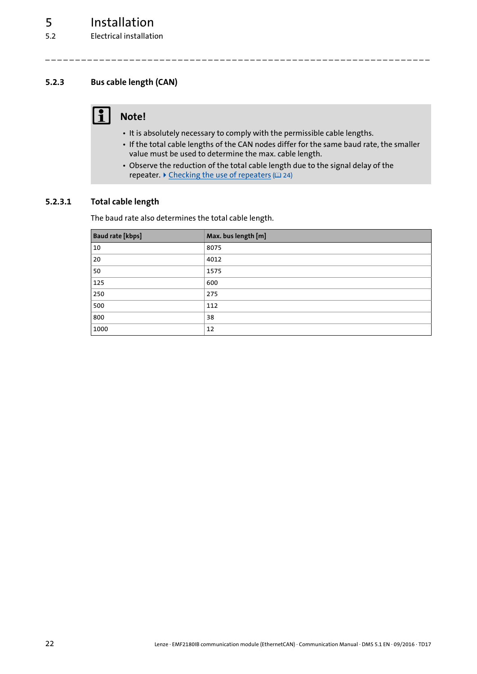### <span id="page-21-0"></span>**5.2.3 Bus cable length (CAN)**

### <span id="page-21-2"></span>**1** Note!

- It is absolutely necessary to comply with the permissible cable lengths.
- If the total cable lengths of the CAN nodes differ for the same baud rate, the smaller value must be used to determine the max. cable length.

\_ \_ \_ \_ \_ \_ \_ \_ \_ \_ \_ \_ \_ \_ \_ \_ \_ \_ \_ \_ \_ \_ \_ \_ \_ \_ \_ \_ \_ \_ \_ \_ \_ \_ \_ \_ \_ \_ \_ \_ \_ \_ \_ \_ \_ \_ \_ \_ \_ \_ \_ \_ \_ \_ \_ \_ \_ \_ \_ \_ \_ \_ \_ \_

• Observe the reduction of the total cable length due to the signal delay of the repeater.  $\blacktriangleright$  [Checking the use of repeaters](#page-23-0) ( $\boxplus$  [24\)](#page-23-0)

### <span id="page-21-1"></span>**5.2.3.1 Total cable length**

<span id="page-21-3"></span>The baud rate also determines the total cable length.

| <b>Baud rate [kbps]</b> | Max. bus length [m] |
|-------------------------|---------------------|
| 10                      | 8075                |
| 20                      | 4012                |
| 50                      | 1575                |
| 125                     | 600                 |
| 250                     | 275                 |
| 500                     | 112                 |
| 800                     | 38                  |
| 1000                    | 12                  |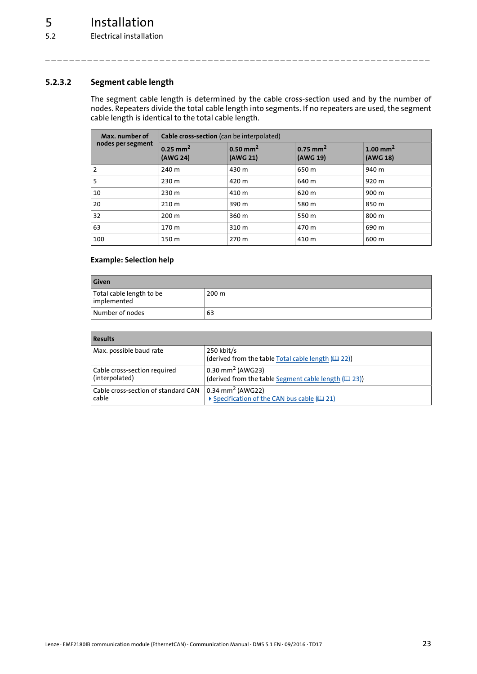### <span id="page-22-0"></span>**5.2.3.2 Segment cable length**

<span id="page-22-1"></span>The segment cable length is determined by the cable cross-section used and by the number of nodes. Repeaters divide the total cable length into segments. If no repeaters are used, the segment cable length is identical to the total cable length.

\_ \_ \_ \_ \_ \_ \_ \_ \_ \_ \_ \_ \_ \_ \_ \_ \_ \_ \_ \_ \_ \_ \_ \_ \_ \_ \_ \_ \_ \_ \_ \_ \_ \_ \_ \_ \_ \_ \_ \_ \_ \_ \_ \_ \_ \_ \_ \_ \_ \_ \_ \_ \_ \_ \_ \_ \_ \_ \_ \_ \_ \_ \_ \_

| Max. number of    | Cable cross-section (can be interpolated) |                                    |                                    |                                  |
|-------------------|-------------------------------------------|------------------------------------|------------------------------------|----------------------------------|
| nodes per segment | $0.25$ mm <sup>2</sup><br>(AWG 24)        | $0.50$ mm <sup>2</sup><br>(AWG 21) | $0.75$ mm <sup>2</sup><br>(AWG 19) | 1.00 mm <sup>2</sup><br>(AWG 18) |
| $\overline{2}$    | 240 m                                     | 430 m                              | 650 m                              | 940 m                            |
| 5                 | 230 m                                     | 420 m                              | 640 m                              | 920 m                            |
| 10                | 230 m                                     | 410 m                              | 620 m                              | 900 m                            |
| 20                | 210 m                                     | 390 m                              | 580 m                              | 850 m                            |
| 32                | 200 <sub>m</sub>                          | 360 m                              | 550 m                              | 800 m                            |
| 63                | 170 m                                     | 310 m                              | 470 m                              | 690 m                            |
| 100               | 150 m                                     | 270 m                              | 410 m                              | 600 m                            |

### **Example: Selection help**

| <b>Given</b>                            |                  |  |
|-----------------------------------------|------------------|--|
| Total cable length to be<br>implemented | 200 <sub>m</sub> |  |
| Number of nodes                         | 63               |  |

| <b>Results</b>                        |                                                                   |
|---------------------------------------|-------------------------------------------------------------------|
| Max. possible baud rate               | 250 kbit/s<br>(derived from the table Total cable length (QQ 22)) |
| Cable cross-section required          | $0.30$ mm <sup>2</sup> (AWG23)                                    |
| (interpolated)                        | (derived from the table Segment cable length (123))               |
| l Cable cross-section of standard CAN | $0.34$ mm <sup>2</sup> (AWG22)                                    |
| cable                                 | ▶ Specification of the CAN bus cable (□ 21)                       |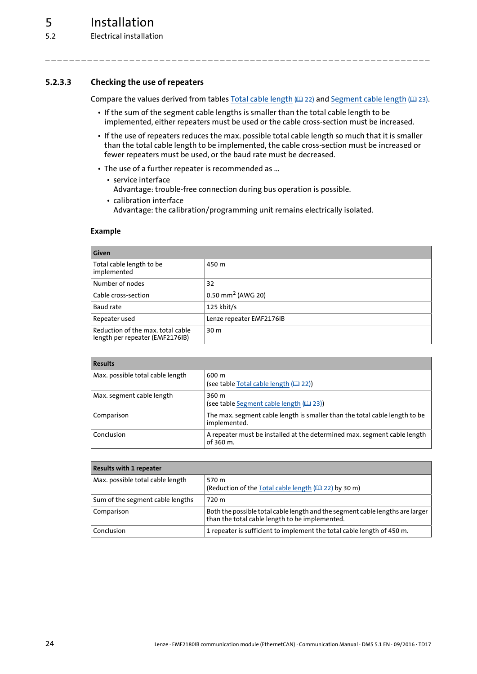5.2 Electrical installation

### <span id="page-23-0"></span>**5.2.3.3 Checking the use of repeaters**

<span id="page-23-1"></span>Compare the values derived from tables [Total cable length](#page-21-1)  $(42)$  and [Segment cable length](#page-22-0)  $(42)$  [23\)](#page-22-0).

• If the sum of the segment cable lengths is smaller than the total cable length to be implemented, either repeaters must be used or the cable cross-section must be increased.

\_ \_ \_ \_ \_ \_ \_ \_ \_ \_ \_ \_ \_ \_ \_ \_ \_ \_ \_ \_ \_ \_ \_ \_ \_ \_ \_ \_ \_ \_ \_ \_ \_ \_ \_ \_ \_ \_ \_ \_ \_ \_ \_ \_ \_ \_ \_ \_ \_ \_ \_ \_ \_ \_ \_ \_ \_ \_ \_ \_ \_ \_ \_ \_

- If the use of repeaters reduces the max. possible total cable length so much that it is smaller than the total cable length to be implemented, the cable cross-section must be increased or fewer repeaters must be used, or the baud rate must be decreased.
- The use of a further repeater is recommended as ...
	- service interface Advantage: trouble-free connection during bus operation is possible.
	- calibration interface Advantage: the calibration/programming unit remains electrically isolated.

#### **Example**

| <b>Given</b>                                                         |                                 |  |
|----------------------------------------------------------------------|---------------------------------|--|
| Total cable length to be<br>implemented                              | 450 m                           |  |
| Number of nodes                                                      | 32                              |  |
| Cable cross-section                                                  | $0.50$ mm <sup>2</sup> (AWG 20) |  |
| Baud rate                                                            | $125$ kbit/s                    |  |
| Repeater used                                                        | Lenze repeater EMF2176IB        |  |
| Reduction of the max, total cable<br>length per repeater (EMF2176IB) | 30 <sub>m</sub>                 |  |

| <b>Results</b>                   |                                                                                            |  |
|----------------------------------|--------------------------------------------------------------------------------------------|--|
| Max. possible total cable length | 600 m<br>(see table Total cable length (QQ 22))                                            |  |
| Max. segment cable length        | 360 m<br>(see table Segment cable length (12 23))                                          |  |
| Comparison                       | The max. segment cable length is smaller than the total cable length to be<br>implemented. |  |
| Conclusion                       | A repeater must be installed at the determined max. segment cable length<br>of 360 m.      |  |

| <b>Results with 1 repeater</b>   |                                                                                                                                 |
|----------------------------------|---------------------------------------------------------------------------------------------------------------------------------|
| Max. possible total cable length | 570 m<br>(Reduction of the Total cable length ([22] 22) by 30 m)                                                                |
| Sum of the segment cable lengths | 720 m                                                                                                                           |
| Comparison                       | Both the possible total cable length and the segment cable lengths are larger<br>than the total cable length to be implemented. |
| Conclusion                       | 1 repeater is sufficient to implement the total cable length of 450 m.                                                          |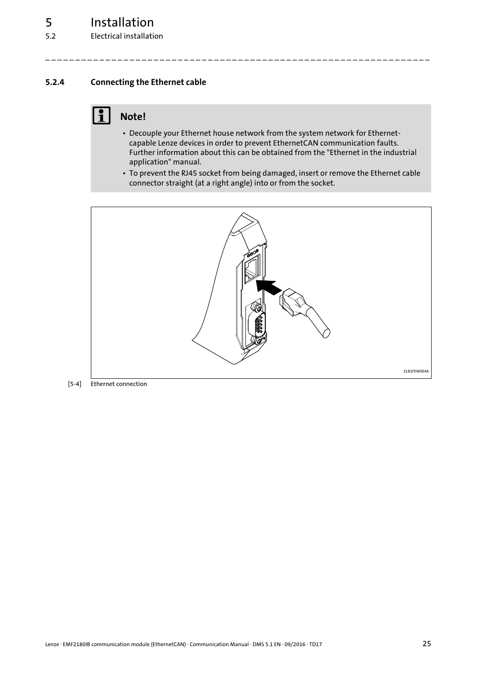### <span id="page-24-0"></span>**5.2.4 Connecting the Ethernet cable**

### <span id="page-24-1"></span>**Note!**

• Decouple your Ethernet house network from the system network for Ethernetcapable Lenze devices in order to prevent EthernetCAN communication faults. Further information about this can be obtained from the "Ethernet in the industrial application" manual.

\_ \_ \_ \_ \_ \_ \_ \_ \_ \_ \_ \_ \_ \_ \_ \_ \_ \_ \_ \_ \_ \_ \_ \_ \_ \_ \_ \_ \_ \_ \_ \_ \_ \_ \_ \_ \_ \_ \_ \_ \_ \_ \_ \_ \_ \_ \_ \_ \_ \_ \_ \_ \_ \_ \_ \_ \_ \_ \_ \_ \_ \_ \_ \_

• To prevent the RJ45 socket from being damaged, insert or remove the Ethernet cable connector straight (at a right angle) into or from the socket.



[5-4] Ethernet connection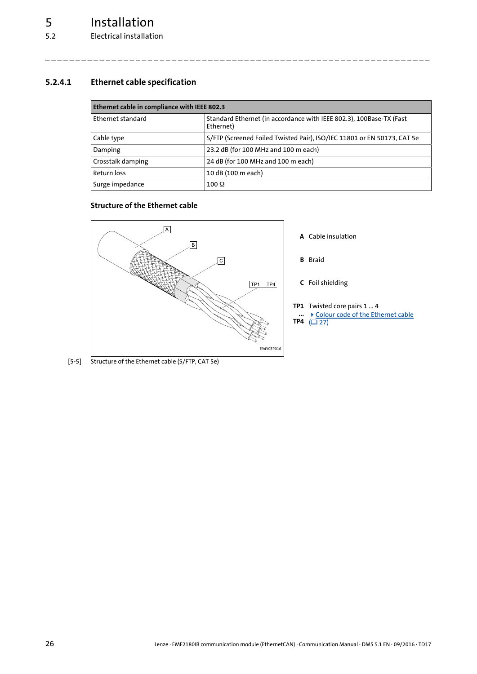5.2 Electrical installation

### <span id="page-25-0"></span>**5.2.4.1 Ethernet cable specification**

<span id="page-25-1"></span>

| Ethernet cable in compliance with IEEE 802.3 |                                                                                  |  |
|----------------------------------------------|----------------------------------------------------------------------------------|--|
| l Ethernet standard                          | Standard Ethernet (in accordance with IEEE 802.3), 100Base-TX (Fast<br>Ethernet) |  |
| Cable type                                   | S/FTP (Screened Foiled Twisted Pair), ISO/IEC 11801 or EN 50173, CAT 5e          |  |
| Damping                                      | 23.2 dB (for 100 MHz and 100 m each)                                             |  |
| <b>Crosstalk damping</b>                     | 24 dB (for 100 MHz and 100 m each)                                               |  |
| <b>Return loss</b>                           | 10 dB (100 m each)                                                               |  |
| Surge impedance                              | $100 \Omega$                                                                     |  |

\_ \_ \_ \_ \_ \_ \_ \_ \_ \_ \_ \_ \_ \_ \_ \_ \_ \_ \_ \_ \_ \_ \_ \_ \_ \_ \_ \_ \_ \_ \_ \_ \_ \_ \_ \_ \_ \_ \_ \_ \_ \_ \_ \_ \_ \_ \_ \_ \_ \_ \_ \_ \_ \_ \_ \_ \_ \_ \_ \_ \_ \_ \_ \_

### <span id="page-25-3"></span><span id="page-25-2"></span>**Structure of the Ethernet cable**



[5-5] Structure of the Ethernet cable (S/FTP, CAT 5e)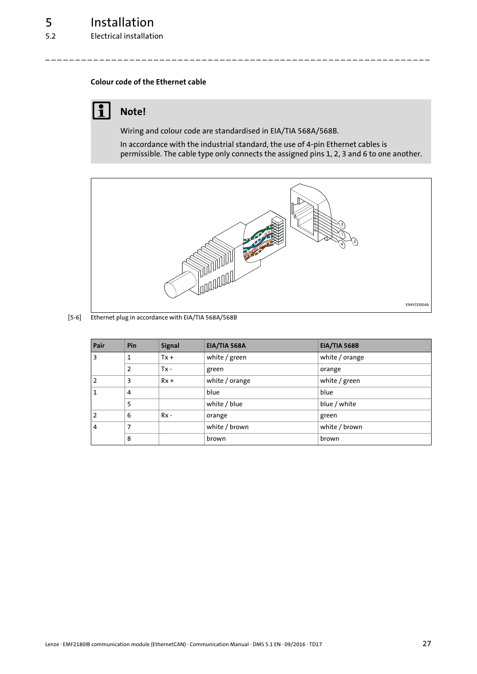### <span id="page-26-2"></span><span id="page-26-1"></span><span id="page-26-0"></span>**Colour code of the Ethernet cable**

### **1** Note!

Wiring and colour code are standardised in EIA/TIA 568A/568B.

\_ \_ \_ \_ \_ \_ \_ \_ \_ \_ \_ \_ \_ \_ \_ \_ \_ \_ \_ \_ \_ \_ \_ \_ \_ \_ \_ \_ \_ \_ \_ \_ \_ \_ \_ \_ \_ \_ \_ \_ \_ \_ \_ \_ \_ \_ \_ \_ \_ \_ \_ \_ \_ \_ \_ \_ \_ \_ \_ \_ \_ \_ \_ \_

In accordance with the industrial standard, the use of 4-pin Ethernet cables is permissible. The cable type only connects the assigned pins 1, 2, 3 and 6 to one another.



[5-6] Ethernet plug in accordance with EIA/TIA 568A/568B

| Pair | Pin            | <b>Signal</b> | EIA/TIA 568A   | EIA/TIA 568B   |
|------|----------------|---------------|----------------|----------------|
| 3    |                | $Tx +$        | white / green  | white / orange |
|      | $\overline{2}$ | $Tx -$        | green          | orange         |
|      | 3              | $Rx +$        | white / orange | white / green  |
|      | 4              |               | blue           | blue           |
|      | 5              |               | white / blue   | blue / white   |
| 2    | 6              | $Rx -$        | orange         | green          |
| 4    | 7              |               | white / brown  | white / brown  |
|      | 8              |               | brown          | brown          |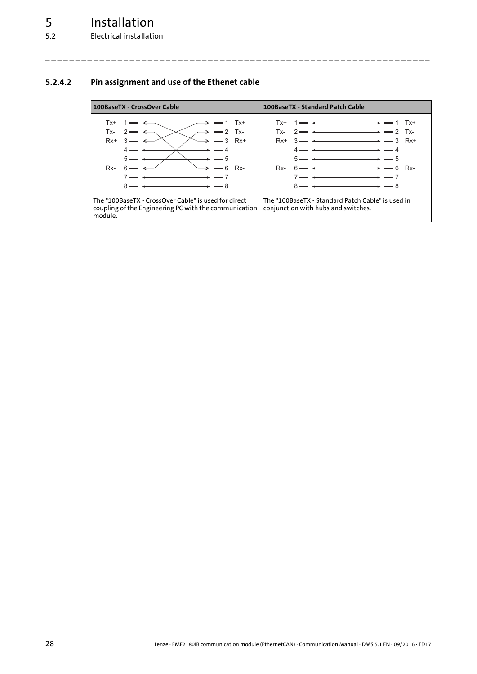### <span id="page-27-0"></span>**5.2.4.2 Pin assignment and use of the Ethenet cable**

<span id="page-27-1"></span>

| 100BaseTX - CrossOver Cable                                                                                                                                                                                                                                           | 100BaseTX - Standard Patch Cable                                                                                                                                                                                                                                                    |
|-----------------------------------------------------------------------------------------------------------------------------------------------------------------------------------------------------------------------------------------------------------------------|-------------------------------------------------------------------------------------------------------------------------------------------------------------------------------------------------------------------------------------------------------------------------------------|
| — 1 Tx+<br>Tx+<br>$\rightarrow$ $\rightarrow$ $\rightarrow$ Tx-<br>2.<br>Tx-<br>$\rightarrow$ $\rightarrow$ $\rightarrow$ $\rightarrow$ Rx+<br>$Rx+3$<br>5.<br>$-6$<br>Rx-<br>6.<br>Rx-<br>$8 -$<br>$\overline{\phantom{a}}$ $\rightarrow$ $\overline{\phantom{a}}$ 8 | $Tx + 1 \longrightarrow 1$<br>Tx+<br>— ←———————→ <del>—</del> 2 Tx-<br>$2 \blacktriangleright$<br>Tx-<br>$Rx+3 \longrightarrow 3 \longrightarrow 3 \quad Rx+$<br>- 4<br>$5 \rightarrow 4$<br>$-5$<br>— ← ← ← ← ← → → → ← 6 Rx-<br>6 ►<br>Rx-<br>$8 - 4$<br>$\rightarrow$ $\equiv$ 8 |
| The "100BaseTX - CrossOver Cable" is used for direct<br>coupling of the Engineering PC with the communication<br>module.                                                                                                                                              | The "100BaseTX - Standard Patch Cable" is used in<br>conjunction with hubs and switches.                                                                                                                                                                                            |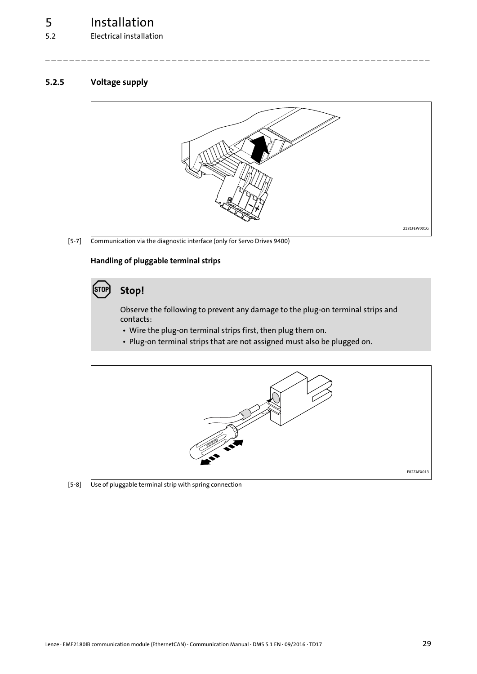5.2 Electrical installation

### <span id="page-28-0"></span>**5.2.5 Voltage supply**

<span id="page-28-1"></span>

\_ \_ \_ \_ \_ \_ \_ \_ \_ \_ \_ \_ \_ \_ \_ \_ \_ \_ \_ \_ \_ \_ \_ \_ \_ \_ \_ \_ \_ \_ \_ \_ \_ \_ \_ \_ \_ \_ \_ \_ \_ \_ \_ \_ \_ \_ \_ \_ \_ \_ \_ \_ \_ \_ \_ \_ \_ \_ \_ \_ \_ \_ \_ \_

[5-7] Communication via the diagnostic interface (only for Servo Drives 9400)

### **Handling of pluggable terminal strips**

### **Stop!**

Observe the following to prevent any damage to the plug-on terminal strips and contacts:

- Wire the plug-on terminal strips first, then plug them on.
- Plug-on terminal strips that are not assigned must also be plugged on.



[5-8] Use of pluggable terminal strip with spring connection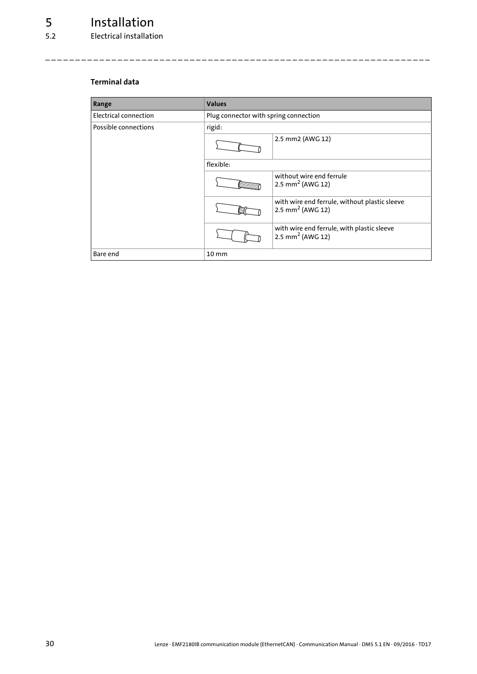### <span id="page-29-0"></span>**Terminal data**

| Range                 | <b>Values</b>                         |                                                                               |  |  |  |  |
|-----------------------|---------------------------------------|-------------------------------------------------------------------------------|--|--|--|--|
| Electrical connection | Plug connector with spring connection |                                                                               |  |  |  |  |
| Possible connections  | rigid:                                |                                                                               |  |  |  |  |
|                       |                                       | 2.5 mm2 (AWG 12)                                                              |  |  |  |  |
|                       | flexible:                             |                                                                               |  |  |  |  |
|                       |                                       | without wire end ferrule<br>2.5 mm <sup>2</sup> (AWG 12)                      |  |  |  |  |
|                       |                                       | with wire end ferrule, without plastic sleeve<br>2.5 mm <sup>2</sup> (AWG 12) |  |  |  |  |
|                       |                                       | with wire end ferrule, with plastic sleeve<br>2.5 mm <sup>2</sup> (AWG 12)    |  |  |  |  |
| Bare end              | $10 \, \text{mm}$                     |                                                                               |  |  |  |  |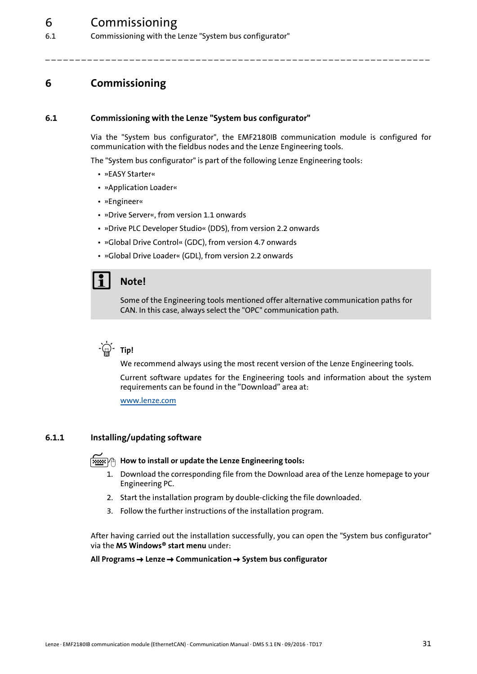6.1 Commissioning with the Lenze "System bus configurator"

### <span id="page-30-3"></span><span id="page-30-0"></span>**6 Commissioning**

### <span id="page-30-1"></span>**6.1 Commissioning with the Lenze "System bus configurator"**

<span id="page-30-4"></span>Via the "System bus configurator", the EMF2180IB communication module is configured for communication with the fieldbus nodes and the Lenze Engineering tools.

The "System bus configurator" is part of the following Lenze Engineering tools:

\_ \_ \_ \_ \_ \_ \_ \_ \_ \_ \_ \_ \_ \_ \_ \_ \_ \_ \_ \_ \_ \_ \_ \_ \_ \_ \_ \_ \_ \_ \_ \_ \_ \_ \_ \_ \_ \_ \_ \_ \_ \_ \_ \_ \_ \_ \_ \_ \_ \_ \_ \_ \_ \_ \_ \_ \_ \_ \_ \_ \_ \_ \_ \_

- »EASY Starter«
- »Application Loader«
- »Engineer«
- »Drive Server«, from version 1.1 onwards
- »Drive PLC Developer Studio« (DDS), from version 2.2 onwards
- »Global Drive Control« (GDC), from version 4.7 onwards
- »Global Drive Loader« (GDL), from version 2.2 onwards

### **Note!**

Some of the Engineering tools mentioned offer alternative communication paths for CAN. In this case, always select the "OPC" communication path.



We recommend always using the most recent version of the Lenze Engineering tools.

Current software updates for the Engineering tools and information about the system requirements can be found in the "Download" area at:

[www.lenze.com](http://www.lenze.com)

### <span id="page-30-2"></span>**6.1.1 Installing/updating software**

### <span id="page-30-5"></span>**How to install or update the Lenze Engineering tools:**

- 1. Download the corresponding file from the Download area of the Lenze homepage to your Engineering PC.
- 2. Start the installation program by double-clicking the file downloaded.
- 3. Follow the further instructions of the installation program.

After having carried out the installation successfully, you can open the "System bus configurator" via the **MS Windows® start menu** under:

#### **All Programs Lenze Communication System bus configurator**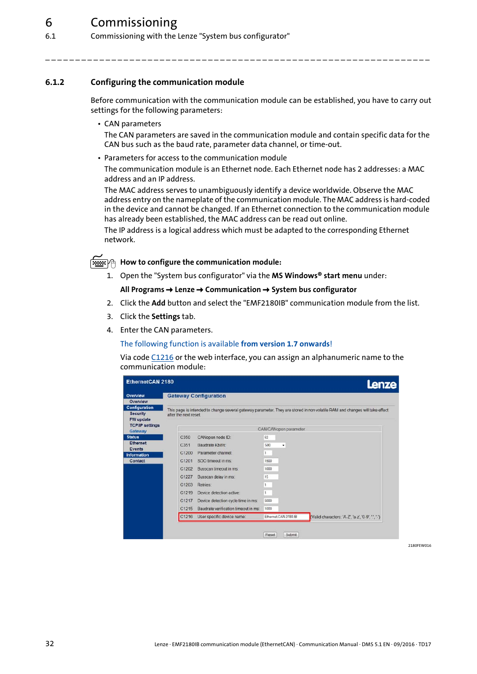6.1 Commissioning with the Lenze "System bus configurator"

### <span id="page-31-0"></span>**6.1.2 Configuring the communication module**

<span id="page-31-1"></span>Before communication with the communication module can be established, you have to carry out settings for the following parameters:

\_ \_ \_ \_ \_ \_ \_ \_ \_ \_ \_ \_ \_ \_ \_ \_ \_ \_ \_ \_ \_ \_ \_ \_ \_ \_ \_ \_ \_ \_ \_ \_ \_ \_ \_ \_ \_ \_ \_ \_ \_ \_ \_ \_ \_ \_ \_ \_ \_ \_ \_ \_ \_ \_ \_ \_ \_ \_ \_ \_ \_ \_ \_ \_

• CAN parameters

The CAN parameters are saved in the communication module and contain specific data for the CAN bus such as the baud rate, parameter data channel, or time-out.

• Parameters for access to the communication module

The communication module is an Ethernet node. Each Ethernet node has 2 addresses: a MAC address and an IP address.

The MAC address serves to unambiguously identify a device worldwide. Observe the MAC address entry on the nameplate of the communication module. The MAC address is hard-coded in the device and cannot be changed. If an Ethernet connection to the communication module has already been established, the MAC address can be read out online.

The IP address is a logical address which must be adapted to the corresponding Ethernet network.

**How to configure the communication module:**

1. Open the "System bus configurator" via the **MS Windows® start menu** under:

### **All Programs Lenze Communication System bus configurator**

- 2. Click the **Add** button and select the "EMF2180IB" communication module from the list.
- 3. Click the **Settings** tab.
- 4. Enter the CAN parameters.

The following function is available **from version 1.7 onwards**!

Via code [C1216](#page-60-0) or the web interface, you can assign an alphanumeric name to the communication module:

| Overview<br>Overview                          |                             | <b>Gateway Configuration</b>         |      |                       |                                                                                                                             |
|-----------------------------------------------|-----------------------------|--------------------------------------|------|-----------------------|-----------------------------------------------------------------------------------------------------------------------------|
| Configuration<br><b>Security</b><br>FW update | after the next reset.       |                                      |      |                       | This page is intended to change several gateway parameter. They are stored in non volatile RAM and changes will take effect |
| <b>TCP/IP settings</b><br>Gateway             |                             |                                      |      | CAN/CANopen parameter |                                                                                                                             |
|                                               | C350                        | CANopen node ID:                     | 62   |                       |                                                                                                                             |
| <b>Ethernet</b>                               | C351                        | Baudrate Kbit/s:                     | 500  | ۰                     |                                                                                                                             |
| Events<br><b>Information</b>                  | C1200                       | Parameter channel:                   | 1    |                       |                                                                                                                             |
| <b>Contact</b>                                | C1201<br>SDO timeout in ms: |                                      | 1500 |                       |                                                                                                                             |
|                                               | C1202                       | Busscan timeout in ms:               | 1000 |                       |                                                                                                                             |
|                                               | C1227                       | Busscan delay in ms:                 | 15   |                       |                                                                                                                             |
|                                               | C <sub>1203</sub>           | <b>Retries:</b>                      | 1    |                       |                                                                                                                             |
|                                               | C1219                       | Device detection active:             | 1    |                       |                                                                                                                             |
|                                               | C <sub>1217</sub>           | Device detection cycle time in ms:   | 5000 |                       |                                                                                                                             |
|                                               | C1215                       | Baudrate verification timeout in ms: | 1000 |                       |                                                                                                                             |
|                                               | C1216                       | User specific device name:           |      | Ethernet CAN 2180.IB  | (Valid characters: 'A-Z', 'a-z', '0-9', '.', '-')                                                                           |
|                                               |                             |                                      |      |                       |                                                                                                                             |

**2180EEW016**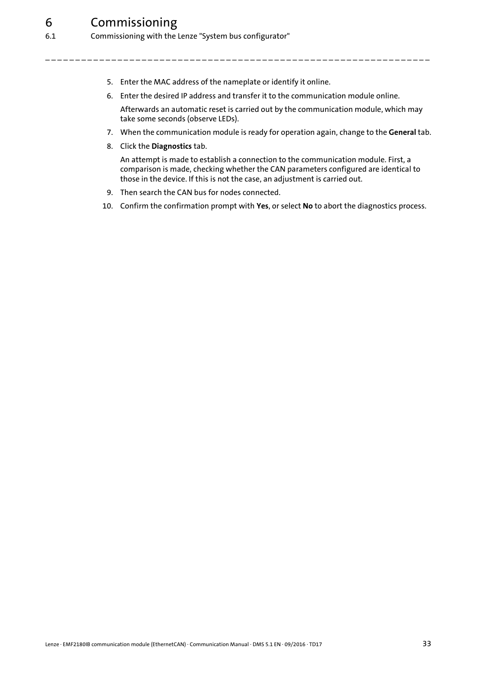- 5. Enter the MAC address of the nameplate or identify it online.
- 6. Enter the desired IP address and transfer it to the communication module online.

\_ \_ \_ \_ \_ \_ \_ \_ \_ \_ \_ \_ \_ \_ \_ \_ \_ \_ \_ \_ \_ \_ \_ \_ \_ \_ \_ \_ \_ \_ \_ \_ \_ \_ \_ \_ \_ \_ \_ \_ \_ \_ \_ \_ \_ \_ \_ \_ \_ \_ \_ \_ \_ \_ \_ \_ \_ \_ \_ \_ \_ \_ \_ \_

Afterwards an automatic reset is carried out by the communication module, which may take some seconds (observe LEDs).

- 7. When the communication module is ready for operation again, change to the **General** tab.
- 8. Click the **Diagnostics** tab.

An attempt is made to establish a connection to the communication module. First, a comparison is made, checking whether the CAN parameters configured are identical to those in the device. If this is not the case, an adjustment is carried out.

- 9. Then search the CAN bus for nodes connected.
- 10. Confirm the confirmation prompt with **Yes**, or select **No** to abort the diagnostics process.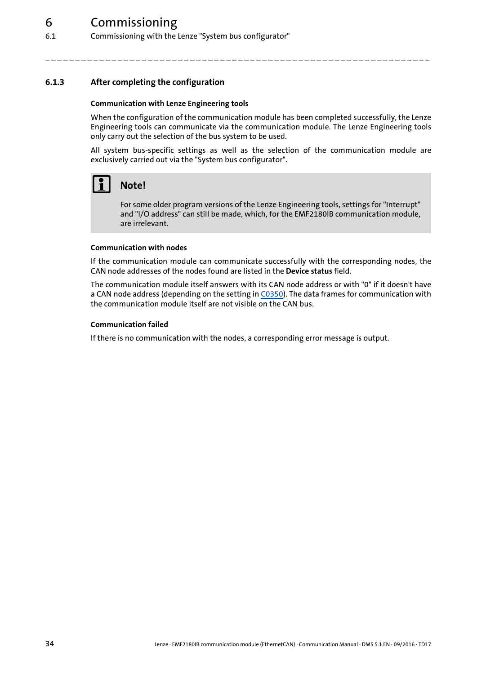6.1 Commissioning with the Lenze "System bus configurator"

### <span id="page-33-0"></span>**6.1.3 After completing the configuration**

### <span id="page-33-1"></span>**Communication with Lenze Engineering tools**

When the configuration of the communication module has been completed successfully, the Lenze Engineering tools can communicate via the communication module. The Lenze Engineering tools only carry out the selection of the bus system to be used.

\_ \_ \_ \_ \_ \_ \_ \_ \_ \_ \_ \_ \_ \_ \_ \_ \_ \_ \_ \_ \_ \_ \_ \_ \_ \_ \_ \_ \_ \_ \_ \_ \_ \_ \_ \_ \_ \_ \_ \_ \_ \_ \_ \_ \_ \_ \_ \_ \_ \_ \_ \_ \_ \_ \_ \_ \_ \_ \_ \_ \_ \_ \_ \_

All system bus-specific settings as well as the selection of the communication module are exclusively carried out via the "System bus configurator".



### **Note!**

For some older program versions of the Lenze Engineering tools, settings for "Interrupt" and "I/O address" can still be made, which, for the EMF2180IB communication module, are irrelevant.

#### **Communication with nodes**

If the communication module can communicate successfully with the corresponding nodes, the CAN node addresses of the nodes found are listed in the **Device status** field.

The communication module itself answers with its CAN node address or with "0" if it doesn't have a CAN node address (depending on the setting in [C0350\)](#page-53-0). The data frames for communication with the communication module itself are not visible on the CAN bus.

#### **Communication failed**

If there is no communication with the nodes, a corresponding error message is output.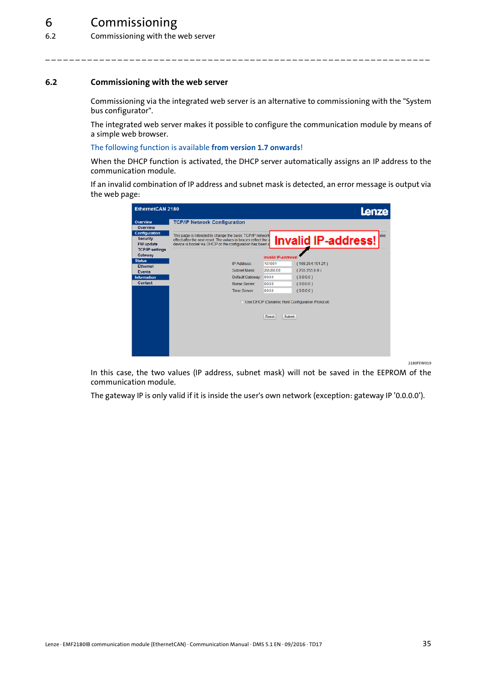6.2 Commissioning with the web server

### <span id="page-34-0"></span>**6.2 Commissioning with the web server**

<span id="page-34-1"></span>Commissioning via the integrated web server is an alternative to commissioning with the "System bus configurator".

\_ \_ \_ \_ \_ \_ \_ \_ \_ \_ \_ \_ \_ \_ \_ \_ \_ \_ \_ \_ \_ \_ \_ \_ \_ \_ \_ \_ \_ \_ \_ \_ \_ \_ \_ \_ \_ \_ \_ \_ \_ \_ \_ \_ \_ \_ \_ \_ \_ \_ \_ \_ \_ \_ \_ \_ \_ \_ \_ \_ \_ \_ \_ \_

The integrated web server makes it possible to configure the communication module by means of a simple web browser.

#### The following function is available **from version 1.7 onwards**!

When the DHCP function is activated, the DHCP server automatically assigns an IP address to the communication module.

If an invalid combination of IP address and subnet mask is detected, an error message is output via the web page:

| EthernetCAN 2180                 |                                                                                                                           |                           | Lenze                                          |
|----------------------------------|---------------------------------------------------------------------------------------------------------------------------|---------------------------|------------------------------------------------|
| Overview                         | <b>TCP/IP Network Configuration</b>                                                                                       |                           |                                                |
| Overview<br><b>Configuration</b> |                                                                                                                           |                           |                                                |
| <b>Security</b>                  | This page is intended to change the basic TCP/IP network<br>effect after the next reset. The values in braces reflect the |                           | ake<br><b>Invalid IP-address!</b>              |
| <b>FW</b> update                 | device is bootet via DHCP or the configuration has been a                                                                 |                           |                                                |
| <b>TCP/IP settings</b>           |                                                                                                                           |                           |                                                |
| Gateway                          |                                                                                                                           | <b>Invalid IP-address</b> |                                                |
| <b>Status</b><br>Ethernet        | <b>IP Address:</b>                                                                                                        | 127,00.1                  | (169.254.151.21)                               |
| Events                           | Subnet Mask:                                                                                                              | 255,255,0.0               | (255.255.0.0)                                  |
| <b>Information</b>               | Default Gateway:                                                                                                          | 0.0.0.0                   | (0.0.0.0)                                      |
| <b>Contact</b>                   | Name Server:                                                                                                              | 0.0.0.0                   | (0.0.0.0)                                      |
|                                  | <b>Time Server:</b>                                                                                                       | 0000                      | (0.0.0.0)                                      |
|                                  |                                                                                                                           |                           | Use DHCP (Dynamic Host Configuration Protocol) |
|                                  |                                                                                                                           | Reset                     | Submit                                         |
|                                  |                                                                                                                           |                           |                                                |
|                                  |                                                                                                                           |                           |                                                |
|                                  |                                                                                                                           |                           |                                                |
|                                  |                                                                                                                           |                           |                                                |
|                                  |                                                                                                                           |                           |                                                |

In this case, the two values (IP address, subnet mask) will not be saved in the EEPROM of the communication module.

The gateway IP is only valid if it is inside the user's own network (exception: gateway IP '0.0.0.0').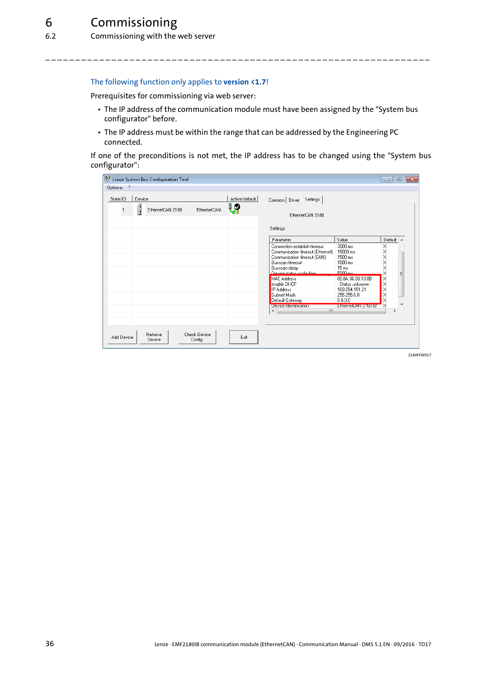### The following function only applies to **version <1.7**!

Prerequisites for commissioning via web server:

- The IP address of the communication module must have been assigned by the "System bus configurator" before.
- The IP address must be within the range that can be addressed by the Engineering PC connected.

\_ \_ \_ \_ \_ \_ \_ \_ \_ \_ \_ \_ \_ \_ \_ \_ \_ \_ \_ \_ \_ \_ \_ \_ \_ \_ \_ \_ \_ \_ \_ \_ \_ \_ \_ \_ \_ \_ \_ \_ \_ \_ \_ \_ \_ \_ \_ \_ \_ \_ \_ \_ \_ \_ \_ \_ \_ \_ \_ \_ \_ \_ \_ \_

If one of the preconditions is not met, the IP address has to be changed using the "System bus configurator":

| 於 Lenze System Bus Configuration Tool                                               |                                                                                                                                                                                                                                                                                                  |                                                                                                                                                                             | $\Box$                                                                        | $\mathbf{x}$<br>$\Box$ |
|-------------------------------------------------------------------------------------|--------------------------------------------------------------------------------------------------------------------------------------------------------------------------------------------------------------------------------------------------------------------------------------------------|-----------------------------------------------------------------------------------------------------------------------------------------------------------------------------|-------------------------------------------------------------------------------|------------------------|
| Options ?                                                                           |                                                                                                                                                                                                                                                                                                  |                                                                                                                                                                             |                                                                               |                        |
| active/default<br>Device<br>State/ID<br>48<br>I<br>EthernetCAN-<br>EthernetCAN 2180 | Settings<br>Common Driver<br>EthernetCAN 2180<br>Settings:                                                                                                                                                                                                                                       |                                                                                                                                                                             |                                                                               |                        |
|                                                                                     | Parameter                                                                                                                                                                                                                                                                                        | Value                                                                                                                                                                       | Default A                                                                     |                        |
|                                                                                     | Connection establish timeout<br>Communication timeout (Ethernet)<br>Communication timeout (CAN)<br>Busscan timeout<br>Busscan delay<br>Device status cucle time.<br><b>MAC Address</b><br>enable DHCP<br><b>IP</b> Address<br>Subnet Mask<br>Default Gateway<br>Device Identification<br>m.<br>∢ | 3000 ms<br>15000 ms<br>1500 ms<br>1000 ms<br>15 ms<br>5000 ms.<br>00.0A.86.80.10.8B<br>- Status unknown -<br>169.254.151.21<br>255.255.0.0<br>0.0.0.0<br>EthernetCAN-Z1804B | $\times$<br>$\times$<br>$\times$<br>X<br>X<br>X<br>X<br>X<br>×<br>×<br>X<br>× | Ξ                      |
| <b>Check Device</b><br>Remove<br>Add Device<br>Exit<br>Device<br>Config.            |                                                                                                                                                                                                                                                                                                  |                                                                                                                                                                             |                                                                               |                        |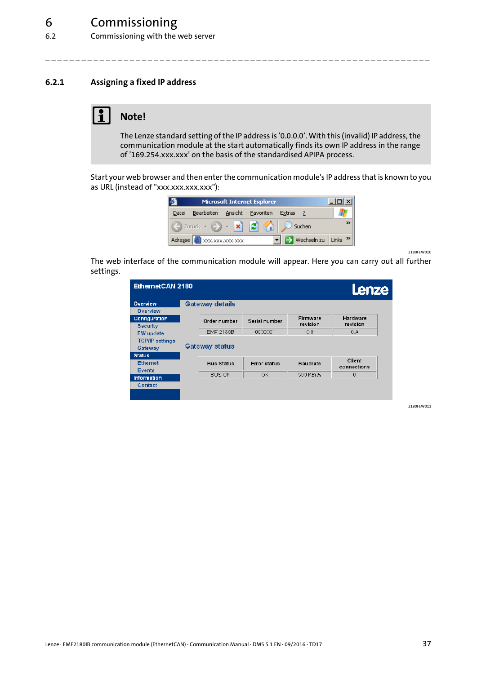6.2 Commissioning with the web server

### <span id="page-36-0"></span>**6.2.1 Assigning a fixed IP address**

### <span id="page-36-1"></span>**Note!**

The Lenze standard setting of the IP address is '0.0.0.0'. With this (invalid) IP address, the communication module at the start automatically finds its own IP address in the range of '169.254.xxx.xxx' on the basis of the standardised APIPA process.

\_ \_ \_ \_ \_ \_ \_ \_ \_ \_ \_ \_ \_ \_ \_ \_ \_ \_ \_ \_ \_ \_ \_ \_ \_ \_ \_ \_ \_ \_ \_ \_ \_ \_ \_ \_ \_ \_ \_ \_ \_ \_ \_ \_ \_ \_ \_ \_ \_ \_ \_ \_ \_ \_ \_ \_ \_ \_ \_ \_ \_ \_ \_ \_

Start your web browser and then enter the communication module's IP address that is known to you as URL (instead of "xxx.xxx.xxx.xxx"):

| <b>B</b> |                                                                                                                                                                                                                                              |         | <b>Microsoft Internet Explorer</b> |          |                       |
|----------|----------------------------------------------------------------------------------------------------------------------------------------------------------------------------------------------------------------------------------------------|---------|------------------------------------|----------|-----------------------|
| Datei    | Bearbeiten                                                                                                                                                                                                                                   | Ansicht | Favoriten                          | Extras ? |                       |
|          | $\begin{bmatrix} \Box \ \end{bmatrix}$ Zurück $\mathbf{v} = \begin{bmatrix} \mathbf{v} \\ \mathbf{v} \end{bmatrix}$ $\begin{bmatrix} \mathbf{c} \\ \mathbf{c} \end{bmatrix}$ $\begin{bmatrix} \mathbf{c} \\ \mathbf{v} \end{bmatrix}$ Suchen |         |                                    |          |                       |
|          | Adresse 2 xxx, xxx, xxx, xxx                                                                                                                                                                                                                 |         |                                    |          | → Wechseln zu Links > |

2180FEW010

The web interface of the communication module will appear. Here you can carry out all further settings.

| EthernetCAN 2180                               |                                           |               |                      | Lenze                 |
|------------------------------------------------|-------------------------------------------|---------------|----------------------|-----------------------|
| Overview<br>Overview                           | <b>Gateway details</b>                    |               |                      |                       |
| Configuration<br>Security                      | Order number                              | Serial number | Firmware<br>revision | Hardware<br>revision  |
| FW update<br><b>TCP/IP settings</b><br>Gateway | <b>EMF 2180B</b><br><b>Gateway status</b> | 0000001       | 0.8                  | 0.A                   |
| <b>Status</b><br><b>Ethernet</b><br>Events     | <b>Bus Status</b>                         | Error status  | Baudrate             | Client<br>connections |
| Information                                    | BUS-ON                                    | 0K.           | 500 KBit/s           | $\Omega$              |
| Contact                                        |                                           |               |                      |                       |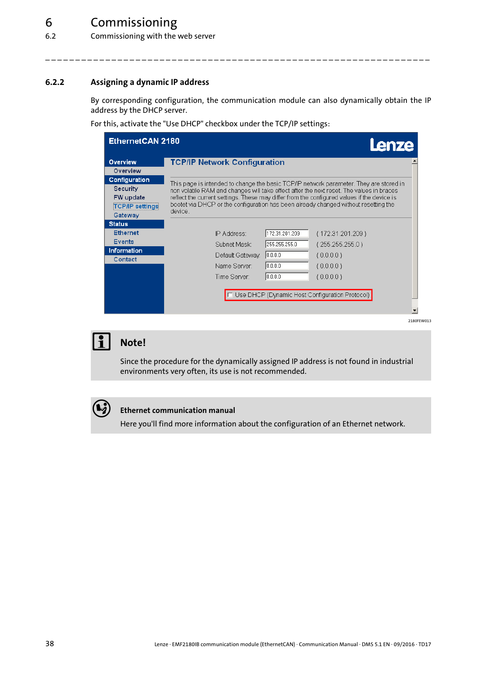6.2 Commissioning with the web server

### <span id="page-37-0"></span>**6.2.2 Assigning a dynamic IP address**

<span id="page-37-1"></span>By corresponding configuration, the communication module can also dynamically obtain the IP address by the DHCP server.

\_ \_ \_ \_ \_ \_ \_ \_ \_ \_ \_ \_ \_ \_ \_ \_ \_ \_ \_ \_ \_ \_ \_ \_ \_ \_ \_ \_ \_ \_ \_ \_ \_ \_ \_ \_ \_ \_ \_ \_ \_ \_ \_ \_ \_ \_ \_ \_ \_ \_ \_ \_ \_ \_ \_ \_ \_ \_ \_ \_ \_ \_ \_ \_

For this, activate the "Use DHCP" checkbox under the TCP/IP settings:

| EthernetCAN 2180                                                                   | Lenze                                                                                                                                                                                                                                                                                                                                                                              |
|------------------------------------------------------------------------------------|------------------------------------------------------------------------------------------------------------------------------------------------------------------------------------------------------------------------------------------------------------------------------------------------------------------------------------------------------------------------------------|
| Overview<br>Overview                                                               | <b>TCP/IP Network Configuration</b>                                                                                                                                                                                                                                                                                                                                                |
| Configuration<br>Security<br><b>FW</b> update<br><b>TCP/IP settings</b><br>Gateway | This page is intended to change the basic TCP/IP network parameter. They are stored in<br>non volatile RAM and changes will take effect after the next reset. The values in braces<br>reflect the current settings. These may differ from the configured values if the device is<br>bootet via DHCP or the configuration has been already changed without resetting the<br>device. |
| <b>Status</b>                                                                      |                                                                                                                                                                                                                                                                                                                                                                                    |
| <b>Ethernet</b>                                                                    | 172.31.201.209<br>IP Address:<br>(172.31.201.209)                                                                                                                                                                                                                                                                                                                                  |
| <b>Events</b><br>Information                                                       | 255.255.255.0<br>(255.255.255.0)<br>Subnet Mask:                                                                                                                                                                                                                                                                                                                                   |
| Contact                                                                            | 0.0.0.0<br>(0.0.0.0)<br>Default Gateway:                                                                                                                                                                                                                                                                                                                                           |
|                                                                                    | 10.0.0.0<br>(0.0.0.0)<br>Name Server                                                                                                                                                                                                                                                                                                                                               |
|                                                                                    | 0.0.0.0<br>Time Server:<br>(0.0.0.0)                                                                                                                                                                                                                                                                                                                                               |
|                                                                                    | Use DHCP (Dynamic Host Configuration Protocol)                                                                                                                                                                                                                                                                                                                                     |
|                                                                                    | 2180FEW013                                                                                                                                                                                                                                                                                                                                                                         |



### **Note!**

Since the procedure for the dynamically assigned IP address is not found in industrial environments very often, its use is not recommended.

### **Ethernet communication manual**

Here you'll find more information about the configuration of an Ethernet network.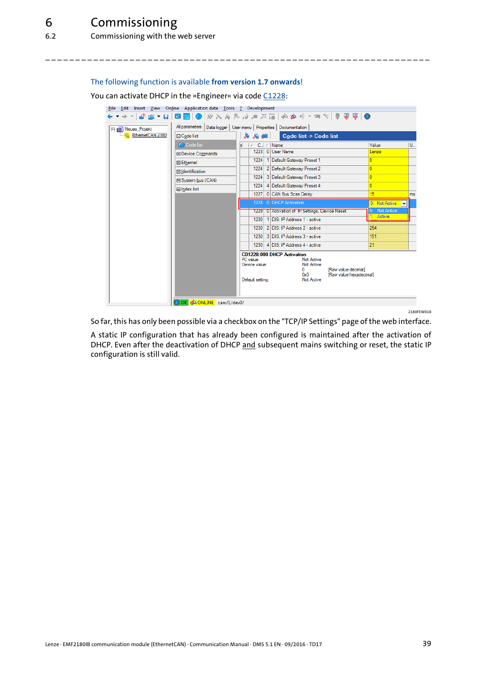### The following function is available **from version 1.7 onwards**!

You can activate DHCP in the »Engineer« via code [C1228:](#page-62-0)

|                     | File Edit Insert View Online Application data Tools ? Development |                                                                                                                                                                    |                                    |
|---------------------|-------------------------------------------------------------------|--------------------------------------------------------------------------------------------------------------------------------------------------------------------|------------------------------------|
| ₫* de * Gil         |                                                                   |                                                                                                                                                                    |                                    |
| Fight Neues_Projekt |                                                                   | All parameters   Data logger   User menu   Properties   Documentation                                                                                              |                                    |
| EthemetCAN 2180     | □ Code list                                                       | 上山氏衣<br>Code list -> Code list                                                                                                                                     |                                    |
|                     | <b>Code list</b>                                                  | $C_{-}$ / Name                                                                                                                                                     | $U_{\rm m}$<br>Value               |
|                     | 田 Device Commands                                                 | 1223 0 User Name                                                                                                                                                   | Lenze                              |
|                     | <b>田 Ethernet</b>                                                 | 1224   1   Default Gateway Preset 1                                                                                                                                | $\bf{0}$                           |
|                     | <b>田</b> Identification                                           | 2 Default Gateway Preset 2<br>1224                                                                                                                                 | $\overline{0}$                     |
|                     | 田 System bus (CAN)                                                | 3 Default Gateway Preset 3<br>1224                                                                                                                                 | $\overline{0}$                     |
|                     | 田 Index list                                                      | 1224<br>4 Default Gateway Preset 4                                                                                                                                 | $\overline{0}$                     |
|                     |                                                                   | 0 CAN Bus Scan Delay<br>1227                                                                                                                                       | 15<br>ms                           |
|                     |                                                                   | 0 DHCP Activation<br>1228                                                                                                                                          | 0: Not Active $\blacktriangledown$ |
|                     |                                                                   | 1229   0 Activation of IP Settings, Device Reset                                                                                                                   | Not Active                         |
|                     |                                                                   | 1230 1 DIS: IP Address 1 - active                                                                                                                                  | 1: Active                          |
|                     |                                                                   | 1230 2 DIS: IP Address 2 - active                                                                                                                                  | 254                                |
|                     |                                                                   | 1230 3 DIS: IP Address 3 - active                                                                                                                                  | 151                                |
|                     |                                                                   | 1230 4 DIS: IP Address 4 - active                                                                                                                                  | 21                                 |
|                     |                                                                   | C01228:000 DHCP Activation                                                                                                                                         |                                    |
|                     |                                                                   | PC value:<br>Not Active<br>Device value:<br>Not Active<br>[Raw value decimal]<br>n<br>[Raw value hexadecimal]<br>0 <sub>x0</sub><br>Default setting:<br>Not Active |                                    |
|                     | OK & ONLINE can:/1/dev0/                                          |                                                                                                                                                                    |                                    |

\_ \_ \_ \_ \_ \_ \_ \_ \_ \_ \_ \_ \_ \_ \_ \_ \_ \_ \_ \_ \_ \_ \_ \_ \_ \_ \_ \_ \_ \_ \_ \_ \_ \_ \_ \_ \_ \_ \_ \_ \_ \_ \_ \_ \_ \_ \_ \_ \_ \_ \_ \_ \_ \_ \_ \_ \_ \_ \_ \_ \_ \_ \_ \_

2180FEW018

So far, this has only been possible via a checkbox on the "TCP/IP Settings" page of the web interface.

A static IP configuration that has already been configured is maintained after the activation of DHCP. Even after the deactivation of DHCP and subsequent mains switching or reset, the static IP configuration is still valid.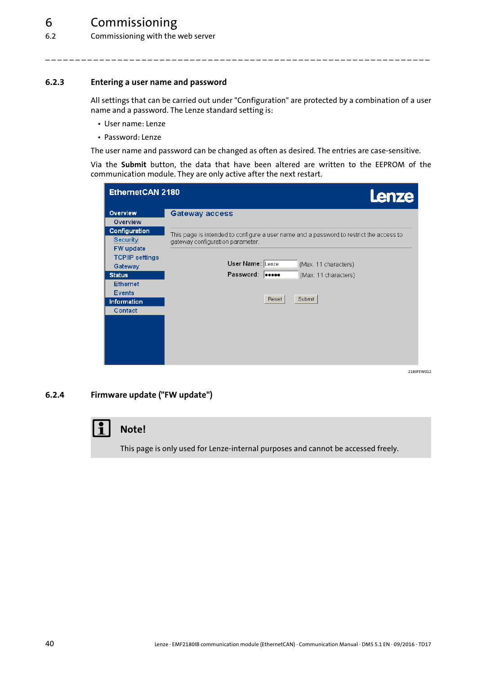6.2 Commissioning with the web server

### <span id="page-39-0"></span>**6.2.3 Entering a user name and password**

All settings that can be carried out under "Configuration" are protected by a combination of a user name and a password. The Lenze standard setting is:

\_ \_ \_ \_ \_ \_ \_ \_ \_ \_ \_ \_ \_ \_ \_ \_ \_ \_ \_ \_ \_ \_ \_ \_ \_ \_ \_ \_ \_ \_ \_ \_ \_ \_ \_ \_ \_ \_ \_ \_ \_ \_ \_ \_ \_ \_ \_ \_ \_ \_ \_ \_ \_ \_ \_ \_ \_ \_ \_ \_ \_ \_ \_ \_

- User name: Lenze
- Password: Lenze

The user name and password can be changed as often as desired. The entries are case-sensitive.

Via the **Submit** button, the data that have been altered are written to the EEPROM of the communication module. They are only active after the next restart.

| EthernetCAN 2180                           | Lenze                                                                                                                       |
|--------------------------------------------|-----------------------------------------------------------------------------------------------------------------------------|
| Overview<br>Overview                       | Gateway access                                                                                                              |
| Configuration                              |                                                                                                                             |
| <b>Security</b>                            | This page is intended to configure a user name and a password to restrict the access to<br>gateway configuration parameter. |
| <b>FW</b> update<br><b>TCP/IP settings</b> |                                                                                                                             |
| Gateway                                    | User Name: Lenze<br>(Max. 11 characters)                                                                                    |
| <b>Status</b>                              | Password: 10000<br>(Max. 11 characters)                                                                                     |
| <b>Ethernet</b><br><b>Events</b>           |                                                                                                                             |
| Information                                | Submit<br>Reset                                                                                                             |
| Contact                                    |                                                                                                                             |
|                                            |                                                                                                                             |
|                                            |                                                                                                                             |
|                                            |                                                                                                                             |
|                                            |                                                                                                                             |

2180FEW012

### <span id="page-39-1"></span>**6.2.4 Firmware update ("FW update")**

### **Note!**

This page is only used for Lenze-internal purposes and cannot be accessed freely.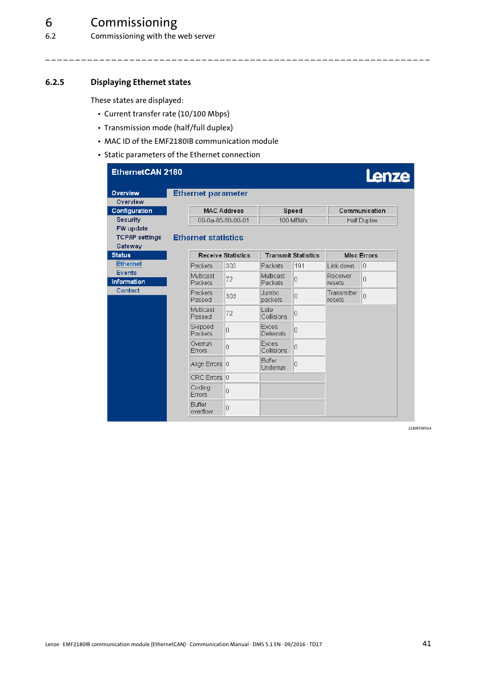6.2 Commissioning with the web server

### <span id="page-40-0"></span>**6.2.5 Displaying Ethernet states**

<span id="page-40-1"></span>These states are displayed:

- Current transfer rate (10/100 Mbps)
- Transmission mode (half/full duplex)
- MAC ID of the EMF2180IB communication module
- Static parameters of the Ethernet connection

| EthernetCAN 2180                    |                   |                            |                    |                             |                            |                    | Lenze              |
|-------------------------------------|-------------------|----------------------------|--------------------|-----------------------------|----------------------------|--------------------|--------------------|
| Overview<br>Overview                |                   | <b>Ethernet parameter</b>  |                    |                             |                            |                    |                    |
| Configuration                       |                   |                            | <b>MAC Address</b> |                             | Speed                      |                    | Communication      |
| Security                            |                   | 00-0a-86-80-00-01          |                    |                             | 100 MBit/s                 |                    | <b>Half Duplex</b> |
| FW update<br><b>TCP/IP settings</b> |                   | <b>Ethernet statistics</b> |                    |                             |                            |                    |                    |
| Gateway<br><b>Status</b>            |                   |                            | Receive Statistics |                             | <b>Transmit Statistics</b> |                    | <b>Misc Errors</b> |
| Ethernet                            |                   | Packets                    | 303                | Packets                     | 191                        | Link down          | 10                 |
| <b>Events</b><br><b>Information</b> |                   | Multicast<br>Packets       | 72                 | <b>Multicast</b><br>Packets | $\Omega$                   | Receiver<br>resets | 0                  |
| Contact                             | Packets<br>Passed | 303                        | Jumbo<br>packets   | $\overline{0}$              | Transmitter<br>resets      | Ō                  |                    |
|                                     |                   | Multicast<br>Passed        | 72                 | Late<br>Collisions          | $\overline{0}$             |                    |                    |
|                                     |                   | Skipped<br>Packets         | 0                  | Exces:<br>Deferrals         | $\overline{0}$             |                    |                    |
|                                     |                   | Overrun<br>Errors          | 0                  | Exces.<br>Collisions        | $\Omega$                   |                    |                    |
|                                     |                   | Align Errors   0           |                    | Buffer<br>Underrun          | $\overline{0}$             |                    |                    |
|                                     |                   | CRC Errors 0               |                    |                             |                            |                    |                    |
|                                     |                   | Coding<br>Errors           | 0                  |                             |                            |                    |                    |
|                                     |                   | Buffer<br>overflow         | 0                  |                             |                            |                    |                    |

\_ \_ \_ \_ \_ \_ \_ \_ \_ \_ \_ \_ \_ \_ \_ \_ \_ \_ \_ \_ \_ \_ \_ \_ \_ \_ \_ \_ \_ \_ \_ \_ \_ \_ \_ \_ \_ \_ \_ \_ \_ \_ \_ \_ \_ \_ \_ \_ \_ \_ \_ \_ \_ \_ \_ \_ \_ \_ \_ \_ \_ \_ \_ \_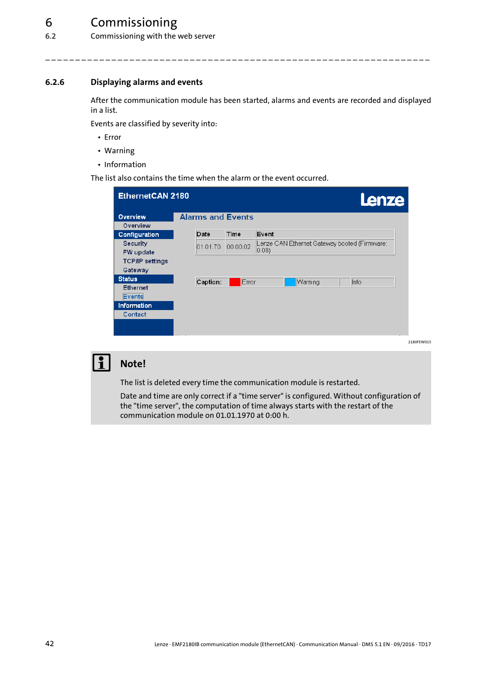6.2 Commissioning with the web server

### <span id="page-41-0"></span>**6.2.6 Displaying alarms and events**

<span id="page-41-1"></span>After the communication module has been started, alarms and events are recorded and displayed in a list.

\_ \_ \_ \_ \_ \_ \_ \_ \_ \_ \_ \_ \_ \_ \_ \_ \_ \_ \_ \_ \_ \_ \_ \_ \_ \_ \_ \_ \_ \_ \_ \_ \_ \_ \_ \_ \_ \_ \_ \_ \_ \_ \_ \_ \_ \_ \_ \_ \_ \_ \_ \_ \_ \_ \_ \_ \_ \_ \_ \_ \_ \_ \_ \_

Events are classified by severity into:

- Error
- Warning
- Information

The list also contains the time when the alarm or the event occurred.

| EthernetCAN 2180       |                          |          | Lenze                                                          |
|------------------------|--------------------------|----------|----------------------------------------------------------------|
| <b>Overview</b>        | <b>Alarms and Events</b> |          |                                                                |
| Overview               |                          |          |                                                                |
| Configuration          | Date                     | Time     | Event                                                          |
| Security               | 01.01.70                 | 00:00:02 | Lenze CAN Ethernet Gateway booted (Firmware:<br>$ 0.08\rangle$ |
| FW update              |                          |          |                                                                |
| <b>TCP/IP settings</b> |                          |          |                                                                |
| Gateway                |                          |          |                                                                |
| <b>Status</b>          | Caption:                 | Error    | Info<br>Warning                                                |
| <b>Ethernet</b>        |                          |          |                                                                |
| Events                 |                          |          |                                                                |
| Information            |                          |          |                                                                |
| Contact                |                          |          |                                                                |
|                        |                          |          |                                                                |
|                        |                          |          |                                                                |
|                        |                          |          |                                                                |

### **Note!**

The list is deleted every time the communication module is restarted.

Date and time are only correct if a "time server" is configured. Without configuration of the "time server", the computation of time always starts with the restart of the communication module on 01.01.1970 at 0:00 h.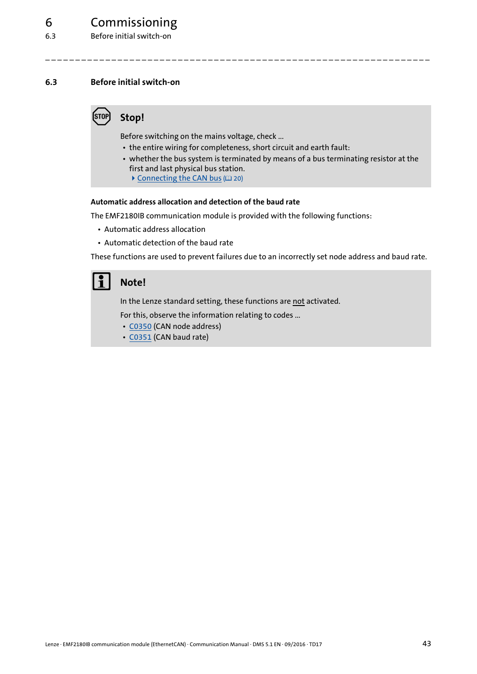### <span id="page-42-0"></span>**6.3 Before initial switch-on**

### <span id="page-42-2"></span>**Stop!**

Before switching on the mains voltage, check ...

• the entire wiring for completeness, short circuit and earth fault:

\_ \_ \_ \_ \_ \_ \_ \_ \_ \_ \_ \_ \_ \_ \_ \_ \_ \_ \_ \_ \_ \_ \_ \_ \_ \_ \_ \_ \_ \_ \_ \_ \_ \_ \_ \_ \_ \_ \_ \_ \_ \_ \_ \_ \_ \_ \_ \_ \_ \_ \_ \_ \_ \_ \_ \_ \_ \_ \_ \_ \_ \_ \_ \_

- whether the bus system is terminated by means of a bus terminating resistor at the first and last physical bus station.
	- $\triangleright$  [Connecting the CAN bus](#page-19-1) ( $\Box$  [20\)](#page-19-1)

### <span id="page-42-1"></span>**Automatic address allocation and detection of the baud rate**

The EMF2180IB communication module is provided with the following functions:

- Automatic address allocation
- Automatic detection of the baud rate

These functions are used to prevent failures due to an incorrectly set node address and baud rate.

### **Note!**

In the Lenze standard setting, these functions are not activated.

For this, observe the information relating to codes ...

- [C0350](#page-53-0) (CAN node address)
- [C0351](#page-53-1) (CAN baud rate)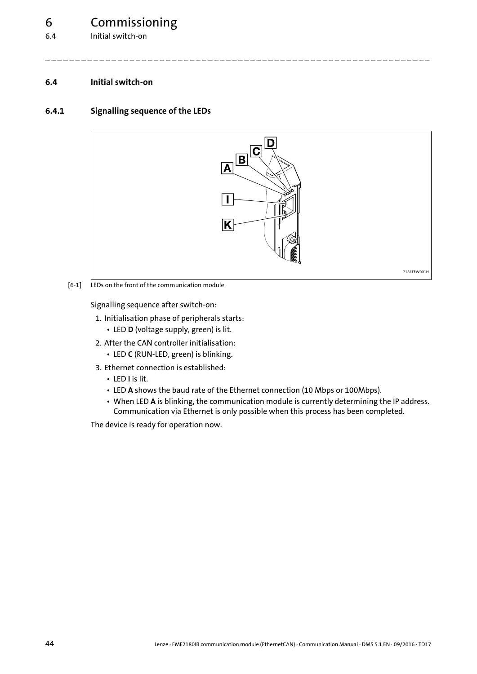6.4 Initial switch-on

### <span id="page-43-2"></span><span id="page-43-0"></span>**6.4 Initial switch-on**

### <span id="page-43-1"></span>**6.4.1 Signalling sequence of the LEDs**

<span id="page-43-3"></span>

\_ \_ \_ \_ \_ \_ \_ \_ \_ \_ \_ \_ \_ \_ \_ \_ \_ \_ \_ \_ \_ \_ \_ \_ \_ \_ \_ \_ \_ \_ \_ \_ \_ \_ \_ \_ \_ \_ \_ \_ \_ \_ \_ \_ \_ \_ \_ \_ \_ \_ \_ \_ \_ \_ \_ \_ \_ \_ \_ \_ \_ \_ \_ \_

[6-1] LEDs on the front of the communication module

Signalling sequence after switch-on:

- 1. Initialisation phase of peripherals starts:
	- LED **D** (voltage supply, green) is lit.
- 2. After the CAN controller initialisation:
	- LED **C** (RUN-LED, green) is blinking.
- 3. Ethernet connection is established:
	- LED **I** is lit.
	- LED **A** shows the baud rate of the Ethernet connection (10 Mbps or 100Mbps).
	- When LED **A** is blinking, the communication module is currently determining the IP address. Communication via Ethernet is only possible when this process has been completed.

The device is ready for operation now.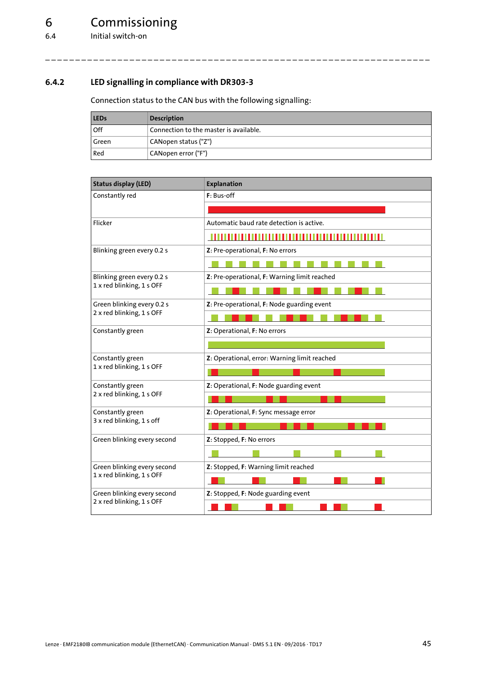### <span id="page-44-0"></span>**6.4.2 LED signalling in compliance with DR303-3**

<span id="page-44-1"></span>Connection status to the CAN bus with the following signalling:

| <b>LEDs</b> | <b>Description</b>                     |
|-------------|----------------------------------------|
| Off         | Connection to the master is available. |
| Green       | CANopen status ("Z")                   |
| Red         | ' CANopen error ("F")                  |

| <b>Status display (LED)</b> | <b>Explanation</b>                           |
|-----------------------------|----------------------------------------------|
| Constantly red              | F: Bus-off                                   |
|                             |                                              |
| Flicker                     | Automatic baud rate detection is active.     |
|                             |                                              |
| Blinking green every 0.2 s  | Z: Pre-operational, F: No errors             |
|                             |                                              |
| Blinking green every 0.2 s  | Z: Pre-operational, F: Warning limit reached |
| 1 x red blinking, 1 s OFF   |                                              |
| Green blinking every 0.2 s  | Z: Pre-operational, F: Node guarding event   |
| 2 x red blinking, 1 s OFF   |                                              |
| Constantly green            | Z: Operational, F: No errors                 |
|                             |                                              |
| Constantly green            | Z: Operational, error: Warning limit reached |
| 1 x red blinking, 1 s OFF   |                                              |
| Constantly green            | Z: Operational, F: Node guarding event       |
| 2 x red blinking, 1 s OFF   |                                              |
| Constantly green            | Z: Operational, F: Sync message error        |
| 3 x red blinking, 1 s off   |                                              |
| Green blinking every second | Z: Stopped, F: No errors                     |
|                             |                                              |
| Green blinking every second | Z: Stopped, F: Warning limit reached         |
| 1 x red blinking, 1 s OFF   |                                              |
| Green blinking every second | Z: Stopped, F: Node guarding event           |
| 2 x red blinking, 1 s OFF   |                                              |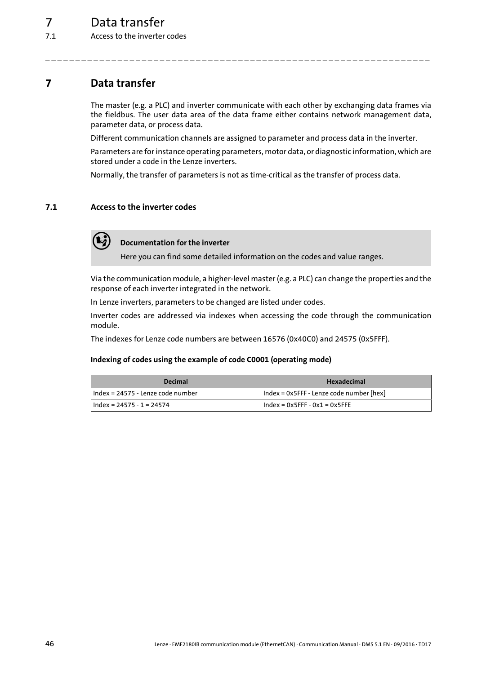### <span id="page-45-0"></span>**7 Data transfer**

<span id="page-45-3"></span>The master (e.g. a PLC) and inverter communicate with each other by exchanging data frames via the fieldbus. The user data area of the data frame either contains network management data, parameter data, or process data.

Different communication channels are assigned to parameter and process data in the inverter.

Parameters are for instance operating parameters, motor data, or diagnostic information, which are stored under a code in the Lenze inverters.

<span id="page-45-2"></span>Normally, the transfer of parameters is not as time-critical as the transfer of process data.

\_ \_ \_ \_ \_ \_ \_ \_ \_ \_ \_ \_ \_ \_ \_ \_ \_ \_ \_ \_ \_ \_ \_ \_ \_ \_ \_ \_ \_ \_ \_ \_ \_ \_ \_ \_ \_ \_ \_ \_ \_ \_ \_ \_ \_ \_ \_ \_ \_ \_ \_ \_ \_ \_ \_ \_ \_ \_ \_ \_ \_ \_ \_ \_

### <span id="page-45-1"></span>**7.1 Access to the inverter codes**



### **Documentation for the inverter**

Here you can find some detailed information on the codes and value ranges.

Via the communication module, a higher-level master (e.g. a PLC) can change the properties and the response of each inverter integrated in the network.

In Lenze inverters, parameters to be changed are listed under codes.

Inverter codes are addressed via indexes when accessing the code through the communication module.

The indexes for Lenze code numbers are between 16576 (0x40C0) and 24575 (0x5FFF).

#### <span id="page-45-4"></span>**Indexing of codes using the example of code C0001 (operating mode)**

| <b>Decimal</b>                    | <b>Hexadecimal</b>                       |  |
|-----------------------------------|------------------------------------------|--|
| Hndex = 24575 - Lenze code number | Index = 0x5FFF - Lenze code number [hex] |  |
| $Index = 24575 - 1 = 24574$       | $Index = 0x5FFF - 0x1 = 0x5FFF$          |  |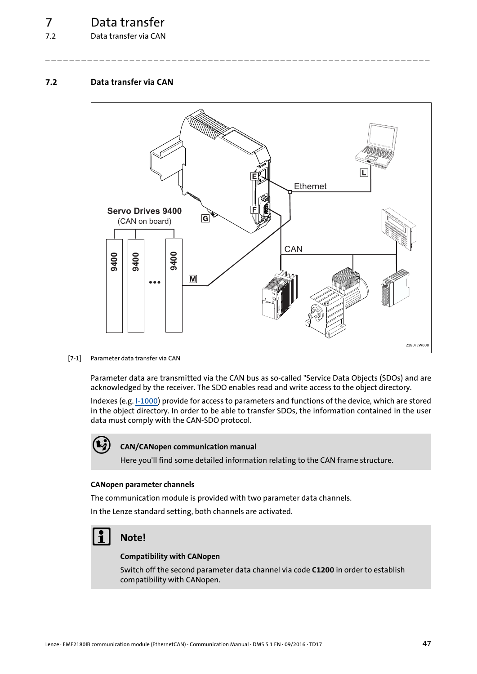### 7.2 Data transfer via CAN

### <span id="page-46-0"></span>**7.2 Data transfer via CAN**

<span id="page-46-3"></span>

\_ \_ \_ \_ \_ \_ \_ \_ \_ \_ \_ \_ \_ \_ \_ \_ \_ \_ \_ \_ \_ \_ \_ \_ \_ \_ \_ \_ \_ \_ \_ \_ \_ \_ \_ \_ \_ \_ \_ \_ \_ \_ \_ \_ \_ \_ \_ \_ \_ \_ \_ \_ \_ \_ \_ \_ \_ \_ \_ \_ \_ \_ \_ \_

[7-1] Parameter data transfer via CAN

Parameter data are transmitted via the CAN bus as so-called "Service Data Objects (SDOs) and are acknowledged by the receiver. The SDO enables read and write access to the object directory.

Indexes (e.g. [I-1000](#page-64-1)) provide for access to parameters and functions of the device, which are stored in the object directory. In order to be able to transfer SDOs, the information contained in the user data must comply with the CAN-SDO protocol.



### **CAN/CANopen communication manual**

Here you'll find some detailed information relating to the CAN frame structure.

#### <span id="page-46-1"></span>**CANopen parameter channels**

The communication module is provided with two parameter data channels.

In the Lenze standard setting, both channels are activated.

### **Note!**

#### <span id="page-46-2"></span>**Compatibility with CANopen**

Switch off the second parameter data channel via code **C1200** in order to establish compatibility with CANopen.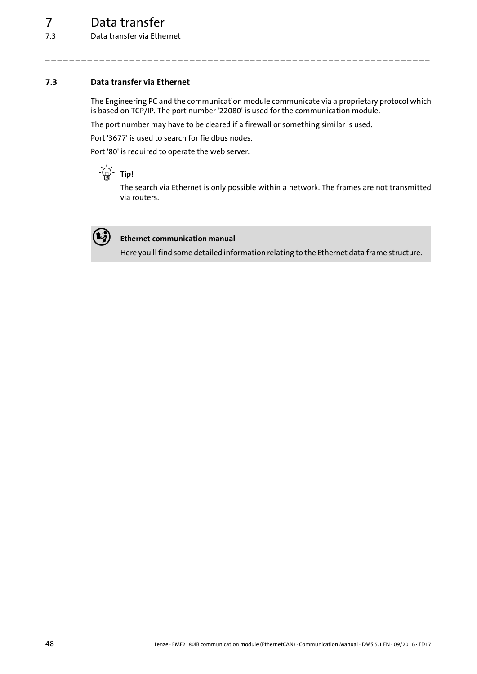### <span id="page-47-0"></span>**7.3 Data transfer via Ethernet**

The Engineering PC and the communication module communicate via a proprietary protocol which is based on TCP/IP. The port number '22080' is used for the communication module.

<span id="page-47-1"></span>\_ \_ \_ \_ \_ \_ \_ \_ \_ \_ \_ \_ \_ \_ \_ \_ \_ \_ \_ \_ \_ \_ \_ \_ \_ \_ \_ \_ \_ \_ \_ \_ \_ \_ \_ \_ \_ \_ \_ \_ \_ \_ \_ \_ \_ \_ \_ \_ \_ \_ \_ \_ \_ \_ \_ \_ \_ \_ \_ \_ \_ \_ \_ \_

The port number may have to be cleared if a firewall or something similar is used.

Port '3677' is used to search for fieldbus nodes.

Port '80' is required to operate the web server.

### **Tip!**

The search via Ethernet is only possible within a network. The frames are not transmitted via routers.



### **Ethernet communication manual**

Here you'll find some detailed information relating to the Ethernet data frame structure.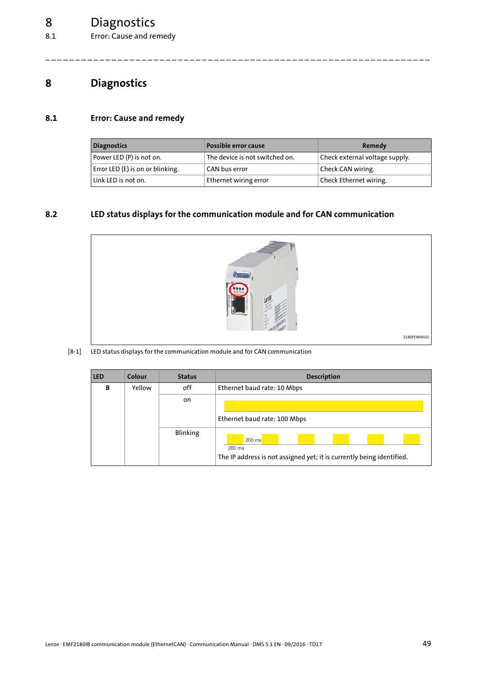### 8 Diagnostics

8.1 Error: Cause and remedy

### <span id="page-48-4"></span><span id="page-48-0"></span>**8 Diagnostics**

### <span id="page-48-1"></span>**8.1 Error: Cause and remedy**

<span id="page-48-5"></span>

| <b>Diagnostics</b>               | . Possible error cause         | Remedy                         |
|----------------------------------|--------------------------------|--------------------------------|
| Power LED (P) is not on.         | The device is not switched on. | Check external voltage supply. |
| Error LED (E) is on or blinking. | CAN bus error                  | Check CAN wiring.              |
| Link LED is not on.              | Ethernet wiring error          | Check Ethernet wiring.         |

\_ \_ \_ \_ \_ \_ \_ \_ \_ \_ \_ \_ \_ \_ \_ \_ \_ \_ \_ \_ \_ \_ \_ \_ \_ \_ \_ \_ \_ \_ \_ \_ \_ \_ \_ \_ \_ \_ \_ \_ \_ \_ \_ \_ \_ \_ \_ \_ \_ \_ \_ \_ \_ \_ \_ \_ \_ \_ \_ \_ \_ \_ \_ \_

### <span id="page-48-2"></span>**8.2 LED status displays for the communication module and for CAN communication**

<span id="page-48-3"></span>

### [8-1] LED status displays for the communication module and for CAN communication

| <b>LED</b> | Colour | <b>Status</b>   | <b>Description</b>                                                                          |  |  |
|------------|--------|-----------------|---------------------------------------------------------------------------------------------|--|--|
| B          | Yellow | off             | Ethernet baud rate: 10 Mbps                                                                 |  |  |
|            |        | on              |                                                                                             |  |  |
|            |        |                 | Ethernet baud rate: 100 Mbps                                                                |  |  |
|            |        | <b>Blinking</b> | 200 ms<br>$200$ ms<br>The IP address is not assigned yet; it is currently being identified. |  |  |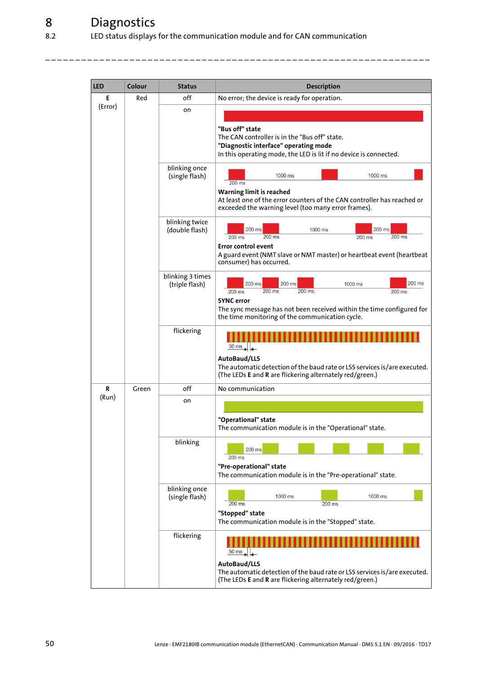| <b>LED</b> | Colour | <b>Status</b>                      | <b>Description</b>                                                                                                                                                                                                                 |  |  |
|------------|--------|------------------------------------|------------------------------------------------------------------------------------------------------------------------------------------------------------------------------------------------------------------------------------|--|--|
| Е          | Red    | off                                | No error; the device is ready for operation.                                                                                                                                                                                       |  |  |
| (Error)    |        | on                                 | "Bus off" state<br>The CAN controller is in the "Bus off" state.<br>"Diagnostic interface" operating mode<br>In this operating mode, the LED is lit if no device is connected.                                                     |  |  |
|            |        | blinking once<br>(single flash)    | 1000 ms<br>1000 ms<br>200 ms<br>Warning limit is reached<br>At least one of the error counters of the CAN controller has reached or<br>exceeded the warning level (too many error frames).                                         |  |  |
|            |        | blinking twice<br>(double flash)   | 200 ms<br>200 ms<br>1000 ms<br>$200$ ms<br>200 ms<br>200 ms<br>200 ms<br>Error control event<br>A guard event (NMT slave or NMT master) or heartbeat event (heartbeat<br>consumer) has occurred.                                   |  |  |
|            |        | blinking 3 times<br>(triple flash) | $200$ ms<br>200 ms<br>200 ms<br>1000 ms<br>$200$ ms<br>200 ms<br>200 ms<br>200 ms<br><b>SYNC</b> error<br>The sync message has not been received within the time configured for<br>the time monitoring of the communication cycle. |  |  |
|            |        | flickering                         | $50 \text{ ms}$<br>AutoBaud/LLS<br>The automatic detection of the baud rate or LSS services is/are executed.<br>(The LEDs E and R are flickering alternately red/green.)                                                           |  |  |
| R          | Green  | off                                | No communication                                                                                                                                                                                                                   |  |  |
| (Run)      |        | on                                 | "Operational" state<br>The communication module is in the "Operational" state.                                                                                                                                                     |  |  |
|            |        | blinking                           | 200 ms<br>200 ms<br>"Pre-operational" state<br>The communication module is in the "Pre-operational" state.                                                                                                                         |  |  |
|            |        | blinking once<br>(single flash)    | 1000 ms<br>1000 ms<br>200 ms<br>200 ms<br>"Stopped" state<br>The communication module is in the "Stopped" state.                                                                                                                   |  |  |
|            |        | flickering                         | $\frac{50 \text{ ms}}{4}$<br>AutoBaud/LLS<br>The automatic detection of the baud rate or LSS services is/are executed.<br>(The LEDs E and R are flickering alternately red/green.)                                                 |  |  |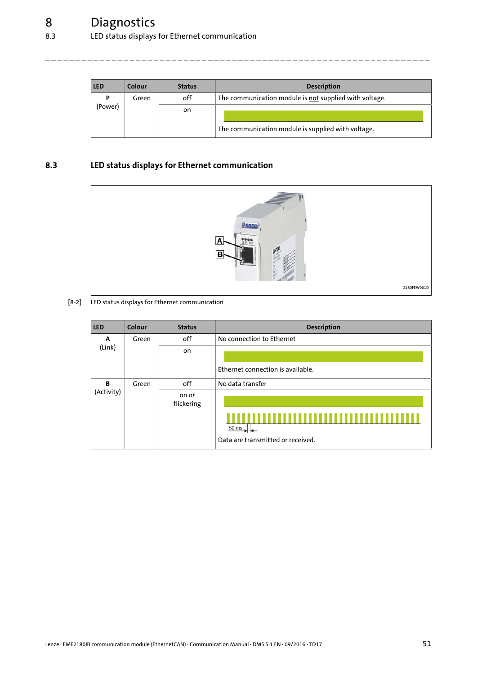| <b>LED</b> | Colour | <b>Status</b> | <b>Description</b>                                     |
|------------|--------|---------------|--------------------------------------------------------|
| P          | Green  | off           | The communication module is not supplied with voltage. |
| (Power)    |        | on            | The communication module is supplied with voltage.     |

\_ \_ \_ \_ \_ \_ \_ \_ \_ \_ \_ \_ \_ \_ \_ \_ \_ \_ \_ \_ \_ \_ \_ \_ \_ \_ \_ \_ \_ \_ \_ \_ \_ \_ \_ \_ \_ \_ \_ \_ \_ \_ \_ \_ \_ \_ \_ \_ \_ \_ \_ \_ \_ \_ \_ \_ \_ \_ \_ \_ \_ \_ \_ \_

### <span id="page-50-0"></span>**8.3 LED status displays for Ethernet communication**

<span id="page-50-1"></span>

[8-2] LED status displays for Ethernet communication

| <b>LED</b> | Colour | <b>Status</b>              | Description                                          |
|------------|--------|----------------------------|------------------------------------------------------|
| A          | Green  | off                        | No connection to Ethernet                            |
| (Link)     |        | on                         |                                                      |
|            |        |                            | Ethernet connection is available.                    |
| B          | Green  | off                        | No data transfer                                     |
| (Activity) |        | on <i>or</i><br>flickering | $50 \text{ ms}$<br>Data are transmitted or received. |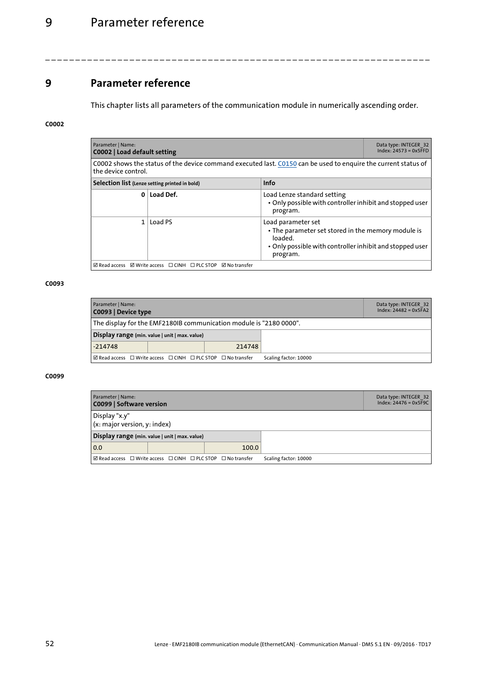### 9 Parameter reference

### <span id="page-51-0"></span>**9 Parameter reference**

<span id="page-51-5"></span>This chapter lists all parameters of the communication module in numerically ascending order.

\_ \_ \_ \_ \_ \_ \_ \_ \_ \_ \_ \_ \_ \_ \_ \_ \_ \_ \_ \_ \_ \_ \_ \_ \_ \_ \_ \_ \_ \_ \_ \_ \_ \_ \_ \_ \_ \_ \_ \_ \_ \_ \_ \_ \_ \_ \_ \_ \_ \_ \_ \_ \_ \_ \_ \_ \_ \_ \_ \_ \_ \_ \_ \_

### <span id="page-51-1"></span>**C0002**

<span id="page-51-7"></span><span id="page-51-2"></span>

| Parameter   Name:                                            | Data type: INTEGER 32<br>$Index: 24573 = 0x5FFD$<br>C0002   Load default setting                                                      |                                                                                                                                                             |  |  |  |
|--------------------------------------------------------------|---------------------------------------------------------------------------------------------------------------------------------------|-------------------------------------------------------------------------------------------------------------------------------------------------------------|--|--|--|
|                                                              | C0002 shows the status of the device command executed last. C0150 can be used to enquire the current status of<br>the device control. |                                                                                                                                                             |  |  |  |
|                                                              | <b>Info</b><br>Selection list (Lenze setting printed in bold)                                                                         |                                                                                                                                                             |  |  |  |
| 0                                                            | Load Def.                                                                                                                             | Load Lenze standard setting<br>• Only possible with controller inhibit and stopped user<br>program.                                                         |  |  |  |
| 1                                                            | Load PS                                                                                                                               | Load parameter set<br>• The parameter set stored in the memory module is<br>loaded.<br>• Only possible with controller inhibit and stopped user<br>program. |  |  |  |
| ☑ Read access ☑ Write access □ CINH □ PLC STOP ☑ No transfer |                                                                                                                                       |                                                                                                                                                             |  |  |  |

#### **C0093**

<span id="page-51-6"></span><span id="page-51-3"></span>

| Parameter   Name:<br>C0093   Device type                                                                            |  |  | Data type: INTEGER 32<br>$Index: 24482 = 0x5FA2$ |  |
|---------------------------------------------------------------------------------------------------------------------|--|--|--------------------------------------------------|--|
| The display for the EMF2180IB communication module is "2180 0000".                                                  |  |  |                                                  |  |
| Display range (min. value   unit   max. value)                                                                      |  |  |                                                  |  |
| $-214748$<br>214748                                                                                                 |  |  |                                                  |  |
| $\boxtimes$ Read access $\Box$ Write access $\Box$ CINH $\Box$ PLC STOP $\Box$ No transfer<br>Scaling factor: 10000 |  |  |                                                  |  |

<span id="page-51-8"></span><span id="page-51-4"></span>

| Parameter   Name:<br>C0099   Software version  |                                                                                            |       |                       | Data type: INTEGER 32<br>$Index: 24476 = 0x5F9C$ |
|------------------------------------------------|--------------------------------------------------------------------------------------------|-------|-----------------------|--------------------------------------------------|
| Display "x.y"<br>(x: major version, y: index)  |                                                                                            |       |                       |                                                  |
| Display range (min. value   unit   max. value) |                                                                                            |       |                       |                                                  |
| 0.0                                            |                                                                                            | 100.0 |                       |                                                  |
|                                                | $\boxtimes$ Read access $\Box$ Write access $\Box$ CINH $\Box$ PLC STOP $\Box$ No transfer |       | Scaling factor: 10000 |                                                  |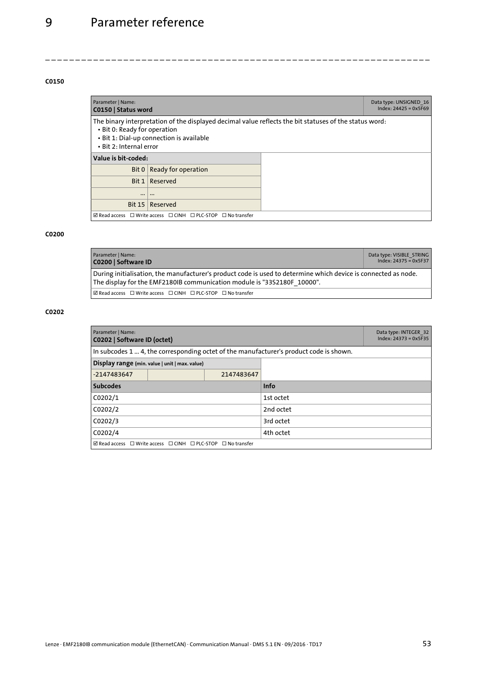<span id="page-52-6"></span><span id="page-52-1"></span>

| Parameter   Name:<br>C0150   Status word                                                                                                                                                                      |                                                                                            |  | Data type: UNSIGNED 16<br>$Index: 24425 = 0x5F69$ |
|---------------------------------------------------------------------------------------------------------------------------------------------------------------------------------------------------------------|--------------------------------------------------------------------------------------------|--|---------------------------------------------------|
| The binary interpretation of the displayed decimal value reflects the bit statuses of the status word:<br>• Bit 0: Ready for operation<br>· Bit 1: Dial-up connection is available<br>• Bit 2: Internal error |                                                                                            |  |                                                   |
| Value is bit-coded:                                                                                                                                                                                           |                                                                                            |  |                                                   |
|                                                                                                                                                                                                               | Bit $0 \mid$ Ready for operation                                                           |  |                                                   |
|                                                                                                                                                                                                               | Bit 1   Reserved                                                                           |  |                                                   |
|                                                                                                                                                                                                               | $\cdots$                                                                                   |  |                                                   |
| <b>Bit 15</b>                                                                                                                                                                                                 | Reserved                                                                                   |  |                                                   |
|                                                                                                                                                                                                               | $\boxtimes$ Read access $\Box$ Write access $\Box$ CINH $\Box$ PLC-STOP $\Box$ No transfer |  |                                                   |

<span id="page-52-0"></span>\_ \_ \_ \_ \_ \_ \_ \_ \_ \_ \_ \_ \_ \_ \_ \_ \_ \_ \_ \_ \_ \_ \_ \_ \_ \_ \_ \_ \_ \_ \_ \_ \_ \_ \_ \_ \_ \_ \_ \_ \_ \_ \_ \_ \_ \_ \_ \_ \_ \_ \_ \_ \_ \_ \_ \_ \_ \_ \_ \_ \_ \_ \_ \_

#### **C0200**

<span id="page-52-4"></span><span id="page-52-2"></span>

| Parameter   Name:<br>C0200   Software ID                                                                                                                                                  | Data type: VISIBLE STRING<br>$Index: 24375 = 0x5F37$ |  |  |  |
|-------------------------------------------------------------------------------------------------------------------------------------------------------------------------------------------|------------------------------------------------------|--|--|--|
| During initialisation, the manufacturer's product code is used to determine which device is connected as node.<br>The display for the EMF2180IB communication module is "33S2180F 10000". |                                                      |  |  |  |
| $\boxtimes$ Read access $\Box$ Write access $\Box$ CINH $\Box$ PLC-STOP $\Box$ No transfer                                                                                                |                                                      |  |  |  |

<span id="page-52-5"></span><span id="page-52-3"></span>

| Parameter   Name:<br>C0202   Software ID (octet) | Data type: INTEGER 32<br>$Index: 24373 = 0x5F35$                                           |             |                                                                                        |  |  |
|--------------------------------------------------|--------------------------------------------------------------------------------------------|-------------|----------------------------------------------------------------------------------------|--|--|
|                                                  |                                                                                            |             | In subcodes 1  4, the corresponding octet of the manufacturer's product code is shown. |  |  |
|                                                  | Display range (min. value   unit   max. value)                                             |             |                                                                                        |  |  |
| -2147483647                                      |                                                                                            | 2147483647  |                                                                                        |  |  |
| <b>Subcodes</b>                                  |                                                                                            | <b>Info</b> |                                                                                        |  |  |
| C0202/1                                          |                                                                                            | 1st octet   |                                                                                        |  |  |
| C0202/2                                          |                                                                                            | 2nd octet   |                                                                                        |  |  |
| C0202/3                                          |                                                                                            | 3rd octet   |                                                                                        |  |  |
| C0202/4                                          |                                                                                            | 4th octet   |                                                                                        |  |  |
|                                                  | $\boxtimes$ Read access $\Box$ Write access $\Box$ CINH $\Box$ PLC-STOP $\Box$ No transfer |             |                                                                                        |  |  |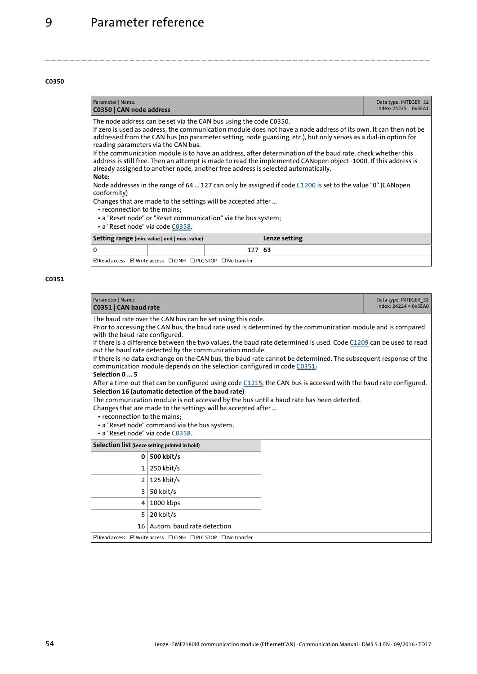<span id="page-53-6"></span><span id="page-53-4"></span>

| Parameter   Name:<br>C0350   CAN node address                                                                                                                                                                                                                                                                                                                                                                                                                                                                                                                                                                                                                          |                                                                                                            |                  |               | Data type: INTEGER 32<br>$Index: 24225 = 0x5EA1$ |  |
|------------------------------------------------------------------------------------------------------------------------------------------------------------------------------------------------------------------------------------------------------------------------------------------------------------------------------------------------------------------------------------------------------------------------------------------------------------------------------------------------------------------------------------------------------------------------------------------------------------------------------------------------------------------------|------------------------------------------------------------------------------------------------------------|------------------|---------------|--------------------------------------------------|--|
| The node address can be set via the CAN bus using the code C0350.<br>If zero is used as address, the communication module does not have a node address of its own. It can then not be<br>addressed from the CAN bus (no parameter setting, node guarding, etc.), but only serves as a dial-in option for<br>reading parameters via the CAN bus.<br>If the communication module is to have an address, after determination of the baud rate, check whether this<br>address is still free. Then an attempt is made to read the implemented CANopen object -1000. If this address is<br>already assigned to another node, another free address is selected automatically. |                                                                                                            |                  |               |                                                  |  |
| Note:<br>conformity)                                                                                                                                                                                                                                                                                                                                                                                                                                                                                                                                                                                                                                                   | Node addresses in the range of 64  127 can only be assigned if code C1200 is set to the value "0" (CANopen |                  |               |                                                  |  |
| Changes that are made to the settings will be accepted after<br>• reconnection to the mains;<br>• a "Reset node" or "Reset communication" via the bus system;<br>• a "Reset node" via code C0358.                                                                                                                                                                                                                                                                                                                                                                                                                                                                      |                                                                                                            |                  |               |                                                  |  |
| Setting range (min. value   unit   max. value)                                                                                                                                                                                                                                                                                                                                                                                                                                                                                                                                                                                                                         |                                                                                                            |                  | Lenze setting |                                                  |  |
| 0                                                                                                                                                                                                                                                                                                                                                                                                                                                                                                                                                                                                                                                                      |                                                                                                            | 127 <sub>1</sub> | -63           |                                                  |  |

<span id="page-53-0"></span>\_ \_ \_ \_ \_ \_ \_ \_ \_ \_ \_ \_ \_ \_ \_ \_ \_ \_ \_ \_ \_ \_ \_ \_ \_ \_ \_ \_ \_ \_ \_ \_ \_ \_ \_ \_ \_ \_ \_ \_ \_ \_ \_ \_ \_ \_ \_ \_ \_ \_ \_ \_ \_ \_ \_ \_ \_ \_ \_ \_ \_ \_ \_ \_

 $\overline{\boxtimes}$  Read access  $\overline{\boxtimes}$  Write access  $\overline{\boxtimes}$  CINH  $\overline{\boxtimes}$  PLC STOP  $\overline{\boxtimes}$  No transfer

<span id="page-53-5"></span><span id="page-53-3"></span><span id="page-53-2"></span><span id="page-53-1"></span>

| Parameter   Name:<br>C0351   CAN baud rate                                                                                                                                                                                                                                                                                                                                                                                                                                                                                                                                                                                                                                                                                                                                                                                                                                                                                                                                                                                                                              |                                                              |  | Data type: INTEGER 32<br>$Index: 24224 = 0x5EAO$ |
|-------------------------------------------------------------------------------------------------------------------------------------------------------------------------------------------------------------------------------------------------------------------------------------------------------------------------------------------------------------------------------------------------------------------------------------------------------------------------------------------------------------------------------------------------------------------------------------------------------------------------------------------------------------------------------------------------------------------------------------------------------------------------------------------------------------------------------------------------------------------------------------------------------------------------------------------------------------------------------------------------------------------------------------------------------------------------|--------------------------------------------------------------|--|--------------------------------------------------|
| The baud rate over the CAN bus can be set using this code.<br>Prior to accessing the CAN bus, the baud rate used is determined by the communication module and is compared<br>with the baud rate configured.<br>If there is a difference between the two values, the baud rate determined is used. Code C1209 can be used to read<br>out the baud rate detected by the communication module.<br>If there is no data exchange on the CAN bus, the baud rate cannot be determined. The subsequent response of the<br>communication module depends on the selection configured in code C0351:<br>Selection 0  5<br>After a time-out that can be configured using code C1215, the CAN bus is accessed with the baud rate configured.<br>Selection 16 (automatic detection of the baud rate)<br>The communication module is not accessed by the bus until a baud rate has been detected.<br>Changes that are made to the settings will be accepted after<br>• reconnection to the mains:<br>• a "Reset node" command via the bus system;<br>· a "Reset node" via code C0358. |                                                              |  |                                                  |
| Selection list (Lenze setting printed in bold)                                                                                                                                                                                                                                                                                                                                                                                                                                                                                                                                                                                                                                                                                                                                                                                                                                                                                                                                                                                                                          |                                                              |  |                                                  |
| 0                                                                                                                                                                                                                                                                                                                                                                                                                                                                                                                                                                                                                                                                                                                                                                                                                                                                                                                                                                                                                                                                       | 500 kbit/s                                                   |  |                                                  |
| $\mathbf{1}$                                                                                                                                                                                                                                                                                                                                                                                                                                                                                                                                                                                                                                                                                                                                                                                                                                                                                                                                                                                                                                                            | 250 kbit/s                                                   |  |                                                  |
|                                                                                                                                                                                                                                                                                                                                                                                                                                                                                                                                                                                                                                                                                                                                                                                                                                                                                                                                                                                                                                                                         | $2 \mid 125$ kbit/s                                          |  |                                                  |
| 3                                                                                                                                                                                                                                                                                                                                                                                                                                                                                                                                                                                                                                                                                                                                                                                                                                                                                                                                                                                                                                                                       | 50 kbit/s                                                    |  |                                                  |
| 4                                                                                                                                                                                                                                                                                                                                                                                                                                                                                                                                                                                                                                                                                                                                                                                                                                                                                                                                                                                                                                                                       | 1000 kbps                                                    |  |                                                  |
| 5                                                                                                                                                                                                                                                                                                                                                                                                                                                                                                                                                                                                                                                                                                                                                                                                                                                                                                                                                                                                                                                                       | 20 kbit/s                                                    |  |                                                  |
|                                                                                                                                                                                                                                                                                                                                                                                                                                                                                                                                                                                                                                                                                                                                                                                                                                                                                                                                                                                                                                                                         | 16 Autom, baud rate detection                                |  |                                                  |
|                                                                                                                                                                                                                                                                                                                                                                                                                                                                                                                                                                                                                                                                                                                                                                                                                                                                                                                                                                                                                                                                         | ☑ Read access ☑ Write access □ CINH □ PLC STOP □ No transfer |  |                                                  |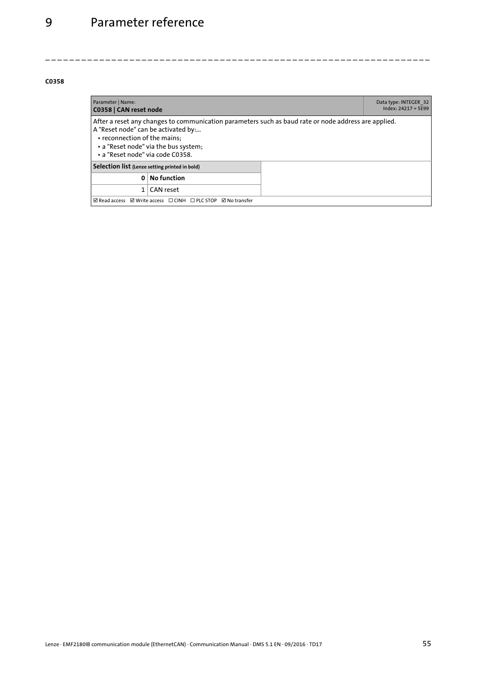<span id="page-54-2"></span><span id="page-54-1"></span><span id="page-54-0"></span>

| Parameter   Name:<br>C0358   CAN reset node                                                                                                                                                                                                             |                    |  | Data type: INTEGER 32<br>$Index: 24217 = 5E99$ |
|---------------------------------------------------------------------------------------------------------------------------------------------------------------------------------------------------------------------------------------------------------|--------------------|--|------------------------------------------------|
| After a reset any changes to communication parameters such as baud rate or node address are applied.<br>A "Reset node" can be activated by:<br>• reconnection of the mains;<br>• a "Reset node" via the bus system;<br>· a "Reset node" via code C0358. |                    |  |                                                |
| Selection list (Lenze setting printed in bold)                                                                                                                                                                                                          |                    |  |                                                |
| $\Omega$                                                                                                                                                                                                                                                | <b>No function</b> |  |                                                |
| CAN reset                                                                                                                                                                                                                                               |                    |  |                                                |
| $\boxtimes$ Read access $\boxtimes$ Write access $\Box$ CINH $\Box$ PLC STOP $\boxtimes$ No transfer                                                                                                                                                    |                    |  |                                                |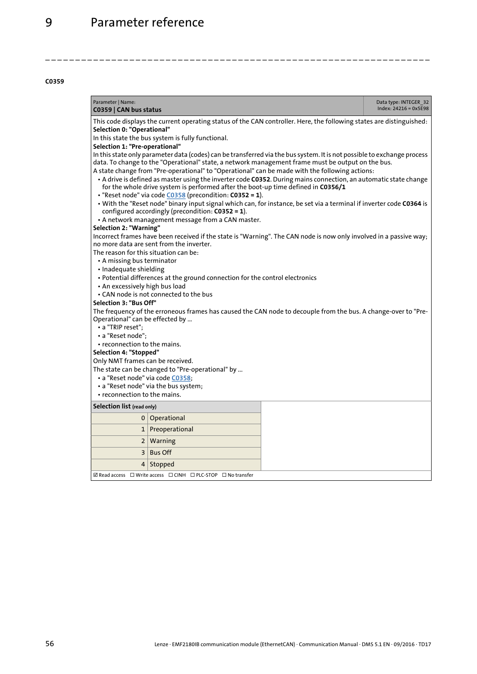<span id="page-55-1"></span><span id="page-55-0"></span>

| $Index: 24216 = 0x5E98$<br>C0359   CAN bus status                                                                                                 |  |  |  |  |
|---------------------------------------------------------------------------------------------------------------------------------------------------|--|--|--|--|
| This code displays the current operating status of the CAN controller. Here, the following states are distinguished:                              |  |  |  |  |
| Selection 0: "Operational"<br>In this state the bus system is fully functional.                                                                   |  |  |  |  |
| Selection 1: "Pre-operational"                                                                                                                    |  |  |  |  |
| In this state only parameter data (codes) can be transferred via the bus system. It is not possible to exchange process                           |  |  |  |  |
| data. To change to the "Operational" state, a network management frame must be output on the bus.                                                 |  |  |  |  |
| A state change from "Pre-operational" to "Operational" can be made with the following actions:                                                    |  |  |  |  |
| • A drive is defined as master using the inverter code C0352. During mains connection, an automatic state change                                  |  |  |  |  |
| for the whole drive system is performed after the boot-up time defined in C0356/1                                                                 |  |  |  |  |
| · "Reset node" via code C0358 (precondition: C0352 = 1).                                                                                          |  |  |  |  |
| . With the "Reset node" binary input signal which can, for instance, be set via a terminal if inverter code C0364 is                              |  |  |  |  |
| configured accordingly (precondition: C0352 = 1).                                                                                                 |  |  |  |  |
| • A network management message from a CAN master.                                                                                                 |  |  |  |  |
| Selection 2: "Warning"                                                                                                                            |  |  |  |  |
| Incorrect frames have been received if the state is "Warning". The CAN node is now only involved in a passive way;                                |  |  |  |  |
| no more data are sent from the inverter.                                                                                                          |  |  |  |  |
| The reason for this situation can be:                                                                                                             |  |  |  |  |
| • A missing bus terminator                                                                                                                        |  |  |  |  |
| • Inadequate shielding                                                                                                                            |  |  |  |  |
| • Potential differences at the ground connection for the control electronics                                                                      |  |  |  |  |
| • An excessively high bus load                                                                                                                    |  |  |  |  |
| • CAN node is not connected to the bus                                                                                                            |  |  |  |  |
| Selection 3: "Bus Off"                                                                                                                            |  |  |  |  |
| The frequency of the erroneous frames has caused the CAN node to decouple from the bus. A change-over to "Pre-<br>Operational" can be effected by |  |  |  |  |
| • a "TRIP reset":                                                                                                                                 |  |  |  |  |
| • a "Reset node";                                                                                                                                 |  |  |  |  |
| • reconnection to the mains.                                                                                                                      |  |  |  |  |
| Selection 4: "Stopped"                                                                                                                            |  |  |  |  |
| Only NMT frames can be received.                                                                                                                  |  |  |  |  |
| The state can be changed to "Pre-operational" by                                                                                                  |  |  |  |  |
| · a "Reset node" via code C0358;                                                                                                                  |  |  |  |  |
| • a "Reset node" via the bus system;                                                                                                              |  |  |  |  |
| • reconnection to the mains.                                                                                                                      |  |  |  |  |
| Selection list (read only)                                                                                                                        |  |  |  |  |
| Operational<br>0                                                                                                                                  |  |  |  |  |
| Preoperational<br>1                                                                                                                               |  |  |  |  |
| Warning<br>$\mathbf{2}$                                                                                                                           |  |  |  |  |
| 3<br><b>Bus Off</b>                                                                                                                               |  |  |  |  |
| 4<br>Stopped                                                                                                                                      |  |  |  |  |
| $\boxtimes$ Read access $\Box$ Write access $\Box$ CINH $\Box$ PLC-STOP $\Box$ No transfer                                                        |  |  |  |  |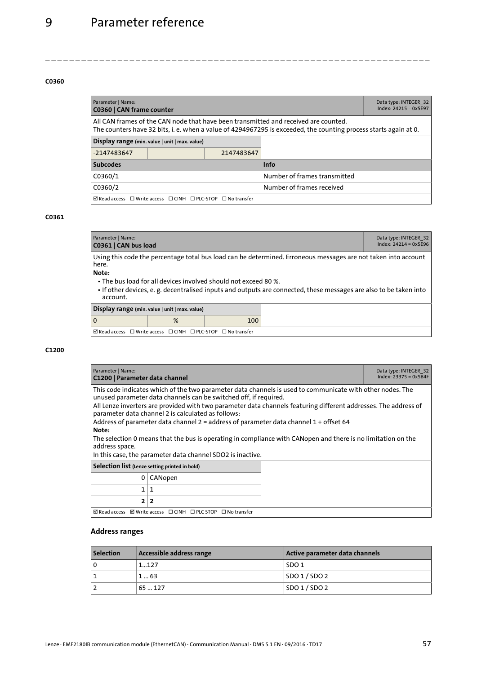<span id="page-56-5"></span><span id="page-56-4"></span>

| Parameter   Name:<br>C0360   CAN frame counter                                                                                                                                                          | Data type: INTEGER 32<br>$Index: 24215 = 0x5F97$ |                              |             |  |
|---------------------------------------------------------------------------------------------------------------------------------------------------------------------------------------------------------|--------------------------------------------------|------------------------------|-------------|--|
| All CAN frames of the CAN node that have been transmitted and received are counted.<br>The counters have 32 bits, i. e. when a value of 4294967295 is exceeded, the counting process starts again at 0. |                                                  |                              |             |  |
| Display range (min. value   unit   max. value)                                                                                                                                                          |                                                  |                              |             |  |
| -2147483647                                                                                                                                                                                             |                                                  | 2147483647                   |             |  |
| <b>Subcodes</b>                                                                                                                                                                                         |                                                  |                              | <b>Info</b> |  |
| C0360/1                                                                                                                                                                                                 |                                                  | Number of frames transmitted |             |  |
| C0360/2                                                                                                                                                                                                 |                                                  | Number of frames received    |             |  |
| $\boxtimes$ Read access $\Box$ Write access $\Box$ CINH $\Box$ PLC-STOP $\Box$ No transfer                                                                                                              |                                                  |                              |             |  |

\_ \_ \_ \_ \_ \_ \_ \_ \_ \_ \_ \_ \_ \_ \_ \_ \_ \_ \_ \_ \_ \_ \_ \_ \_ \_ \_ \_ \_ \_ \_ \_ \_ \_ \_ \_ \_ \_ \_ \_ \_ \_ \_ \_ \_ \_ \_ \_ \_ \_ \_ \_ \_ \_ \_ \_ \_ \_ \_ \_ \_ \_ \_ \_

### **C0361**

<span id="page-56-3"></span><span id="page-56-1"></span>

| Parameter   Name:<br>C0361   CAN bus load                                                                                                                                                                                                                                                                                             |  |  | Data type: INTEGER 32<br>$Index: 24214 = 0x5E96$ |
|---------------------------------------------------------------------------------------------------------------------------------------------------------------------------------------------------------------------------------------------------------------------------------------------------------------------------------------|--|--|--------------------------------------------------|
| Using this code the percentage total bus load can be determined. Erroneous messages are not taken into account<br>here.<br>Note:<br>• The bus load for all devices involved should not exceed 80 %.<br>• If other devices, e. g. decentralised inputs and outputs are connected, these messages are also to be taken into<br>account. |  |  |                                                  |
| Display range (min. value   unit   max. value)                                                                                                                                                                                                                                                                                        |  |  |                                                  |
| %<br>100<br>0                                                                                                                                                                                                                                                                                                                         |  |  |                                                  |
| $\boxtimes$ Read access $\Box$ Write access $\Box$ CINH $\Box$ PLC-STOP<br>$\Box$ No transfer                                                                                                                                                                                                                                         |  |  |                                                  |

#### <span id="page-56-0"></span>**C1200**

<span id="page-56-6"></span><span id="page-56-2"></span>

| Parameter   Name:<br>C1200   Parameter data channel                                                                                                                                                                                                                                                                                                                                                                                                                                                                                                                                                                                                        | Data type: INTEGER 32<br>$Index: 23375 = 0x5B4F$                                                |  |  |
|------------------------------------------------------------------------------------------------------------------------------------------------------------------------------------------------------------------------------------------------------------------------------------------------------------------------------------------------------------------------------------------------------------------------------------------------------------------------------------------------------------------------------------------------------------------------------------------------------------------------------------------------------------|-------------------------------------------------------------------------------------------------|--|--|
| This code indicates which of the two parameter data channels is used to communicate with other nodes. The<br>unused parameter data channels can be switched off, if required.<br>All Lenze inverters are provided with two parameter data channels featuring different addresses. The address of<br>parameter data channel 2 is calculated as follows:<br>Address of parameter data channel 2 = address of parameter data channel $1 +$ offset 64<br>Note:<br>The selection 0 means that the bus is operating in compliance with CANopen and there is no limitation on the<br>address space.<br>In this case, the parameter data channel SDO2 is inactive. |                                                                                                 |  |  |
| Selection list (Lenze setting printed in bold)                                                                                                                                                                                                                                                                                                                                                                                                                                                                                                                                                                                                             |                                                                                                 |  |  |
| 0                                                                                                                                                                                                                                                                                                                                                                                                                                                                                                                                                                                                                                                          | CANopen                                                                                         |  |  |
| 1.                                                                                                                                                                                                                                                                                                                                                                                                                                                                                                                                                                                                                                                         | -1                                                                                              |  |  |
| 2 2                                                                                                                                                                                                                                                                                                                                                                                                                                                                                                                                                                                                                                                        |                                                                                                 |  |  |
|                                                                                                                                                                                                                                                                                                                                                                                                                                                                                                                                                                                                                                                            | $\boxtimes$ Read access $\boxtimes$ Write access $\Box$ CINH $\Box$ PLC STOP $\Box$ No transfer |  |  |

### **Address ranges**

| <b>Selection</b> | Accessible address range | Active parameter data channels |
|------------------|--------------------------|--------------------------------|
| <b>0</b>         | 1127                     | SDO 1                          |
|                  | 163                      | SDO 1/SDO 2                    |
|                  | 65127                    | SO01/SDO2                      |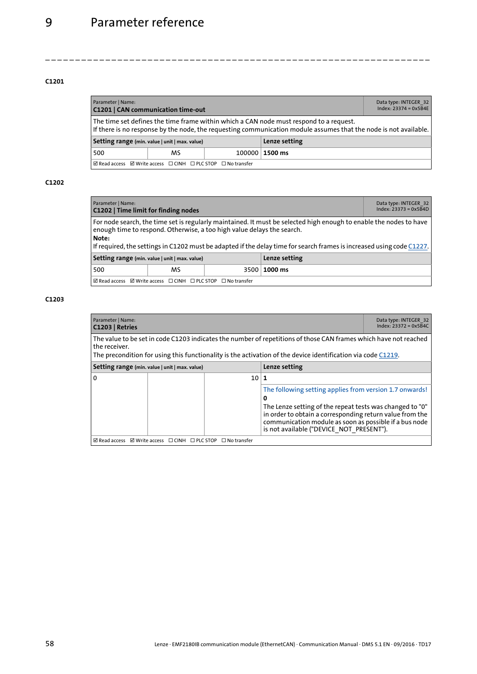<span id="page-57-4"></span><span id="page-57-1"></span>

| Parameter   Name:<br><b>C1201   CAN communication time-out</b>                                                                                                                                             |  |  |  | Data type: INTEGER 32<br>$Index: 23374 = 0x5B4E$ |
|------------------------------------------------------------------------------------------------------------------------------------------------------------------------------------------------------------|--|--|--|--------------------------------------------------|
| The time set defines the time frame within which a CAN node must respond to a request.<br>If there is no response by the node, the requesting communication module assumes that the node is not available. |  |  |  |                                                  |
| Lenze setting<br>Setting range (min. value   unit   max. value)                                                                                                                                            |  |  |  |                                                  |
| MS<br>100000   1500 ms<br>500                                                                                                                                                                              |  |  |  |                                                  |
| $\boxtimes$ Read access $\boxtimes$ Write access $\Box$ CINH $\Box$ PLC STOP $\Box$ No transfer                                                                                                            |  |  |  |                                                  |

\_ \_ \_ \_ \_ \_ \_ \_ \_ \_ \_ \_ \_ \_ \_ \_ \_ \_ \_ \_ \_ \_ \_ \_ \_ \_ \_ \_ \_ \_ \_ \_ \_ \_ \_ \_ \_ \_ \_ \_ \_ \_ \_ \_ \_ \_ \_ \_ \_ \_ \_ \_ \_ \_ \_ \_ \_ \_ \_ \_ \_ \_ \_ \_

#### <span id="page-57-0"></span>**C1202**

<span id="page-57-6"></span><span id="page-57-2"></span>

| Parameter   Name:<br>C1202   Time limit for finding nodes       |                                                                                                                                                                                                                                                                                                                       |  | Data type: INTEGER 32<br>$Index: 23373 = 0x5B4D$ |  |  |
|-----------------------------------------------------------------|-----------------------------------------------------------------------------------------------------------------------------------------------------------------------------------------------------------------------------------------------------------------------------------------------------------------------|--|--------------------------------------------------|--|--|
| Note:                                                           | For node search, the time set is regularly maintained. It must be selected high enough to enable the nodes to have<br>enough time to respond. Otherwise, a too high value delays the search.<br>If required, the settings in C1202 must be adapted if the delay time for search frames is increased using code C1227. |  |                                                  |  |  |
| Lenze setting<br>Setting range (min. value   unit   max. value) |                                                                                                                                                                                                                                                                                                                       |  |                                                  |  |  |
| 500                                                             | MS                                                                                                                                                                                                                                                                                                                    |  | 3500   1000 ms                                   |  |  |

 $\Box$  Read access  $\Box$  Write access  $\Box$  CINH  $\Box$  PLC STOP  $\Box$  No transfer

<span id="page-57-5"></span><span id="page-57-3"></span>

| Parameter   Name:<br>C1203   Retries                                                                                                                                                                                                                 |                                                                                                    |               |                                                                                                                                                                                                                                                                                            | Data type: INTEGER 32<br>$Index: 23372 = 0x5B4C$ |  |
|------------------------------------------------------------------------------------------------------------------------------------------------------------------------------------------------------------------------------------------------------|----------------------------------------------------------------------------------------------------|---------------|--------------------------------------------------------------------------------------------------------------------------------------------------------------------------------------------------------------------------------------------------------------------------------------------|--------------------------------------------------|--|
| The value to be set in code C1203 indicates the number of repetitions of those CAN frames which have not reached<br>the receiver.<br>The precondition for using this functionality is the activation of the device identification via code $C1219$ . |                                                                                                    |               |                                                                                                                                                                                                                                                                                            |                                                  |  |
| Setting range (min. value   unit   max. value)                                                                                                                                                                                                       |                                                                                                    | Lenze setting |                                                                                                                                                                                                                                                                                            |                                                  |  |
| $\Omega$                                                                                                                                                                                                                                             |                                                                                                    | 10            |                                                                                                                                                                                                                                                                                            |                                                  |  |
|                                                                                                                                                                                                                                                      |                                                                                                    |               | The following setting applies from version 1.7 onwards!<br>o<br>The Lenze setting of the repeat tests was changed to "0"<br>in order to obtain a corresponding return value from the<br>communication module as soon as possible if a bus node<br>is not available ("DEVICE NOT PRESENT"). |                                                  |  |
|                                                                                                                                                                                                                                                      | $\boxtimes$ Read access $\boxtimes$ Write access $\Box$ CINH $\Box$ PLC STOP<br>$\Box$ No transfer |               |                                                                                                                                                                                                                                                                                            |                                                  |  |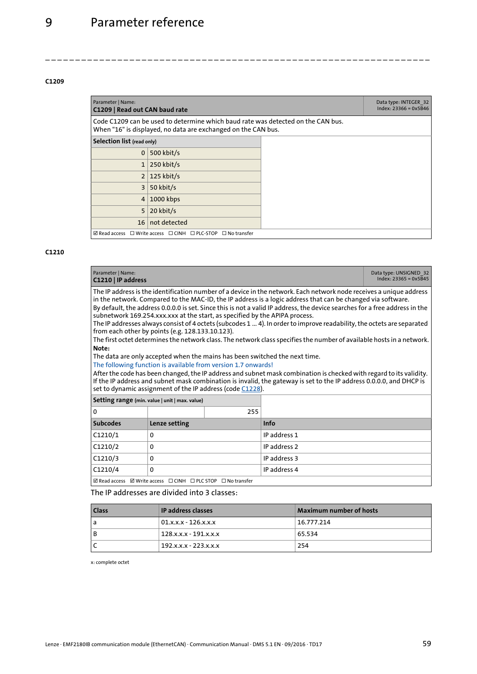<span id="page-58-5"></span><span id="page-58-2"></span>

| Parameter   Name:<br>C1209   Read out CAN baud rate |                                                                                                                                                   |  | Data type: INTEGER 32<br>$Index: 23366 = 0x5B46$ |
|-----------------------------------------------------|---------------------------------------------------------------------------------------------------------------------------------------------------|--|--------------------------------------------------|
|                                                     | Code C1209 can be used to determine which baud rate was detected on the CAN bus.<br>When "16" is displayed, no data are exchanged on the CAN bus. |  |                                                  |
| Selection list (read only)                          |                                                                                                                                                   |  |                                                  |
| 0 <sup>1</sup>                                      | 500 kbit/s                                                                                                                                        |  |                                                  |
| 1 <sup>1</sup>                                      | $250$ kbit/s                                                                                                                                      |  |                                                  |
|                                                     | $2 \mid 125$ kbit/s                                                                                                                               |  |                                                  |
| 3                                                   | 50 kbit/s                                                                                                                                         |  |                                                  |
| 4                                                   | 1000 kbps                                                                                                                                         |  |                                                  |
| 5                                                   | 20 kbit/s                                                                                                                                         |  |                                                  |
| 16                                                  | not detected                                                                                                                                      |  |                                                  |
|                                                     | $\boxtimes$ Read access $\Box$ Write access $\Box$ CINH $\Box$ PLC-STOP $\Box$ No transfer                                                        |  |                                                  |

<span id="page-58-0"></span>\_ \_ \_ \_ \_ \_ \_ \_ \_ \_ \_ \_ \_ \_ \_ \_ \_ \_ \_ \_ \_ \_ \_ \_ \_ \_ \_ \_ \_ \_ \_ \_ \_ \_ \_ \_ \_ \_ \_ \_ \_ \_ \_ \_ \_ \_ \_ \_ \_ \_ \_ \_ \_ \_ \_ \_ \_ \_ \_ \_ \_ \_ \_ \_

#### <span id="page-58-1"></span>**C1210**

<span id="page-58-4"></span><span id="page-58-3"></span>

| Parameter   Name:<br>Data type: UNSIGNED 32<br>$Index: 23365 = 0x5B45$<br>C1210   IP address                                                                                                                                                                                                                                                                                                                                                                                                                                                                                                                                                                                                                                                                                                                                                                                                                                                                                                                                                                                                                                                                                                                               |  |  |  |  |
|----------------------------------------------------------------------------------------------------------------------------------------------------------------------------------------------------------------------------------------------------------------------------------------------------------------------------------------------------------------------------------------------------------------------------------------------------------------------------------------------------------------------------------------------------------------------------------------------------------------------------------------------------------------------------------------------------------------------------------------------------------------------------------------------------------------------------------------------------------------------------------------------------------------------------------------------------------------------------------------------------------------------------------------------------------------------------------------------------------------------------------------------------------------------------------------------------------------------------|--|--|--|--|
| The IP address is the identification number of a device in the network. Each network node receives a unique address<br>in the network. Compared to the MAC-ID, the IP address is a logic address that can be changed via software.<br>By default, the address 0.0.0.0 is set. Since this is not a valid IP address, the device searches for a free address in the<br>subnetwork 169.254.xxx.xxx at the start, as specified by the APIPA process.<br>The IP addresses always consist of 4 octets (subcodes 1  4). In order to improve readability, the octets are separated<br>from each other by points (e.g. 128.133.10.123).<br>The first octet determines the network class. The network class specifies the number of available hosts in a network.<br>Note:<br>The data are only accepted when the mains has been switched the next time.<br>The following function is available from version 1.7 onwards!<br>After the code has been changed, the IP address and subnet mask combination is checked with regard to its validity.<br>If the IP address and subnet mask combination is invalid, the gateway is set to the IP address 0.0.0.0, and DHCP is<br>set to dynamic assignment of the IP address (code C1228). |  |  |  |  |
| Setting range (min. value   unit   max. value)                                                                                                                                                                                                                                                                                                                                                                                                                                                                                                                                                                                                                                                                                                                                                                                                                                                                                                                                                                                                                                                                                                                                                                             |  |  |  |  |
| 255<br>$\Omega$                                                                                                                                                                                                                                                                                                                                                                                                                                                                                                                                                                                                                                                                                                                                                                                                                                                                                                                                                                                                                                                                                                                                                                                                            |  |  |  |  |
| <b>Subcodes</b><br><b>Info</b><br>Lenze setting                                                                                                                                                                                                                                                                                                                                                                                                                                                                                                                                                                                                                                                                                                                                                                                                                                                                                                                                                                                                                                                                                                                                                                            |  |  |  |  |
| C1210/1<br>IP address 1<br>$\mathbf{0}$                                                                                                                                                                                                                                                                                                                                                                                                                                                                                                                                                                                                                                                                                                                                                                                                                                                                                                                                                                                                                                                                                                                                                                                    |  |  |  |  |
| C1210/2<br>IP address 2<br>0                                                                                                                                                                                                                                                                                                                                                                                                                                                                                                                                                                                                                                                                                                                                                                                                                                                                                                                                                                                                                                                                                                                                                                                               |  |  |  |  |
| IP address 3<br>C1210/3<br>0                                                                                                                                                                                                                                                                                                                                                                                                                                                                                                                                                                                                                                                                                                                                                                                                                                                                                                                                                                                                                                                                                                                                                                                               |  |  |  |  |
| IP address 4<br>C1210/4<br>0                                                                                                                                                                                                                                                                                                                                                                                                                                                                                                                                                                                                                                                                                                                                                                                                                                                                                                                                                                                                                                                                                                                                                                                               |  |  |  |  |
| $\boxtimes$ Read access $\boxtimes$ Write access $\Box$ CINH $\Box$ PLC STOP $\Box$ No transfer                                                                                                                                                                                                                                                                                                                                                                                                                                                                                                                                                                                                                                                                                                                                                                                                                                                                                                                                                                                                                                                                                                                            |  |  |  |  |

The IP addresses are divided into 3 classes:

| <b>Class</b> | <b>IP</b> address classes | Maximum number of hosts |
|--------------|---------------------------|-------------------------|
| l a          | $01.x.x.x - 126.x.x.x$    | 16.777.214              |
| l B          | 128 x x x - 191 x x x     | 65.534                  |
| <sup>-</sup> | 192.x.x.x - 223.x.x.x     | 254                     |

x: complete octet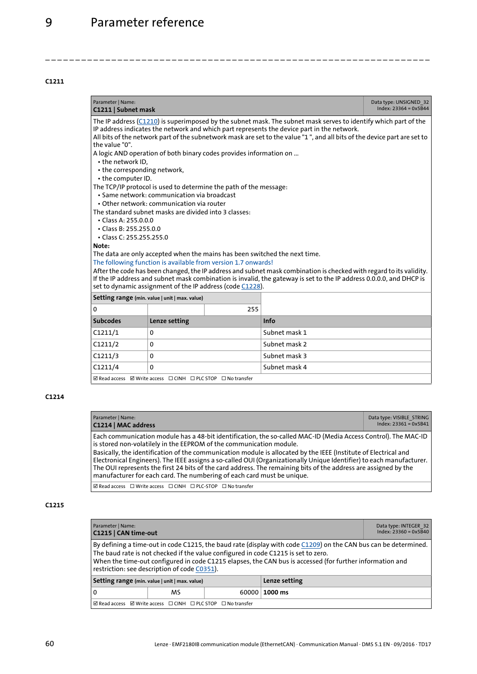<span id="page-59-7"></span><span id="page-59-2"></span>

| Parameter   Name:                                                                                                                                                                                                                                                                                                                                                                                                                                                                                                                                                                                                                                                                                                                                                                                                                   | Data type: UNSIGNED 32<br>$Index: 23364 = 0x5B44$<br>C1211   Subnet mask                                                   |               |                                                                                                                                                                                                                                                                                                                          |  |  |
|-------------------------------------------------------------------------------------------------------------------------------------------------------------------------------------------------------------------------------------------------------------------------------------------------------------------------------------------------------------------------------------------------------------------------------------------------------------------------------------------------------------------------------------------------------------------------------------------------------------------------------------------------------------------------------------------------------------------------------------------------------------------------------------------------------------------------------------|----------------------------------------------------------------------------------------------------------------------------|---------------|--------------------------------------------------------------------------------------------------------------------------------------------------------------------------------------------------------------------------------------------------------------------------------------------------------------------------|--|--|
| The IP address (C1210) is superimposed by the subnet mask. The subnet mask serves to identify which part of the<br>IP address indicates the network and which part represents the device part in the network.<br>All bits of the network part of the subnetwork mask are set to the value "1", and all bits of the device part are set to<br>the value "0".<br>A logic AND operation of both binary codes provides information on<br>• the network ID.<br>• the corresponding network,<br>• the computer ID.<br>The TCP/IP protocol is used to determine the path of the message:<br>• Same network: communication via broadcast<br>• Other network: communication via router<br>The standard subnet masks are divided into 3 classes:<br>$\cdot$ Class A: 255.0.0.0<br>• Class B: 255.255.0.0<br>• Class C: 255.255.255.0<br>Note: |                                                                                                                            |               |                                                                                                                                                                                                                                                                                                                          |  |  |
|                                                                                                                                                                                                                                                                                                                                                                                                                                                                                                                                                                                                                                                                                                                                                                                                                                     | The following function is available from version 1.7 onwards!<br>set to dynamic assignment of the IP address (code C1228). |               | The data are only accepted when the mains has been switched the next time.<br>After the code has been changed, the IP address and subnet mask combination is checked with regard to its validity.<br>If the IP address and subnet mask combination is invalid, the gateway is set to the IP address 0.0.0.0, and DHCP is |  |  |
|                                                                                                                                                                                                                                                                                                                                                                                                                                                                                                                                                                                                                                                                                                                                                                                                                                     | Setting range (min. value   unit   max. value)                                                                             |               |                                                                                                                                                                                                                                                                                                                          |  |  |
| $\Omega$                                                                                                                                                                                                                                                                                                                                                                                                                                                                                                                                                                                                                                                                                                                                                                                                                            |                                                                                                                            | 255           |                                                                                                                                                                                                                                                                                                                          |  |  |
| <b>Subcodes</b>                                                                                                                                                                                                                                                                                                                                                                                                                                                                                                                                                                                                                                                                                                                                                                                                                     | Lenze setting                                                                                                              |               | Info                                                                                                                                                                                                                                                                                                                     |  |  |
| C1211/1                                                                                                                                                                                                                                                                                                                                                                                                                                                                                                                                                                                                                                                                                                                                                                                                                             | Subnet mask 1<br>0                                                                                                         |               |                                                                                                                                                                                                                                                                                                                          |  |  |
| C1211/2<br>0                                                                                                                                                                                                                                                                                                                                                                                                                                                                                                                                                                                                                                                                                                                                                                                                                        |                                                                                                                            |               | Subnet mask 2                                                                                                                                                                                                                                                                                                            |  |  |
| C1211/3<br>0                                                                                                                                                                                                                                                                                                                                                                                                                                                                                                                                                                                                                                                                                                                                                                                                                        |                                                                                                                            | Subnet mask 3 |                                                                                                                                                                                                                                                                                                                          |  |  |
| C1211/4                                                                                                                                                                                                                                                                                                                                                                                                                                                                                                                                                                                                                                                                                                                                                                                                                             | Subnet mask 4<br>$\Omega$                                                                                                  |               |                                                                                                                                                                                                                                                                                                                          |  |  |
| $\boxtimes$ Read access $\boxtimes$ Write access $\Box$ CINH $\Box$ PLC STOP $\Box$ No transfer                                                                                                                                                                                                                                                                                                                                                                                                                                                                                                                                                                                                                                                                                                                                     |                                                                                                                            |               |                                                                                                                                                                                                                                                                                                                          |  |  |

<span id="page-59-1"></span>\_ \_ \_ \_ \_ \_ \_ \_ \_ \_ \_ \_ \_ \_ \_ \_ \_ \_ \_ \_ \_ \_ \_ \_ \_ \_ \_ \_ \_ \_ \_ \_ \_ \_ \_ \_ \_ \_ \_ \_ \_ \_ \_ \_ \_ \_ \_ \_ \_ \_ \_ \_ \_ \_ \_ \_ \_ \_ \_ \_ \_ \_ \_ \_

### **C1214**

<span id="page-59-6"></span><span id="page-59-3"></span>

| Parameter   Name:<br>C1214   MAC address                                                                                                                                                                                                                                                                                                                                                                                                                                                                                                                                                                                      | Data type: VISIBLE STRING<br>$Index: 23361 = 0x5B41$ |
|-------------------------------------------------------------------------------------------------------------------------------------------------------------------------------------------------------------------------------------------------------------------------------------------------------------------------------------------------------------------------------------------------------------------------------------------------------------------------------------------------------------------------------------------------------------------------------------------------------------------------------|------------------------------------------------------|
| Each communication module has a 48-bit identification, the so-called MAC-ID (Media Access Control). The MAC-ID<br>is stored non-volatilely in the EEPROM of the communication module.<br>Basically, the identification of the communication module is allocated by the IEEE (Institute of Electrical and<br>Electronical Engineers). The IEEE assigns a so-called OUI (Organizationally Unique Identifier) to each manufacturer.<br>The OUI represents the first 24 bits of the card address. The remaining bits of the address are assigned by the<br>manufacturer for each card. The numbering of each card must be unique. |                                                      |
| ☑ Read access □ Write access □ CINH □ PLC-STOP □ No transfer                                                                                                                                                                                                                                                                                                                                                                                                                                                                                                                                                                  |                                                      |

<span id="page-59-5"></span><span id="page-59-4"></span><span id="page-59-0"></span>

| Parameter   Name:<br>C1215   CAN time-out                                                                                                                                                                                                                                                                                                                            |                                    |  |  | Data type: INTEGER 32<br>$Index: 23360 = 0 \times 5B40$ |
|----------------------------------------------------------------------------------------------------------------------------------------------------------------------------------------------------------------------------------------------------------------------------------------------------------------------------------------------------------------------|------------------------------------|--|--|---------------------------------------------------------|
| By defining a time-out in code C1215, the baud rate (display with code $C1209$ ) on the CAN bus can be determined.<br>The baud rate is not checked if the value configured in code C1215 is set to zero.<br>When the time-out configured in code C1215 elapses, the CAN bus is accessed (for further information and<br>restriction: see description of code C0351). |                                    |  |  |                                                         |
| Lenze setting<br>Setting range (min. value   unit   max. value)                                                                                                                                                                                                                                                                                                      |                                    |  |  |                                                         |
| 0                                                                                                                                                                                                                                                                                                                                                                    | $60000 \mid 1000 \text{ ms}$<br>MS |  |  |                                                         |
| ☑ Read access ☑ Write access □ CINH □ PLC STOP □ No transfer                                                                                                                                                                                                                                                                                                         |                                    |  |  |                                                         |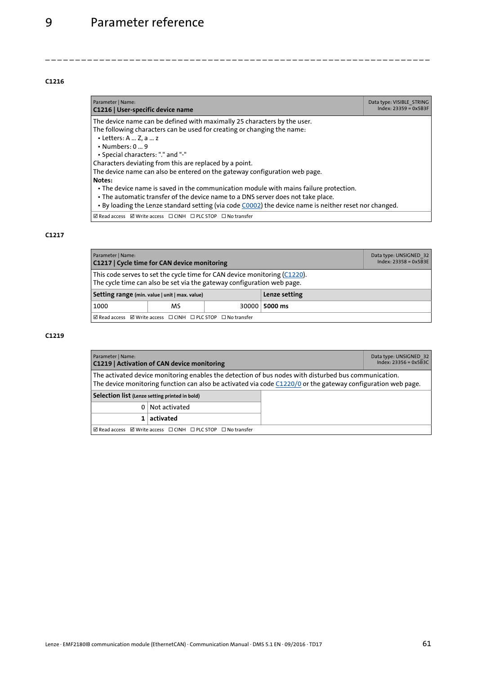<span id="page-60-8"></span><span id="page-60-4"></span>

| Parameter   Name:<br>C1216   User-specific device name                                                                                                                                                                                                                                                                                                                                                                                                                                                                                                                                                                                                                                            | Data type: VISIBLE STRING<br>$Index: 23359 = 0x5B3F$ |
|---------------------------------------------------------------------------------------------------------------------------------------------------------------------------------------------------------------------------------------------------------------------------------------------------------------------------------------------------------------------------------------------------------------------------------------------------------------------------------------------------------------------------------------------------------------------------------------------------------------------------------------------------------------------------------------------------|------------------------------------------------------|
| The device name can be defined with maximally 25 characters by the user.<br>The following characters can be used for creating or changing the name:<br>$\cdot$ Letters: A  Z, a  z<br>$\cdot$ Numbers: 0 $\dots$ 9<br>• Special characters: "." and "-"<br>Characters deviating from this are replaced by a point.<br>The device name can also be entered on the gateway configuration web page.<br>Notes:<br>• The device name is saved in the communication module with mains failure protection.<br>. The automatic transfer of the device name to a DNS server does not take place.<br>. By loading the Lenze standard setting (via code C0002) the device name is neither reset nor changed. |                                                      |
| $\boxtimes$ Read access $\boxtimes$ Write access $\Box$ CINH $\Box$ PLC STOP $\Box$ No transfer                                                                                                                                                                                                                                                                                                                                                                                                                                                                                                                                                                                                   |                                                      |

<span id="page-60-0"></span>\_ \_ \_ \_ \_ \_ \_ \_ \_ \_ \_ \_ \_ \_ \_ \_ \_ \_ \_ \_ \_ \_ \_ \_ \_ \_ \_ \_ \_ \_ \_ \_ \_ \_ \_ \_ \_ \_ \_ \_ \_ \_ \_ \_ \_ \_ \_ \_ \_ \_ \_ \_ \_ \_ \_ \_ \_ \_ \_ \_ \_ \_ \_ \_

#### <span id="page-60-2"></span>**C1217**

<span id="page-60-7"></span><span id="page-60-5"></span>

| Parameter   Name:<br>C1217   Cycle time for CAN device monitoring                                                                                   |  |  | Data type: UNSIGNED 32<br>$Index: 23358 = 0x5B3E$ |  |
|-----------------------------------------------------------------------------------------------------------------------------------------------------|--|--|---------------------------------------------------|--|
| This code serves to set the cycle time for CAN device monitoring (C1220).<br>The cycle time can also be set via the gateway configuration web page. |  |  |                                                   |  |
| Lenze setting<br>Setting range (min. value   unit   max. value)                                                                                     |  |  |                                                   |  |
| 1000<br>MS<br>$30000 \mid 5000 \text{ ms}$                                                                                                          |  |  |                                                   |  |
| ☑ Read access ☑ Write access □ CINH □ PLC STOP □ No transfer                                                                                        |  |  |                                                   |  |

#### <span id="page-60-1"></span>**C1219**

<span id="page-60-6"></span><span id="page-60-3"></span>

| Parameter   Name:<br>C1219   Activation of CAN device monitoring                                                                                                                                                       |               |  | Data type: UNSIGNED 32<br>Index: $23356 = 0 \times 5 \overline{B}3C$ |
|------------------------------------------------------------------------------------------------------------------------------------------------------------------------------------------------------------------------|---------------|--|----------------------------------------------------------------------|
| The activated device monitoring enables the detection of bus nodes with disturbed bus communication.<br>The device monitoring function can also be activated via code $C1220/0$ or the gateway configuration web page. |               |  |                                                                      |
| Selection list (Lenze setting printed in bold)                                                                                                                                                                         |               |  |                                                                      |
|                                                                                                                                                                                                                        | Not activated |  |                                                                      |
| activated<br>1                                                                                                                                                                                                         |               |  |                                                                      |
| $\boxtimes$ Read access $\boxtimes$ Write access $\Box$ CINH $\Box$ PLC STOP $\Box$ No transfer                                                                                                                        |               |  |                                                                      |

Lenze · EMF2180IB communication module (EthernetCAN) · Communication Manual · DMS 5.1 EN · 09/2016 · TD17 61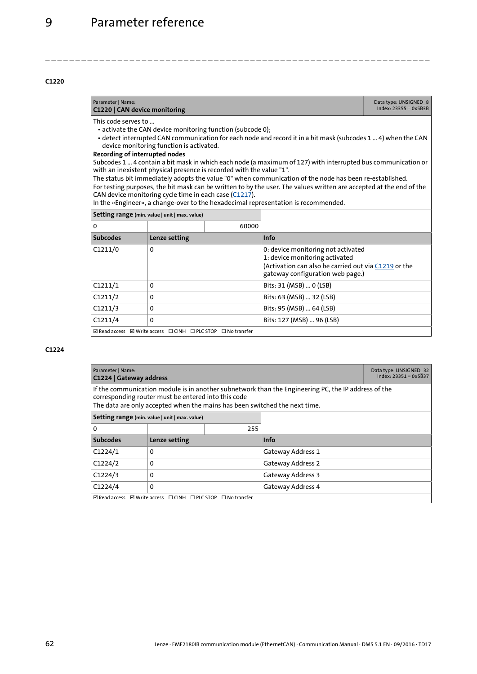<span id="page-61-4"></span><span id="page-61-2"></span>

| Parameter   Name:<br>C1220   CAN device monitoring                                                                                                                                                                                                                                                                                                                                                                                                                                                                                                                                                                                                                                                                                                                                                                                                         | Data type: UNSIGNED 8<br>$Index: 23355 = 0x5B3B$             |       |                                                                                                                                                                  |  |
|------------------------------------------------------------------------------------------------------------------------------------------------------------------------------------------------------------------------------------------------------------------------------------------------------------------------------------------------------------------------------------------------------------------------------------------------------------------------------------------------------------------------------------------------------------------------------------------------------------------------------------------------------------------------------------------------------------------------------------------------------------------------------------------------------------------------------------------------------------|--------------------------------------------------------------|-------|------------------------------------------------------------------------------------------------------------------------------------------------------------------|--|
| This code serves to<br>• activate the CAN device monitoring function (subcode 0);<br>• detect interrupted CAN communication for each node and record it in a bit mask (subcodes 1  4) when the CAN<br>device monitoring function is activated.<br>Recording of interrupted nodes<br>Subcodes 1  4 contain a bit mask in which each node (a maximum of 127) with interrupted bus communication or<br>with an inexistent physical presence is recorded with the value "1".<br>The status bit immediately adopts the value "0" when communication of the node has been re-established.<br>For testing purposes, the bit mask can be written to by the user. The values written are accepted at the end of the<br>CAN device monitoring cycle time in each case (C1217).<br>In the »Engineer«, a change-over to the hexadecimal representation is recommended. |                                                              |       |                                                                                                                                                                  |  |
| Setting range (min. value   unit   max. value)                                                                                                                                                                                                                                                                                                                                                                                                                                                                                                                                                                                                                                                                                                                                                                                                             |                                                              |       |                                                                                                                                                                  |  |
| 0                                                                                                                                                                                                                                                                                                                                                                                                                                                                                                                                                                                                                                                                                                                                                                                                                                                          |                                                              | 60000 |                                                                                                                                                                  |  |
| <b>Subcodes</b>                                                                                                                                                                                                                                                                                                                                                                                                                                                                                                                                                                                                                                                                                                                                                                                                                                            | Lenze setting                                                |       | Info                                                                                                                                                             |  |
| C1211/0                                                                                                                                                                                                                                                                                                                                                                                                                                                                                                                                                                                                                                                                                                                                                                                                                                                    | $\Omega$                                                     |       | 0: device monitoring not activated<br>1: device monitoring activated<br>(Activation can also be carried out via C1219 or the<br>gateway configuration web page.) |  |
| C1211/1                                                                                                                                                                                                                                                                                                                                                                                                                                                                                                                                                                                                                                                                                                                                                                                                                                                    | 0                                                            |       | Bits: 31 (MSB)  0 (LSB)                                                                                                                                          |  |
| C1211/2                                                                                                                                                                                                                                                                                                                                                                                                                                                                                                                                                                                                                                                                                                                                                                                                                                                    | 0                                                            |       | Bits: 63 (MSB)  32 (LSB)                                                                                                                                         |  |
| C1211/3                                                                                                                                                                                                                                                                                                                                                                                                                                                                                                                                                                                                                                                                                                                                                                                                                                                    | $\Omega$                                                     |       | Bits: 95 (MSB)  64 (LSB)                                                                                                                                         |  |
| C1211/4                                                                                                                                                                                                                                                                                                                                                                                                                                                                                                                                                                                                                                                                                                                                                                                                                                                    | $\Omega$                                                     |       | Bits: 127 (MSB)  96 (LSB)                                                                                                                                        |  |
|                                                                                                                                                                                                                                                                                                                                                                                                                                                                                                                                                                                                                                                                                                                                                                                                                                                            | ☑ Read access ☑ Write access □ CINH □ PLC STOP □ No transfer |       |                                                                                                                                                                  |  |

<span id="page-61-0"></span>\_ \_ \_ \_ \_ \_ \_ \_ \_ \_ \_ \_ \_ \_ \_ \_ \_ \_ \_ \_ \_ \_ \_ \_ \_ \_ \_ \_ \_ \_ \_ \_ \_ \_ \_ \_ \_ \_ \_ \_ \_ \_ \_ \_ \_ \_ \_ \_ \_ \_ \_ \_ \_ \_ \_ \_ \_ \_ \_ \_ \_ \_ \_ \_

<span id="page-61-5"></span><span id="page-61-3"></span><span id="page-61-1"></span>

| Parameter   Name:<br>C1224   Gateway address                                                                                                                                                                                             | Data type: UNSIGNED 32<br>$Index: 23351 = 0x5B37$ |     |                   |  |
|------------------------------------------------------------------------------------------------------------------------------------------------------------------------------------------------------------------------------------------|---------------------------------------------------|-----|-------------------|--|
| If the communication module is in another subnetwork than the Engineering PC, the IP address of the<br>corresponding router must be entered into this code<br>The data are only accepted when the mains has been switched the next time. |                                                   |     |                   |  |
|                                                                                                                                                                                                                                          | Setting range (min. value   unit   max. value)    |     |                   |  |
| 0                                                                                                                                                                                                                                        |                                                   | 255 |                   |  |
| <b>Subcodes</b>                                                                                                                                                                                                                          | Lenze setting                                     |     | <b>Info</b>       |  |
| C1224/1                                                                                                                                                                                                                                  | 0                                                 |     | Gateway Address 1 |  |
| C1224/2                                                                                                                                                                                                                                  | $\Omega$                                          |     | Gateway Address 2 |  |
| C1224/3                                                                                                                                                                                                                                  | 0                                                 |     | Gateway Address 3 |  |
| C1224/4                                                                                                                                                                                                                                  | 0                                                 |     | Gateway Address 4 |  |
| ☑ Read access ☑ Write access □ CINH □ PLC STOP □ No transfer                                                                                                                                                                             |                                                   |     |                   |  |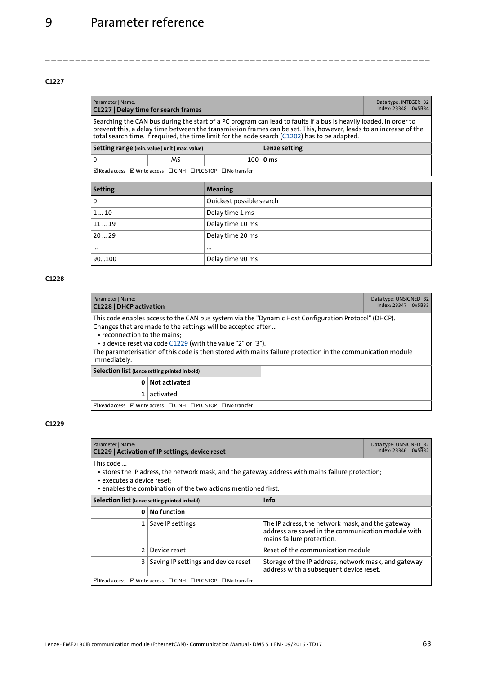<span id="page-62-8"></span><span id="page-62-5"></span>

| Parameter   Name:<br>C1227   Delay time for search frames                                                                                                                                                                                                                                                                               | Data type: INTEGER 32<br>$Index: 23348 = 0x5B34$ |  |  |  |  |  |
|-----------------------------------------------------------------------------------------------------------------------------------------------------------------------------------------------------------------------------------------------------------------------------------------------------------------------------------------|--------------------------------------------------|--|--|--|--|--|
| Searching the CAN bus during the start of a PC program can lead to faults if a bus is heavily loaded. In order to<br>prevent this, a delay time between the transmission frames can be set. This, however, leads to an increase of the<br>total search time. If required, the time limit for the node search (C1202) has to be adapted. |                                                  |  |  |  |  |  |
| Setting range (min. value   unit   max. value)                                                                                                                                                                                                                                                                                          |                                                  |  |  |  |  |  |
| 0<br>MS<br>$100 0 \text{ ms}$                                                                                                                                                                                                                                                                                                           |                                                  |  |  |  |  |  |
| $\boxtimes$ Read access $\boxtimes$ Write access $\Box$ CINH $\Box$ PLC STOP $\Box$ No transfer                                                                                                                                                                                                                                         |                                                  |  |  |  |  |  |

<span id="page-62-1"></span>\_ \_ \_ \_ \_ \_ \_ \_ \_ \_ \_ \_ \_ \_ \_ \_ \_ \_ \_ \_ \_ \_ \_ \_ \_ \_ \_ \_ \_ \_ \_ \_ \_ \_ \_ \_ \_ \_ \_ \_ \_ \_ \_ \_ \_ \_ \_ \_ \_ \_ \_ \_ \_ \_ \_ \_ \_ \_ \_ \_ \_ \_ \_ \_

| <b>Setting</b> | Meaning                  |
|----------------|--------------------------|
| 0              | Quickest possible search |
| 110            | Delay time 1 ms          |
| 1119           | Delay time 10 ms         |
| 2029           | Delay time 20 ms         |
| $\cdots$       | $\cdots$                 |
| 90100          | Delay time 90 ms         |

#### <span id="page-62-2"></span><span id="page-62-0"></span>**C1228**

<span id="page-62-9"></span><span id="page-62-6"></span>

| Parameter   Name:<br>C1228   DHCP activation                                                                                                                                                                                                                                                                                                                                                       | Data type: UNSIGNED 32<br>$Index: 23347 = 0x5B33$                                               |  |  |  |  |  |  |
|----------------------------------------------------------------------------------------------------------------------------------------------------------------------------------------------------------------------------------------------------------------------------------------------------------------------------------------------------------------------------------------------------|-------------------------------------------------------------------------------------------------|--|--|--|--|--|--|
| This code enables access to the CAN bus system via the "Dynamic Host Configuration Protocol" (DHCP).<br>Changes that are made to the settings will be accepted after<br>• reconnection to the mains:<br>• a device reset via code C1229 (with the value "2" or "3").<br>The parameterisation of this code is then stored with mains failure protection in the communication module<br>immediately. |                                                                                                 |  |  |  |  |  |  |
| Selection list (Lenze setting printed in bold)                                                                                                                                                                                                                                                                                                                                                     |                                                                                                 |  |  |  |  |  |  |
| Not activated<br>0                                                                                                                                                                                                                                                                                                                                                                                 |                                                                                                 |  |  |  |  |  |  |
|                                                                                                                                                                                                                                                                                                                                                                                                    | activated                                                                                       |  |  |  |  |  |  |
|                                                                                                                                                                                                                                                                                                                                                                                                    | $\boxtimes$ Read access $\boxtimes$ Write access $\Box$ CINH $\Box$ PLC STOP $\Box$ No transfer |  |  |  |  |  |  |

<span id="page-62-7"></span><span id="page-62-4"></span><span id="page-62-3"></span>

| Parameter   Name:<br>C1229   Activation of IP settings, device reset                                                                                                                                         | Data type: UNSIGNED 32<br>$Index: 23346 = 0x5B32$                                                  |                                                                                                                                     |  |  |  |  |  |
|--------------------------------------------------------------------------------------------------------------------------------------------------------------------------------------------------------------|----------------------------------------------------------------------------------------------------|-------------------------------------------------------------------------------------------------------------------------------------|--|--|--|--|--|
| This code<br>• stores the IP adress, the network mask, and the gateway address with mains failure protection;<br>• executes a device reset;<br>• enables the combination of the two actions mentioned first. |                                                                                                    |                                                                                                                                     |  |  |  |  |  |
| Selection list (Lenze setting printed in bold)                                                                                                                                                               |                                                                                                    | <b>Info</b>                                                                                                                         |  |  |  |  |  |
| $\Omega$                                                                                                                                                                                                     | No function                                                                                        |                                                                                                                                     |  |  |  |  |  |
| 1 <sup>1</sup>                                                                                                                                                                                               | Save IP settings                                                                                   | The IP adress, the network mask, and the gateway<br>address are saved in the communication module with<br>mains failure protection. |  |  |  |  |  |
| $\mathcal{P}$                                                                                                                                                                                                | Device reset                                                                                       | Reset of the communication module                                                                                                   |  |  |  |  |  |
| 31                                                                                                                                                                                                           | Saving IP settings and device reset                                                                | Storage of the IP address, network mask, and gateway<br>address with a subsequent device reset.                                     |  |  |  |  |  |
|                                                                                                                                                                                                              | $\boxtimes$ Read access $\boxtimes$ Write access $\Box$ CINH $\Box$ PLC STOP<br>$\Box$ No transfer |                                                                                                                                     |  |  |  |  |  |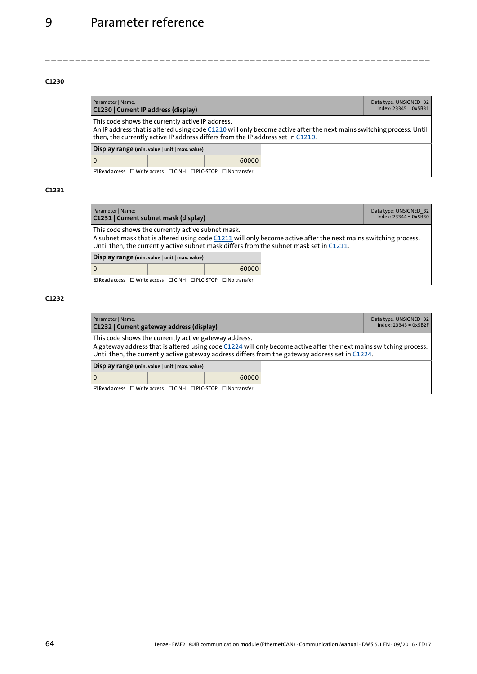<span id="page-63-4"></span><span id="page-63-0"></span>

| Parameter   Name:<br>C1230   Current IP address (display)                                                                                                                                                                                                   | Data type: UNSIGNED 32<br>$Index: 23345 = 0x5B31$ |       |  |  |  |
|-------------------------------------------------------------------------------------------------------------------------------------------------------------------------------------------------------------------------------------------------------------|---------------------------------------------------|-------|--|--|--|
| This code shows the currently active IP address.<br>An IP address that is altered using code C1210 will only become active after the next mains switching process. Until<br>then, the currently active IP address differs from the IP address set in C1210. |                                                   |       |  |  |  |
| Display range (min. value   unit   max. value)                                                                                                                                                                                                              |                                                   |       |  |  |  |
| 0                                                                                                                                                                                                                                                           |                                                   | 60000 |  |  |  |
| ⊠ Read access □ Write access □ CINH □ PLC-STOP □ No transfer                                                                                                                                                                                                |                                                   |       |  |  |  |

\_ \_ \_ \_ \_ \_ \_ \_ \_ \_ \_ \_ \_ \_ \_ \_ \_ \_ \_ \_ \_ \_ \_ \_ \_ \_ \_ \_ \_ \_ \_ \_ \_ \_ \_ \_ \_ \_ \_ \_ \_ \_ \_ \_ \_ \_ \_ \_ \_ \_ \_ \_ \_ \_ \_ \_ \_ \_ \_ \_ \_ \_ \_ \_

### **C1231**

<span id="page-63-5"></span><span id="page-63-1"></span>

| Parameter   Name:<br>C1231   Current subnet mask (display)                                                                                                                                                                                                     | Data type: UNSIGNED 32<br>$Index: 23344 = 0x5B30$ |       |  |  |  |
|----------------------------------------------------------------------------------------------------------------------------------------------------------------------------------------------------------------------------------------------------------------|---------------------------------------------------|-------|--|--|--|
| This code shows the currently active subnet mask.<br>A subnet mask that is altered using code C1211 will only become active after the next mains switching process.<br>Until then, the currently active subnet mask differs from the subnet mask set in C1211. |                                                   |       |  |  |  |
|                                                                                                                                                                                                                                                                | Display range (min. value   unit   max. value)    |       |  |  |  |
| 0                                                                                                                                                                                                                                                              |                                                   | 60000 |  |  |  |
| $\boxtimes$ Read access $\Box$ Write access $\Box$ CINH $\Box$ PLC-STOP $\Box$ No transfer                                                                                                                                                                     |                                                   |       |  |  |  |

<span id="page-63-3"></span><span id="page-63-2"></span>

| Parameter   Name:<br>C1232   Current gateway address (display)                                                                                                                                                                                                                 | Data type: UNSIGNED 32<br>$Index: 23343 = 0x5B2F$ |       |  |  |  |  |
|--------------------------------------------------------------------------------------------------------------------------------------------------------------------------------------------------------------------------------------------------------------------------------|---------------------------------------------------|-------|--|--|--|--|
| This code shows the currently active gateway address.<br>A gateway address that is altered using code C1224 will only become active after the next mains switching process.<br>Until then, the currently active gateway address differs from the gateway address set in C1224. |                                                   |       |  |  |  |  |
| Display range (min. value   unit   max. value)                                                                                                                                                                                                                                 |                                                   |       |  |  |  |  |
| $\overline{0}$                                                                                                                                                                                                                                                                 |                                                   | 60000 |  |  |  |  |
| I ØRead access □ Write access □ CINH □ PLC-STOP □ No transfer                                                                                                                                                                                                                  |                                                   |       |  |  |  |  |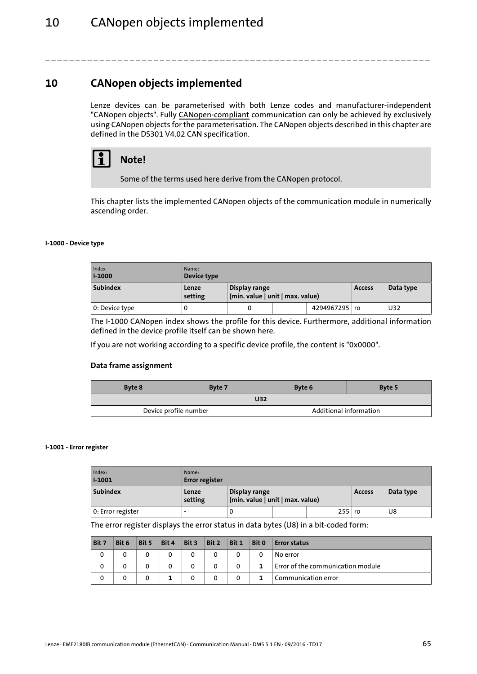### <span id="page-64-0"></span>**10 CANopen objects implemented**

<span id="page-64-2"></span>Lenze devices can be parameterised with both Lenze codes and manufacturer-independent "CANopen objects". Fully CANopen-compliant communication can only be achieved by exclusively using CANopen objects for the parameterisation. The CANopen objects described in this chapter are defined in the DS301 V4.02 CAN specification.

\_ \_ \_ \_ \_ \_ \_ \_ \_ \_ \_ \_ \_ \_ \_ \_ \_ \_ \_ \_ \_ \_ \_ \_ \_ \_ \_ \_ \_ \_ \_ \_ \_ \_ \_ \_ \_ \_ \_ \_ \_ \_ \_ \_ \_ \_ \_ \_ \_ \_ \_ \_ \_ \_ \_ \_ \_ \_ \_ \_ \_ \_ \_ \_



Some of the terms used here derive from the CANopen protocol.

This chapter lists the implemented CANopen objects of the communication module in numerically ascending order.

#### <span id="page-64-1"></span>**I-1000 - Device type**

<span id="page-64-5"></span><span id="page-64-3"></span>

| Index<br><b>I-1000</b> | Name:<br>Device type |                                                   |  |                 |               |           |
|------------------------|----------------------|---------------------------------------------------|--|-----------------|---------------|-----------|
| <b>Subindex</b>        | Lenze<br>setting     | Display range<br>(min. value   unit   max. value) |  |                 | <b>Access</b> | Data type |
| 0: Device type         |                      |                                                   |  | 4294967295   ro |               | U32       |

The I-1000 CANopen index shows the profile for this device. Furthermore, additional information defined in the device profile itself can be shown here.

If you are not working according to a specific device profile, the content is "0x0000".

#### **Data frame assignment**

| Byte 8                | Byte 7 | Byte 6                 | Byte 5 |  |  |  |  |
|-----------------------|--------|------------------------|--------|--|--|--|--|
| <b>U32</b>            |        |                        |        |  |  |  |  |
| Device profile number |        | Additional information |        |  |  |  |  |

#### **I-1001 - Error register**

<span id="page-64-6"></span><span id="page-64-4"></span>

| Index:<br>$1 - 1001$ | Name:<br><b>Error register</b> |                                                   |  |               |           |    |
|----------------------|--------------------------------|---------------------------------------------------|--|---------------|-----------|----|
| <b>Subindex</b>      | Lenze<br>setting               | Display range<br>(min. value   unit   max. value) |  | <b>Access</b> | Data type |    |
| 0: Error register    | $\overline{\phantom{0}}$       | U                                                 |  | 255 ro        |           | U8 |

The error register displays the error status in data bytes (U8) in a bit-coded form:

| Bit 7 | Bit 6 | Bit 5 | Bit 4 | Bit 3 | Bit 2 | Bit 1    | Bit 0 | <b>Error status</b>               |
|-------|-------|-------|-------|-------|-------|----------|-------|-----------------------------------|
| 0     |       |       |       | 0     |       |          | 0     | No error                          |
| 0     |       |       |       | 0     |       | 0        |       | Error of the communication module |
| 0     |       |       |       | 0     |       | $\Omega$ |       | Communication error               |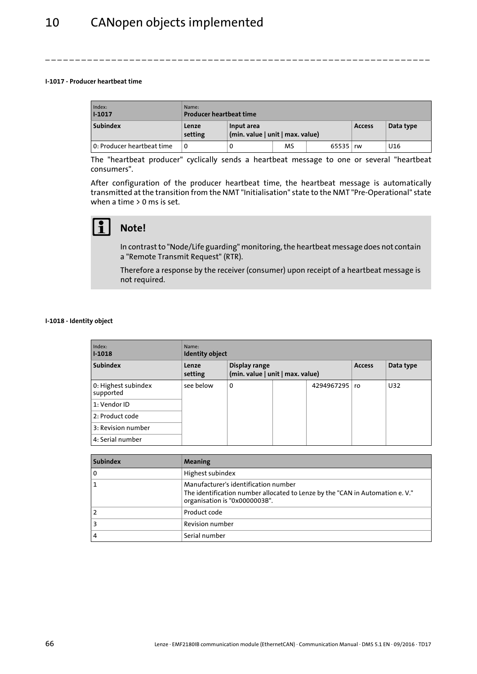#### **I-1017 - Producer heartbeat time**

<span id="page-65-0"></span>

| Index:<br>$1 - 1017$       | Name:<br>Producer heartbeat time |                                                |           |            |               |           |  |
|----------------------------|----------------------------------|------------------------------------------------|-----------|------------|---------------|-----------|--|
| <b>Subindex</b>            | Lenze<br>setting                 | Input area<br>(min. value   unit   max. value) |           |            | <b>Access</b> | Data type |  |
| 0: Producer heartbeat time | 0                                |                                                | <b>MS</b> | 65535   rw |               | U16       |  |

<span id="page-65-3"></span>\_ \_ \_ \_ \_ \_ \_ \_ \_ \_ \_ \_ \_ \_ \_ \_ \_ \_ \_ \_ \_ \_ \_ \_ \_ \_ \_ \_ \_ \_ \_ \_ \_ \_ \_ \_ \_ \_ \_ \_ \_ \_ \_ \_ \_ \_ \_ \_ \_ \_ \_ \_ \_ \_ \_ \_ \_ \_ \_ \_ \_ \_ \_ \_

The "heartbeat producer" cyclically sends a heartbeat message to one or several "heartbeat consumers".

After configuration of the producer heartbeat time, the heartbeat message is automatically transmitted at the transition from the NMT "Initialisation" state to the NMT "Pre-Operational" state when a time  $> 0$  ms is set.



### **Note!**

In contrast to "Node/Life guarding" monitoring, the heartbeat message does not contain a "Remote Transmit Request" (RTR).

Therefore a response by the receiver (consumer) upon receipt of a heartbeat message is not required.

#### **I-1018 - Identity object**

<span id="page-65-2"></span><span id="page-65-1"></span>

| Index:<br>$1 - 1018$             | Name:<br><b>Identity object</b> |                                                   |  |            |               |           |
|----------------------------------|---------------------------------|---------------------------------------------------|--|------------|---------------|-----------|
| <b>Subindex</b>                  | Lenze<br>setting                | Display range<br>(min. value   unit   max. value) |  |            | <b>Access</b> | Data type |
| 0: Highest subindex<br>supported | see below                       | 0                                                 |  | 4294967295 | ro            | U32       |
| 1: Vendor ID                     |                                 |                                                   |  |            |               |           |
| 2: Product code                  |                                 |                                                   |  |            |               |           |
| 3: Revision number               |                                 |                                                   |  |            |               |           |
| 4: Serial number                 |                                 |                                                   |  |            |               |           |

| <b>Subindex</b> | Meaning                                                                                                                                                |
|-----------------|--------------------------------------------------------------------------------------------------------------------------------------------------------|
| 0               | Highest subindex                                                                                                                                       |
|                 | Manufacturer's identification number<br>The identification number allocated to Lenze by the "CAN in Automation e. V."<br>organisation is "0x0000003B". |
|                 | Product code                                                                                                                                           |
|                 | Revision number                                                                                                                                        |
|                 | Serial number                                                                                                                                          |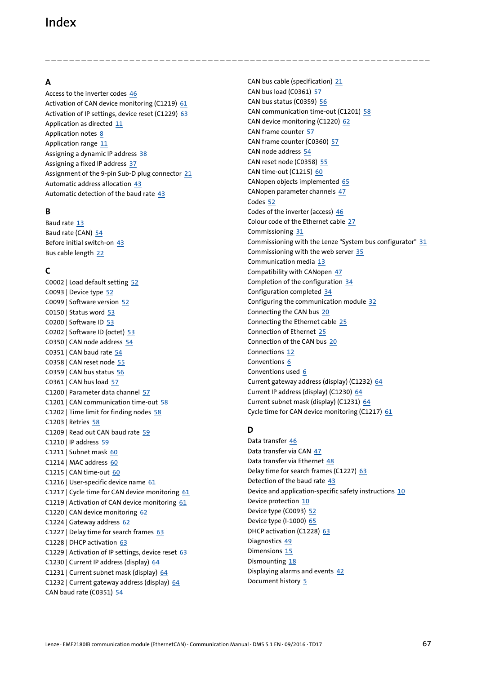### <span id="page-66-0"></span>Index

**A**

Access to the inverter codes [46](#page-45-2) Activation of CAN device monitoring (C1219) [61](#page-60-3) Activation of IP settings, device reset (C1229) [63](#page-62-4) Application as directed [11](#page-10-2) Application notes [8](#page-7-1) Application range [11](#page-10-3) Assigning a dynamic IP address [38](#page-37-1) Assigning a fixed IP address [37](#page-36-1) Assignment of the 9-pin Sub-D plug connector [21](#page-20-3) Automatic address allocation [43](#page-42-1) Automatic detection of the baud rate [43](#page-42-1)

### **B**

Baud rate [13](#page-12-2) Baud rate (CAN) [54](#page-53-3) Before initial switch-on [43](#page-42-2) Bus cable length [22](#page-21-2)

### **C**

C0002 | Load default setting [52](#page-51-2) C0093 | Device type [52](#page-51-3) C0099 | Software version [52](#page-51-4) C0150 | Status word [53](#page-52-1) C0200 | Software ID [53](#page-52-2) C0202 | Software ID (octet) [53](#page-52-3) C0350 | CAN node address [54](#page-53-4) C0351 | CAN baud rate  $\frac{54}{3}$  $\frac{54}{3}$  $\frac{54}{3}$ C0358 | CAN reset node [55](#page-54-1) C0359 | CAN bus status [56](#page-55-0) C0361 | CAN bus load [57](#page-56-1) C1200 | Parameter data channel [57](#page-56-2) C1201 | CAN communication time-out [58](#page-57-1) C1202 | Time limit for finding nodes [58](#page-57-2) C1203 | Retries [58](#page-57-3) C1209 | Read out CAN baud rate [59](#page-58-2) C1210 | IP address [59](#page-58-3) C1211 | Subnet mask [60](#page-59-2) C1214 | MAC address [60](#page-59-3) C1215 | CAN time-out [60](#page-59-4) C1216 | User-specific device name [61](#page-60-4) C1217 | Cycle time for CAN device monitoring [61](#page-60-5) C1219 | Activation of CAN device monitoring [61](#page-60-6) C1220 | CAN device monitoring [62](#page-61-2) C1224 | Gateway address [62](#page-61-3) C1227 | Delay time for search frames [63](#page-62-5) C1228 | DHCP activation [63](#page-62-6) C1229 | Activation of IP settings, device reset [63](#page-62-7) C1230 | Current IP address (display) [64](#page-63-0) C1231 | Current subnet mask (display) [64](#page-63-1) C1232 | Current gateway address (display) [64](#page-63-2) CAN baud rate (C0351) [54](#page-53-3)

CAN bus cable (specification) [21](#page-20-2) CAN bus load (C0361) [57](#page-56-3) CAN bus status (C0359) [56](#page-55-1) CAN communication time-out (C1201) [58](#page-57-4) CAN device monitoring (C1220) [62](#page-61-4) CAN frame counter [57](#page-56-4) CAN frame counter (C0360) [57](#page-56-5) CAN node address [54](#page-53-6) CAN reset node (C0358) [55](#page-54-2) CAN time-out (C1215) [60](#page-59-5) CANopen objects implemented [65](#page-64-2) CANopen parameter channels [47](#page-46-1) Codes [52](#page-51-5) Codes of the inverter (access) [46](#page-45-2) Colour code of the Ethernet cable [27](#page-26-1) Commissioning [31](#page-30-3) Commissioning with the Lenze "System bus configurator"  $31$ Commissioning with the web server [35](#page-34-1) Communication media [13](#page-12-3) Compatibility with CANopen [47](#page-46-2) Completion of the configuration [34](#page-33-1) Configuration completed [34](#page-33-1) Configuring the communication module [32](#page-31-1) Connecting the CAN bus [20](#page-19-1) Connecting the Ethernet cable [25](#page-24-1) Connection of Ethernet [25](#page-24-1) Connection of the CAN bus [20](#page-19-1) Connections [12](#page-11-2) Conventions [6](#page-5-2) Conventions used [6](#page-5-3) Current gateway address (display) (C1232) [64](#page-63-3) Current IP address (display) (C1230) [64](#page-63-4) Current subnet mask (display) (C1231) [64](#page-63-5) Cycle time for CAN device monitoring (C1217) [61](#page-60-7)

### **D**

\_ \_ \_ \_ \_ \_ \_ \_ \_ \_ \_ \_ \_ \_ \_ \_ \_ \_ \_ \_ \_ \_ \_ \_ \_ \_ \_ \_ \_ \_ \_ \_ \_ \_ \_ \_ \_ \_ \_ \_ \_ \_ \_ \_ \_ \_ \_ \_ \_ \_ \_ \_ \_ \_ \_ \_ \_ \_ \_ \_ \_ \_ \_ \_

Data transfer [46](#page-45-3) Data transfer via CAN [47](#page-46-3) Data transfer via Ethernet [48](#page-47-1) Delay time for search frames (C1227) [63](#page-62-8) Detection of the baud rate  $43$ Device and application-specific safety instructions [10](#page-9-2) Device protection [10](#page-9-3) Device type (C0093) [52](#page-51-6) Device type (I-1000) [65](#page-64-3) DHCP activation (C1228) [63](#page-62-9) Diagnostics [49](#page-48-4) Dimensions [15](#page-14-1) Dismounting [18](#page-17-1) Displaying alarms and events [42](#page-41-1) Document history [5](#page-4-1)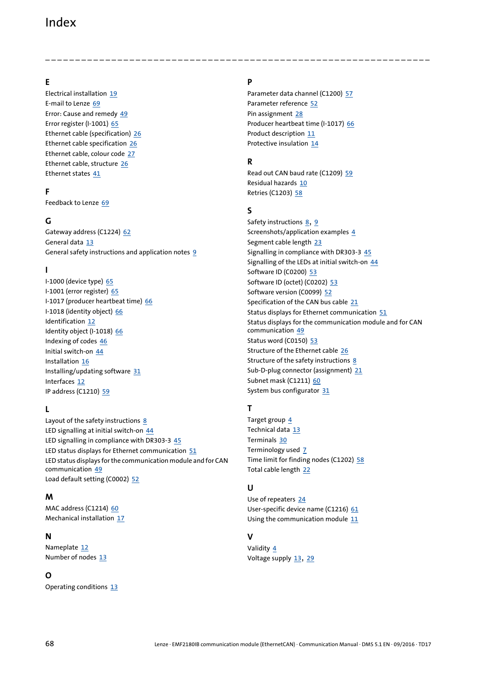### Index

### **E**

Electrical installation [19](#page-18-2) E-mail to Lenze [69](#page-68-1) Error: Cause and remedy [49](#page-48-5) Error register (I-1001) [65](#page-64-4) Ethernet cable (specification) [26](#page-25-1) Ethernet cable specification [26](#page-25-1) Ethernet cable, colour code [27](#page-26-2) Ethernet cable, structure [26](#page-25-2) Ethernet states [41](#page-40-1)

### **F**

Feedback to Lenze [69](#page-68-1)

### **G**

Gateway address (C1224) [62](#page-61-5) General data [13](#page-12-4) General safety instructions and application notes [9](#page-8-2)

### **I**

I-1000 (device type) [65](#page-64-5) I-1001 (error register) [65](#page-64-6) I-1017 (producer heartbeat time) [66](#page-65-0) I-1018 (identity object) [66](#page-65-1) Identification [12](#page-11-3) Identity object (I-1018) [66](#page-65-2) Indexing of codes [46](#page-45-4) Initial switch-on [44](#page-43-2) Installation [16](#page-15-1) Installing/updating software [31](#page-30-5) Interfaces [12](#page-11-4) IP address (C1210) [59](#page-58-4)

### **L**

Layout of the safety instructions [8](#page-7-2) LED signalling at initial switch-on [44](#page-43-3) LED signalling in compliance with DR303-3 [45](#page-44-1) LED status displays for Ethernet communication [51](#page-50-1) LED status displa[ys for the communication module and for CAN](#page-48-3)  communication 49 Load default setting (C0002) [52](#page-51-7)

### **M**

MAC address (C1214) [60](#page-59-6) Mechanical installation [17](#page-16-2)

#### **N**

Nameplate [12](#page-11-5) Number of nodes [13](#page-12-5)

#### **O**

Operating conditions [13](#page-12-6)

### **P**

\_ \_ \_ \_ \_ \_ \_ \_ \_ \_ \_ \_ \_ \_ \_ \_ \_ \_ \_ \_ \_ \_ \_ \_ \_ \_ \_ \_ \_ \_ \_ \_ \_ \_ \_ \_ \_ \_ \_ \_ \_ \_ \_ \_ \_ \_ \_ \_ \_ \_ \_ \_ \_ \_ \_ \_ \_ \_ \_ \_ \_ \_ \_ \_

Parameter data channel (C1200) [57](#page-56-6) Parameter reference [52](#page-51-5) Pin assignment [28](#page-27-1) Producer heartbeat time (I-1017) [66](#page-65-3) Product description [11](#page-10-4) Protective insulation [14](#page-13-1)

### **R**

Read out CAN baud rate (C1209) [59](#page-58-5) Residual hazards [10](#page-9-4) Retries (C1203) [58](#page-57-5)

#### **S**

Safety instructions [8](#page-7-3), [9](#page-8-3) Screenshots/application examples [4](#page-3-1) Segment cable length [23](#page-22-1) Signalling in compliance with DR303-3 [45](#page-44-1) Signalling of the LEDs at initial switch-on [44](#page-43-3) Software ID (C0200) [53](#page-52-4) Software ID (octet) (C0202) [53](#page-52-5) Software version (C0099) [52](#page-51-8) Specification of the CAN bus cable [21](#page-20-2) Status displays for Ethernet communication [51](#page-50-1) Status displays f[or the communication module and for CAN](#page-48-3)  communication 49 Status word (C0150) [53](#page-52-6) Structure of the Ethernet cable [26](#page-25-3) Structure of the safety instructions [8](#page-7-4) Sub-D-plug connector (assignment) [21](#page-20-3) Subnet mask (C1211) [60](#page-59-7) System bus configurator [31](#page-30-4)

### **T**

Target group [4](#page-3-2) Technical data [13](#page-12-7) Terminals [30](#page-29-0) Terminology used [7](#page-6-1) Time limit for finding nodes (C1202) [58](#page-57-6) Total cable length [22](#page-21-3)

### **U**

Use of repeaters [24](#page-23-1) User-specific device name (C1216) [61](#page-60-8) Using the communication module [11](#page-10-2)

### **V**

Validity [4](#page-3-3) Voltage supply [13](#page-12-8), [29](#page-28-1)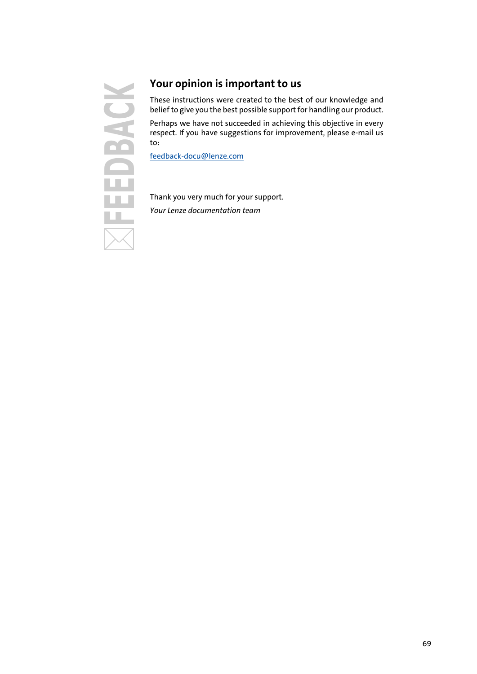

### <span id="page-68-1"></span><span id="page-68-0"></span>**Your opinion is important to us**

These instructions were created to the best of our knowledge and belief to give you the best possible support for handling our product.

Perhaps we have not succeeded in achieving this objective in every respect. If you have suggestions for improvement, please e-mail us to:

[feedback-docu@lenze.com](mailto:feedback-docu@lenze.com )

Thank you very much for your support. *Your Lenze documentation team*